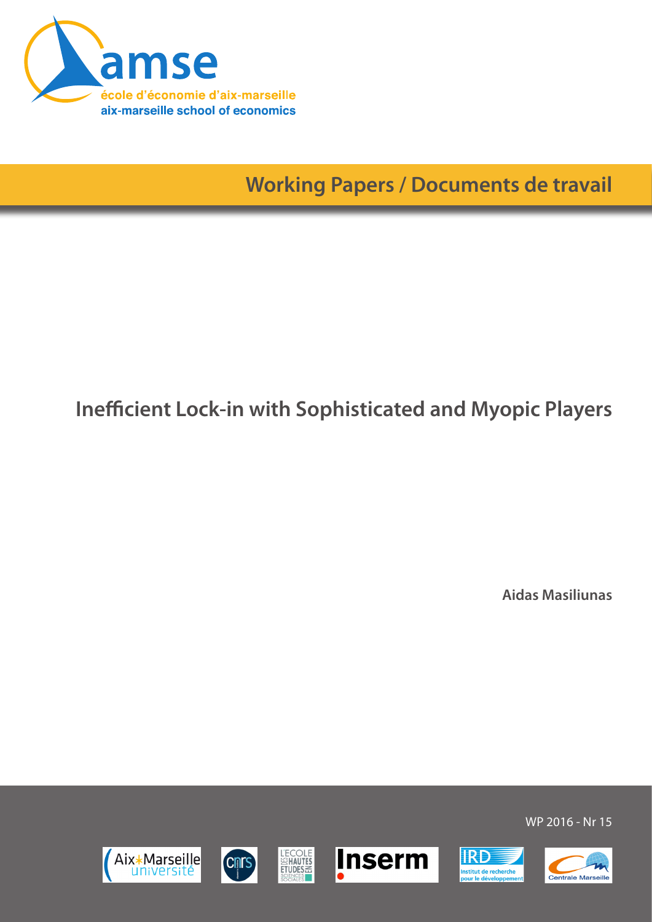

**Working Papers / Documents de travail**

# **Inefficient Lock-in with Sophisticated and Myopic Players**

**Aidas Masiliunas**













WP 2016 - Nr 15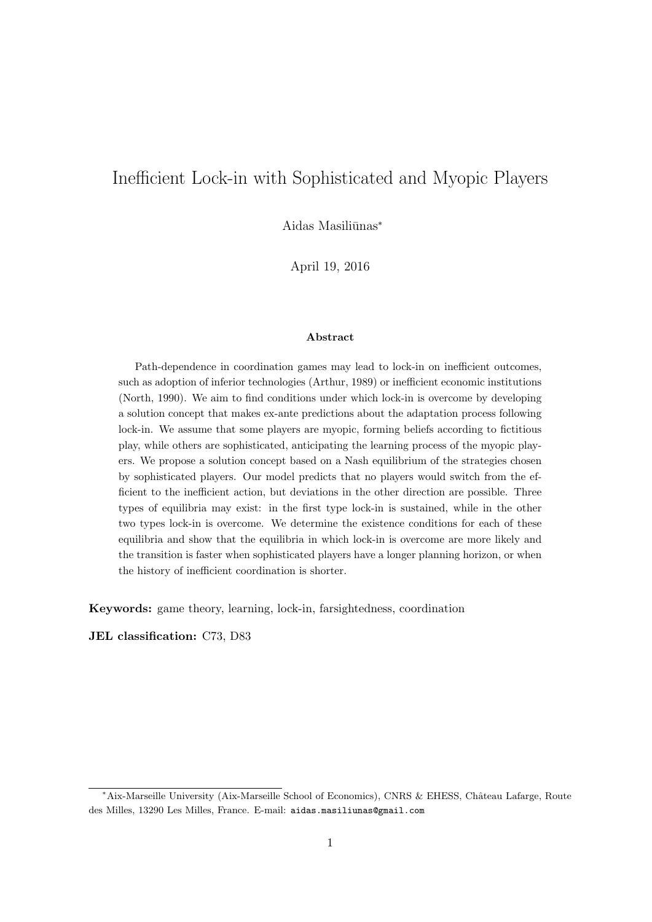# Inefficient Lock-in with Sophisticated and Myopic Players

Aidas Masiliūnas<sup>\*</sup>

April 19, 2016

#### Abstract

Path-dependence in coordination games may lead to lock-in on inefficient outcomes, such as adoption of inferior technologies [\(Arthur, 1989\)](#page-32-0) or inefficient economic institutions [\(North, 1990\)](#page-33-0). We aim to find conditions under which lock-in is overcome by developing a solution concept that makes ex-ante predictions about the adaptation process following lock-in. We assume that some players are myopic, forming beliefs according to fictitious play, while others are sophisticated, anticipating the learning process of the myopic players. We propose a solution concept based on a Nash equilibrium of the strategies chosen by sophisticated players. Our model predicts that no players would switch from the efficient to the inefficient action, but deviations in the other direction are possible. Three types of equilibria may exist: in the first type lock-in is sustained, while in the other two types lock-in is overcome. We determine the existence conditions for each of these equilibria and show that the equilibria in which lock-in is overcome are more likely and the transition is faster when sophisticated players have a longer planning horizon, or when the history of inefficient coordination is shorter.

Keywords: game theory, learning, lock-in, farsightedness, coordination

JEL classification: C73, D83

<sup>\*</sup>Aix-Marseille University (Aix-Marseille School of Economics), CNRS & EHESS, Château Lafarge, Route des Milles, 13290 Les Milles, France. E-mail: aidas.masiliunas@gmail.com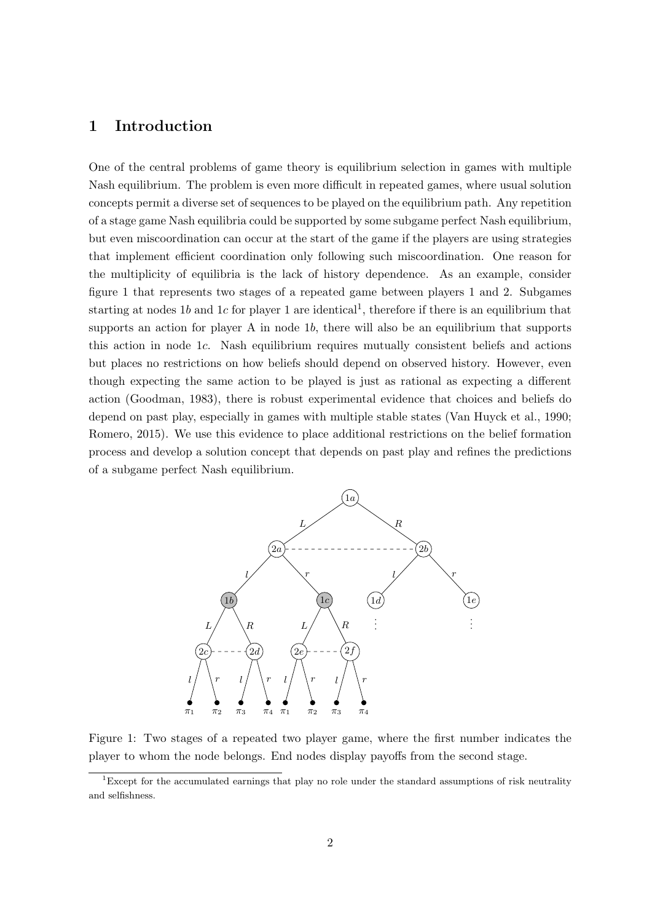# 1 Introduction

One of the central problems of game theory is equilibrium selection in games with multiple Nash equilibrium. The problem is even more difficult in repeated games, where usual solution concepts permit a diverse set of sequences to be played on the equilibrium path. Any repetition of a stage game Nash equilibria could be supported by some subgame perfect Nash equilibrium, but even miscoordination can occur at the start of the game if the players are using strategies that implement efficient coordination only following such miscoordination. One reason for the multiplicity of equilibria is the lack of history dependence. As an example, consider figure [1](#page-2-0) that represents two stages of a repeated game between players 1 and 2. Subgames starting at nodes [1](#page-2-1)b and 1c for player 1 are identical<sup>1</sup>, therefore if there is an equilibrium that supports an action for player A in node 1b, there will also be an equilibrium that supports this action in node 1c. Nash equilibrium requires mutually consistent beliefs and actions but places no restrictions on how beliefs should depend on observed history. However, even though expecting the same action to be played is just as rational as expecting a different action [\(Goodman, 1983\)](#page-32-1), there is robust experimental evidence that choices and beliefs do depend on past play, especially in games with multiple stable states [\(Van Huyck et al., 1990;](#page-33-1) [Romero, 2015\)](#page-33-2). We use this evidence to place additional restrictions on the belief formation process and develop a solution concept that depends on past play and refines the predictions of a subgame perfect Nash equilibrium.

<span id="page-2-0"></span>

Figure 1: Two stages of a repeated two player game, where the first number indicates the player to whom the node belongs. End nodes display payoffs from the second stage.

<span id="page-2-1"></span><sup>&</sup>lt;sup>1</sup>Except for the accumulated earnings that play no role under the standard assumptions of risk neutrality and selfishness.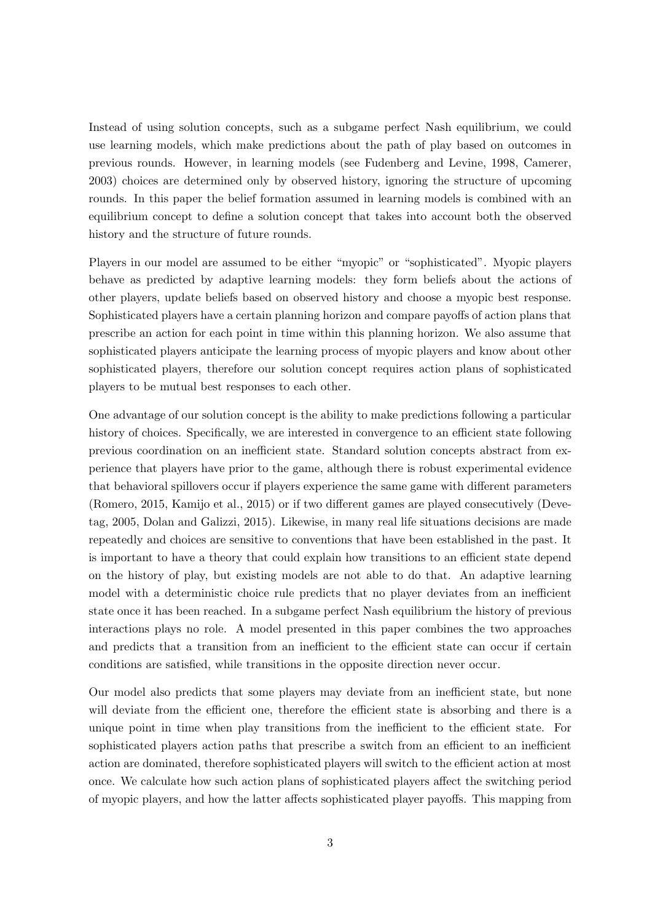Instead of using solution concepts, such as a subgame perfect Nash equilibrium, we could use learning models, which make predictions about the path of play based on outcomes in previous rounds. However, in learning models (see [Fudenberg and Levine, 1998,](#page-32-2) [Camerer,](#page-32-3) [2003\)](#page-32-3) choices are determined only by observed history, ignoring the structure of upcoming rounds. In this paper the belief formation assumed in learning models is combined with an equilibrium concept to define a solution concept that takes into account both the observed history and the structure of future rounds.

Players in our model are assumed to be either "myopic" or "sophisticated". Myopic players behave as predicted by adaptive learning models: they form beliefs about the actions of other players, update beliefs based on observed history and choose a myopic best response. Sophisticated players have a certain planning horizon and compare payoffs of action plans that prescribe an action for each point in time within this planning horizon. We also assume that sophisticated players anticipate the learning process of myopic players and know about other sophisticated players, therefore our solution concept requires action plans of sophisticated players to be mutual best responses to each other.

One advantage of our solution concept is the ability to make predictions following a particular history of choices. Specifically, we are interested in convergence to an efficient state following previous coordination on an inefficient state. Standard solution concepts abstract from experience that players have prior to the game, although there is robust experimental evidence that behavioral spillovers occur if players experience the same game with different parameters [\(Romero, 2015,](#page-33-2) [Kamijo et al., 2015\)](#page-32-4) or if two different games are played consecutively [\(Deve](#page-32-5)[tag, 2005,](#page-32-5) [Dolan and Galizzi, 2015\)](#page-32-6). Likewise, in many real life situations decisions are made repeatedly and choices are sensitive to conventions that have been established in the past. It is important to have a theory that could explain how transitions to an efficient state depend on the history of play, but existing models are not able to do that. An adaptive learning model with a deterministic choice rule predicts that no player deviates from an inefficient state once it has been reached. In a subgame perfect Nash equilibrium the history of previous interactions plays no role. A model presented in this paper combines the two approaches and predicts that a transition from an inefficient to the efficient state can occur if certain conditions are satisfied, while transitions in the opposite direction never occur.

Our model also predicts that some players may deviate from an inefficient state, but none will deviate from the efficient one, therefore the efficient state is absorbing and there is a unique point in time when play transitions from the inefficient to the efficient state. For sophisticated players action paths that prescribe a switch from an efficient to an inefficient action are dominated, therefore sophisticated players will switch to the efficient action at most once. We calculate how such action plans of sophisticated players affect the switching period of myopic players, and how the latter affects sophisticated player payoffs. This mapping from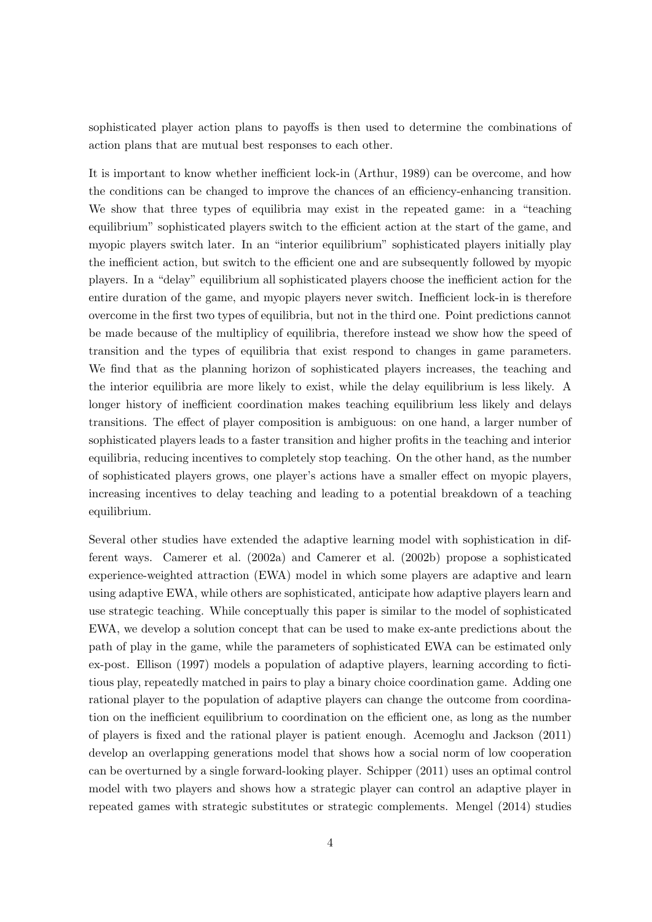sophisticated player action plans to payoffs is then used to determine the combinations of action plans that are mutual best responses to each other.

It is important to know whether inefficient lock-in [\(Arthur, 1989\)](#page-32-0) can be overcome, and how the conditions can be changed to improve the chances of an efficiency-enhancing transition. We show that three types of equilibria may exist in the repeated game: in a "teaching equilibrium" sophisticated players switch to the efficient action at the start of the game, and myopic players switch later. In an "interior equilibrium" sophisticated players initially play the inefficient action, but switch to the efficient one and are subsequently followed by myopic players. In a "delay" equilibrium all sophisticated players choose the inefficient action for the entire duration of the game, and myopic players never switch. Inefficient lock-in is therefore overcome in the first two types of equilibria, but not in the third one. Point predictions cannot be made because of the multiplicy of equilibria, therefore instead we show how the speed of transition and the types of equilibria that exist respond to changes in game parameters. We find that as the planning horizon of sophisticated players increases, the teaching and the interior equilibria are more likely to exist, while the delay equilibrium is less likely. A longer history of inefficient coordination makes teaching equilibrium less likely and delays transitions. The effect of player composition is ambiguous: on one hand, a larger number of sophisticated players leads to a faster transition and higher profits in the teaching and interior equilibria, reducing incentives to completely stop teaching. On the other hand, as the number of sophisticated players grows, one player's actions have a smaller effect on myopic players, increasing incentives to delay teaching and leading to a potential breakdown of a teaching equilibrium.

Several other studies have extended the adaptive learning model with sophistication in different ways. [Camerer et al.](#page-32-7) [\(2002a\)](#page-32-7) and [Camerer et al.](#page-32-8) [\(2002b\)](#page-32-8) propose a sophisticated experience-weighted attraction (EWA) model in which some players are adaptive and learn using adaptive EWA, while others are sophisticated, anticipate how adaptive players learn and use strategic teaching. While conceptually this paper is similar to the model of sophisticated EWA, we develop a solution concept that can be used to make ex-ante predictions about the path of play in the game, while the parameters of sophisticated EWA can be estimated only ex-post. [Ellison](#page-32-9) [\(1997\)](#page-32-9) models a population of adaptive players, learning according to fictitious play, repeatedly matched in pairs to play a binary choice coordination game. Adding one rational player to the population of adaptive players can change the outcome from coordination on the inefficient equilibrium to coordination on the efficient one, as long as the number of players is fixed and the rational player is patient enough. [Acemoglu and Jackson](#page-32-10) [\(2011\)](#page-32-10) develop an overlapping generations model that shows how a social norm of low cooperation can be overturned by a single forward-looking player. [Schipper](#page-33-3) [\(2011\)](#page-33-3) uses an optimal control model with two players and shows how a strategic player can control an adaptive player in repeated games with strategic substitutes or strategic complements. [Mengel](#page-32-11) [\(2014\)](#page-32-11) studies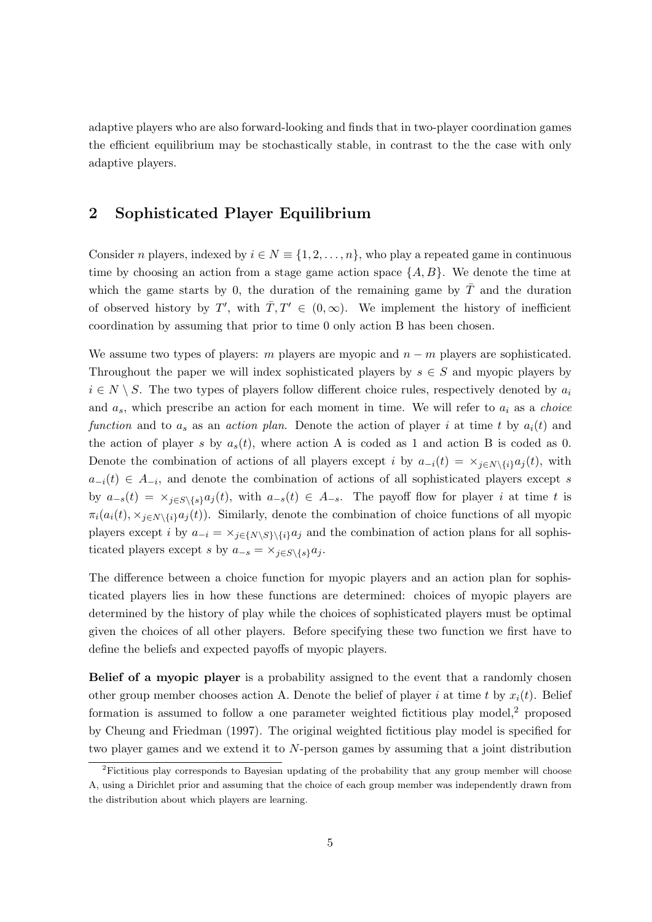adaptive players who are also forward-looking and finds that in two-player coordination games the efficient equilibrium may be stochastically stable, in contrast to the the case with only adaptive players.

# 2 Sophisticated Player Equilibrium

Consider n players, indexed by  $i \in N \equiv \{1, 2, \ldots, n\}$ , who play a repeated game in continuous time by choosing an action from a stage game action space  $\{A, B\}$ . We denote the time at which the game starts by 0, the duration of the remaining game by  $\overline{T}$  and the duration of observed history by T', with  $\overline{T}$ ,  $T' \in (0,\infty)$ . We implement the history of inefficient coordination by assuming that prior to time 0 only action B has been chosen.

We assume two types of players: m players are myopic and  $n - m$  players are sophisticated. Throughout the paper we will index sophisticated players by  $s \in S$  and myopic players by  $i \in N \setminus S$ . The two types of players follow different choice rules, respectively denoted by  $a_i$ and  $a_s$ , which prescribe an action for each moment in time. We will refer to  $a_i$  as a *choice* function and to  $a_s$  as an action plan. Denote the action of player i at time t by  $a_i(t)$  and the action of player s by  $a_s(t)$ , where action A is coded as 1 and action B is coded as 0. Denote the combination of actions of all players except i by  $a_{-i}(t) = \times_{i \in N \setminus \{i\}} a_i(t)$ , with  $a_{-i}(t) \in A_{-i}$ , and denote the combination of actions of all sophisticated players except s by  $a_{-s}(t) = \times_{j \in S \backslash \{s\}} a_j(t)$ , with  $a_{-s}(t) \in A_{-s}$ . The payoff flow for player i at time t is  $\pi_i(a_i(t), \times_{i \in N\setminus \{i\}} a_j(t))$ . Similarly, denote the combination of choice functions of all myopic players except i by  $a_{-i} = \frac{\chi_{j\in\{N\setminus S\}\backslash\{i\}}a_j}{\chi_{j\in\{N\setminus S\}\backslash\{i\}}a_j}$  and the combination of action plans for all sophisticated players except s by  $a_{-s} = \times_{j \in S \backslash \{s\}} a_j$ .

The difference between a choice function for myopic players and an action plan for sophisticated players lies in how these functions are determined: choices of myopic players are determined by the history of play while the choices of sophisticated players must be optimal given the choices of all other players. Before specifying these two function we first have to define the beliefs and expected payoffs of myopic players.

Belief of a myopic player is a probability assigned to the event that a randomly chosen other group member chooses action A. Denote the belief of player i at time t by  $x_i(t)$ . Belief formation is assumed to follow a one parameter weighted fictitious play model, $2$  proposed by [Cheung and Friedman](#page-32-12) [\(1997\)](#page-32-12). The original weighted fictitious play model is specified for two player games and we extend it to  $N$ -person games by assuming that a joint distribution

<span id="page-5-0"></span><sup>&</sup>lt;sup>2</sup>Fictitious play corresponds to Bayesian updating of the probability that any group member will choose A, using a Dirichlet prior and assuming that the choice of each group member was independently drawn from the distribution about which players are learning.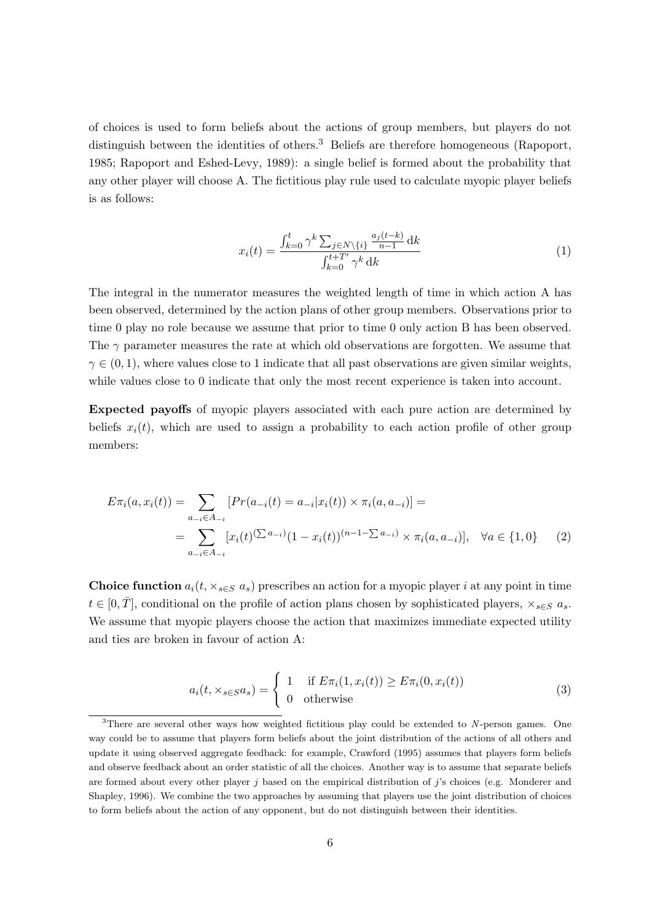of choices is used to form beliefs about the actions of group members, but players do not distinguish between the identities of others.<sup>[3](#page-6-0)</sup> Beliefs are therefore homogeneous [\(Rapoport,](#page-33-4) [1985;](#page-33-4) [Rapoport and Eshed-Levy, 1989\)](#page-33-5): a single belief is formed about the probability that any other player will choose A. The fictitious play rule used to calculate myopic player beliefs is as follows:

<span id="page-6-3"></span>
$$
x_i(t) = \frac{\int_{k=0}^t \gamma^k \sum_{j \in N \setminus \{i\}} \frac{a_j(t-k)}{n-1} dk}{\int_{k=0}^{t+T'} \gamma^k dk}
$$
(1)

The integral in the numerator measures the weighted length of time in which action A has been observed, determined by the action plans of other group members. Observations prior to time 0 play no role because we assume that prior to time 0 only action B has been observed. The  $\gamma$  parameter measures the rate at which old observations are forgotten. We assume that  $\gamma \in (0, 1)$ , where values close to 1 indicate that all past observations are given similar weights, while values close to 0 indicate that only the most recent experience is taken into account.

Expected payoffs of myopic players associated with each pure action are determined by beliefs  $x_i(t)$ , which are used to assign a probability to each action profile of other group members:

$$
E\pi_i(a, x_i(t)) = \sum_{a_{-i} \in A_{-i}} [Pr(a_{-i}(t) = a_{-i}|x_i(t)) \times \pi_i(a, a_{-i})] =
$$
  
= 
$$
\sum_{a_{-i} \in A_{-i}} [x_i(t)^{(\sum a_{-i})} (1 - x_i(t))^{(n-1 - \sum a_{-i})} \times \pi_i(a, a_{-i})], \quad \forall a \in \{1, 0\}
$$
 (2)

**Choice function**  $a_i(t, \times_{s \in S} a_s)$  prescribes an action for a myopic player *i* at any point in time  $t \in [0, \overline{T}]$ , conditional on the profile of action plans chosen by sophisticated players,  $\times_{s \in S} a_s$ . We assume that myopic players choose the action that maximizes immediate expected utility and ties are broken in favour of action A:

<span id="page-6-2"></span><span id="page-6-1"></span>
$$
a_i(t, \times_{s \in S} a_s) = \begin{cases} 1 & \text{if } E \pi_i(1, x_i(t)) \ge E \pi_i(0, x_i(t)) \\ 0 & \text{otherwise} \end{cases}
$$
(3)

<span id="page-6-0"></span> $3$ There are several other ways how weighted fictitious play could be extended to N-person games. One way could be to assume that players form beliefs about the joint distribution of the actions of all others and update it using observed aggregate feedback: for example, [Crawford](#page-32-13) [\(1995\)](#page-32-13) assumes that players form beliefs and observe feedback about an order statistic of all the choices. Another way is to assume that separate beliefs are formed about every other player j based on the empirical distribution of j's choices (e.g. [Monderer and](#page-32-14) [Shapley, 1996\)](#page-32-14). We combine the two approaches by assuming that players use the joint distribution of choices to form beliefs about the action of any opponent, but do not distinguish between their identities.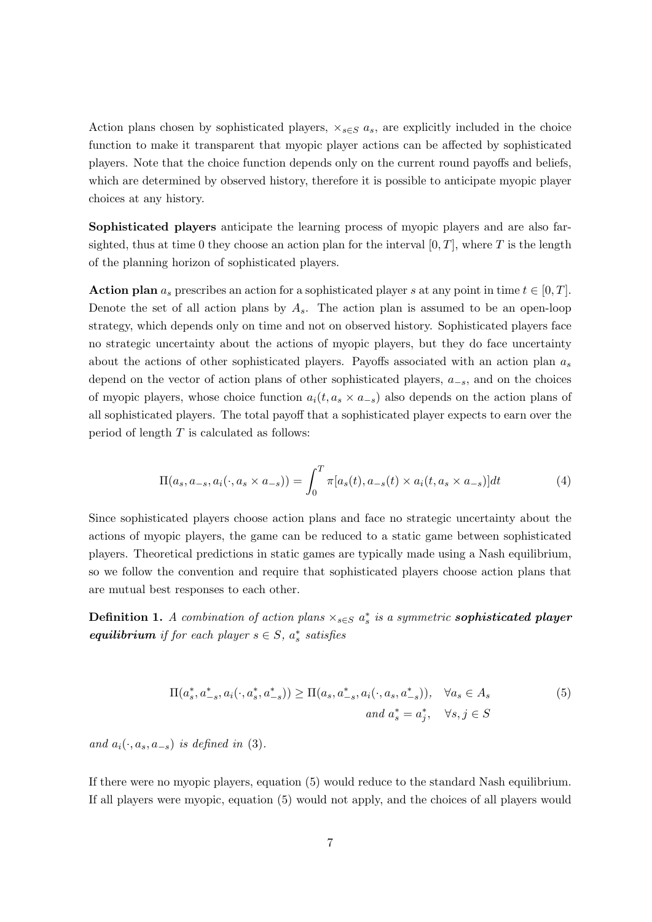Action plans chosen by sophisticated players,  $\times_{s \in S} a_s$ , are explicitly included in the choice function to make it transparent that myopic player actions can be affected by sophisticated players. Note that the choice function depends only on the current round payoffs and beliefs, which are determined by observed history, therefore it is possible to anticipate myopic player choices at any history.

Sophisticated players anticipate the learning process of myopic players and are also farsighted, thus at time 0 they choose an action plan for the interval  $[0, T]$ , where T is the length of the planning horizon of sophisticated players.

**Action plan**  $a_s$  prescribes an action for a sophisticated player s at any point in time  $t \in [0, T]$ . Denote the set of all action plans by  $A_s$ . The action plan is assumed to be an open-loop strategy, which depends only on time and not on observed history. Sophisticated players face no strategic uncertainty about the actions of myopic players, but they do face uncertainty about the actions of other sophisticated players. Payoffs associated with an action plan  $a_s$ depend on the vector of action plans of other sophisticated players,  $a_{-s}$ , and on the choices of myopic players, whose choice function  $a_i(t, a_s \times a_{-s})$  also depends on the action plans of all sophisticated players. The total payoff that a sophisticated player expects to earn over the period of length  $T$  is calculated as follows:

$$
\Pi(a_s, a_{-s}, a_i(\cdot, a_s \times a_{-s})) = \int_0^T \pi[a_s(t), a_{-s}(t) \times a_i(t, a_s \times a_{-s})]dt
$$
\n(4)

Since sophisticated players choose action plans and face no strategic uncertainty about the actions of myopic players, the game can be reduced to a static game between sophisticated players. Theoretical predictions in static games are typically made using a Nash equilibrium, so we follow the convention and require that sophisticated players choose action plans that are mutual best responses to each other.

Definition 1. A combination of action plans  $\times_{s\in S} a_s^*$  is a symmetric sophisticated player equilibrium if for each player  $s \in S$ ,  $a_s^*$  satisfies

<span id="page-7-0"></span>
$$
\Pi(a_s^*, a_{-s}^*, a_i(\cdot, a_s^*, a_{-s}^*)) \ge \Pi(a_s, a_{-s}^*, a_i(\cdot, a_s, a_{-s}^*)), \quad \forall a_s \in A_s
$$
\n
$$
(5)
$$
\n
$$
and \ a_s^* = a_j^*, \quad \forall s, j \in S
$$

and  $a_i(\cdot, a_s, a_{-s})$  is defined in [\(3\)](#page-6-1).

If there were no myopic players, equation [\(5\)](#page-7-0) would reduce to the standard Nash equilibrium. If all players were myopic, equation [\(5\)](#page-7-0) would not apply, and the choices of all players would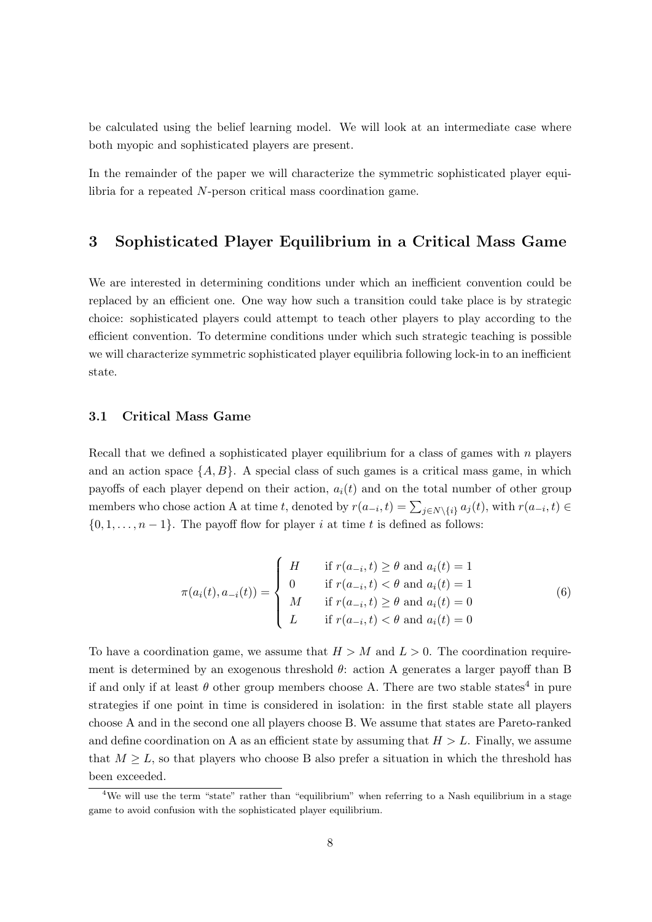be calculated using the belief learning model. We will look at an intermediate case where both myopic and sophisticated players are present.

In the remainder of the paper we will characterize the symmetric sophisticated player equilibria for a repeated N-person critical mass coordination game.

# 3 Sophisticated Player Equilibrium in a Critical Mass Game

We are interested in determining conditions under which an inefficient convention could be replaced by an efficient one. One way how such a transition could take place is by strategic choice: sophisticated players could attempt to teach other players to play according to the efficient convention. To determine conditions under which such strategic teaching is possible we will characterize symmetric sophisticated player equilibria following lock-in to an inefficient state.

## 3.1 Critical Mass Game

Recall that we defined a sophisticated player equilibrium for a class of games with  $n$  players and an action space  $\{A, B\}$ . A special class of such games is a critical mass game, in which payoffs of each player depend on their action,  $a_i(t)$  and on the total number of other group members who chose action A at time t, denoted by  $r(a_{-i}, t) = \sum_{j \in N \setminus \{i\}} a_j(t)$ , with  $r(a_{-i}, t) \in$  $\{0, 1, \ldots, n-1\}$ . The payoff flow for player i at time t is defined as follows:

<span id="page-8-1"></span>
$$
\pi(a_i(t), a_{-i}(t)) = \begin{cases}\nH & \text{if } r(a_{-i}, t) \ge \theta \text{ and } a_i(t) = 1 \\
0 & \text{if } r(a_{-i}, t) < \theta \text{ and } a_i(t) = 1 \\
M & \text{if } r(a_{-i}, t) \ge \theta \text{ and } a_i(t) = 0 \\
L & \text{if } r(a_{-i}, t) < \theta \text{ and } a_i(t) = 0\n\end{cases}
$$
\n(6)

To have a coordination game, we assume that  $H > M$  and  $L > 0$ . The coordination requirement is determined by an exogenous threshold  $\theta$ : action A generates a larger payoff than B if and only if at least  $\theta$  other group members choose A. There are two stable states<sup>[4](#page-8-0)</sup> in pure strategies if one point in time is considered in isolation: in the first stable state all players choose A and in the second one all players choose B. We assume that states are Pareto-ranked and define coordination on A as an efficient state by assuming that  $H > L$ . Finally, we assume that  $M \geq L$ , so that players who choose B also prefer a situation in which the threshold has been exceeded.

<span id="page-8-0"></span><sup>&</sup>lt;sup>4</sup>We will use the term "state" rather than "equilibrium" when referring to a Nash equilibrium in a stage game to avoid confusion with the sophisticated player equilibrium.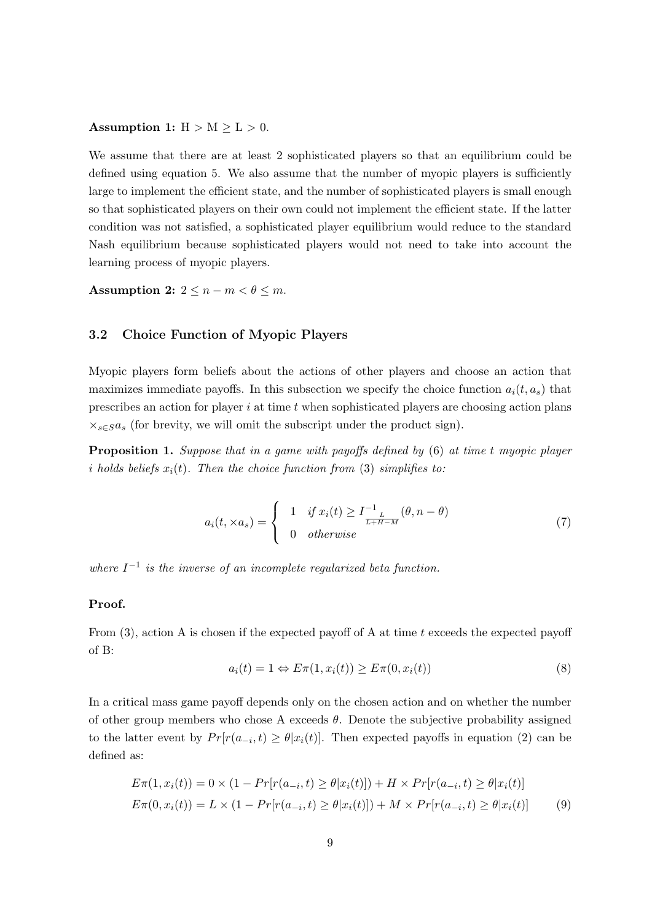## Assumption 1:  $H > M \geq L > 0$ .

We assume that there are at least 2 sophisticated players so that an equilibrium could be defined using equation [5.](#page-7-0) We also assume that the number of myopic players is sufficiently large to implement the efficient state, and the number of sophisticated players is small enough so that sophisticated players on their own could not implement the efficient state. If the latter condition was not satisfied, a sophisticated player equilibrium would reduce to the standard Nash equilibrium because sophisticated players would not need to take into account the learning process of myopic players.

Assumption 2:  $2 \leq n-m < \theta \leq m$ .

# 3.2 Choice Function of Myopic Players

Myopic players form beliefs about the actions of other players and choose an action that maximizes immediate payoffs. In this subsection we specify the choice function  $a_i(t, a_s)$  that prescribes an action for player  $i$  at time  $t$  when sophisticated players are choosing action plans  $\times_{s\in S}a_s$  (for brevity, we will omit the subscript under the product sign).

<span id="page-9-2"></span>Proposition 1. Suppose that in a game with payoffs defined by [\(6\)](#page-8-1) at time t myopic player i holds beliefs  $x_i(t)$ . Then the choice function from [\(3\)](#page-6-1) simplifies to:

<span id="page-9-3"></span>
$$
a_i(t, \times a_s) = \begin{cases} 1 & \text{if } x_i(t) \ge I_{L}^{-1}(\theta, n - \theta) \\ 0 & \text{otherwise} \end{cases}
$$
(7)

where  $I^{-1}$  is the inverse of an incomplete regularized beta function.

#### Proof.

From  $(3)$ , action A is chosen if the expected payoff of A at time t exceeds the expected payoff of B:

<span id="page-9-1"></span><span id="page-9-0"></span>
$$
a_i(t) = 1 \Leftrightarrow E\pi(1, x_i(t)) \ge E\pi(0, x_i(t))
$$
\n(8)

In a critical mass game payoff depends only on the chosen action and on whether the number of other group members who chose A exceeds  $\theta$ . Denote the subjective probability assigned to the latter event by  $Pr[r(a_{-i}, t) \geq \theta | x_i(t)]$ . Then expected payoffs in equation [\(2\)](#page-6-2) can be defined as:

$$
E\pi(1, x_i(t)) = 0 \times (1 - Pr[r(a_{-i}, t) \ge \theta | x_i(t)]) + H \times Pr[r(a_{-i}, t) \ge \theta | x_i(t)]
$$
  
\n
$$
E\pi(0, x_i(t)) = L \times (1 - Pr[r(a_{-i}, t) \ge \theta | x_i(t)]) + M \times Pr[r(a_{-i}, t) \ge \theta | x_i(t)]
$$
 (9)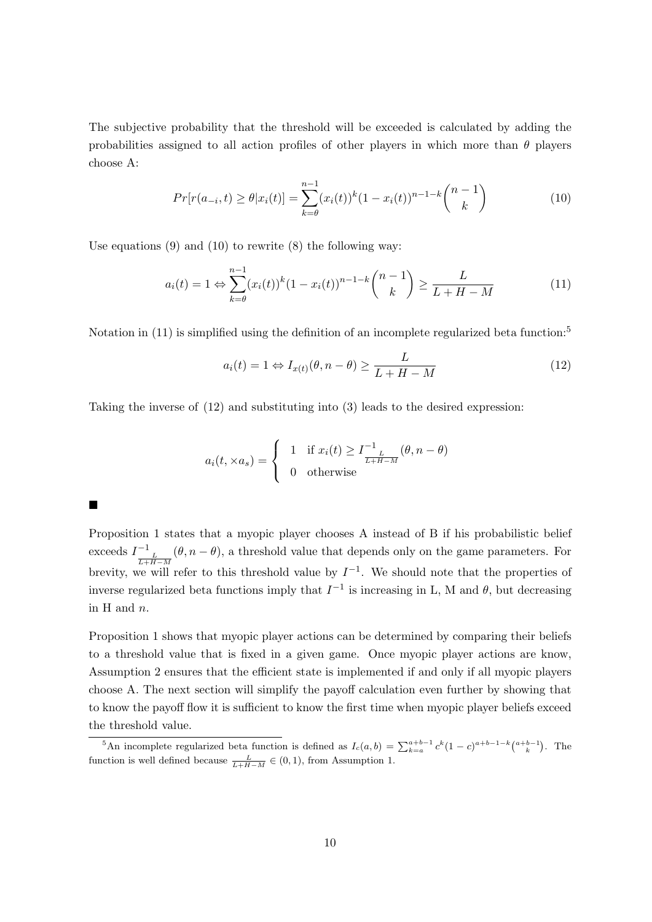The subjective probability that the threshold will be exceeded is calculated by adding the probabilities assigned to all action profiles of other players in which more than  $\theta$  players choose A:

$$
Pr[r(a_{-i}, t) \ge \theta | x_i(t)] = \sum_{k=\theta}^{n-1} (x_i(t))^k (1 - x_i(t))^{n-1-k} {n-1 \choose k}
$$
 (10)

Use equations  $(9)$  and  $(10)$  to rewrite  $(8)$  the following way:

 $\blacksquare$ 

<span id="page-10-1"></span>
$$
a_i(t) = 1 \Leftrightarrow \sum_{k=0}^{n-1} (x_i(t))^k (1 - x_i(t))^{n-1-k} {n-1 \choose k} \ge \frac{L}{L+H-M}
$$
 (11)

Notation in [\(11\)](#page-10-1) is simplified using the definition of an incomplete regularized beta function:<sup>[5](#page-10-2)</sup>

<span id="page-10-3"></span><span id="page-10-0"></span>
$$
a_i(t) = 1 \Leftrightarrow I_{x(t)}(\theta, n - \theta) \ge \frac{L}{L + H - M}
$$
\n(12)

Taking the inverse of [\(12\)](#page-10-3) and substituting into [\(3\)](#page-6-1) leads to the desired expression:

$$
a_i(t, \times a_s) = \begin{cases} 1 & \text{if } x_i(t) \ge I_{\frac{L}{L+H-M}}^{-1}(\theta, n-\theta) \\ 0 & \text{otherwise} \end{cases}
$$

Proposition [1](#page-9-2) states that a myopic player chooses A instead of B if his probabilistic belief exceeds  $I_{\frac{L}{L+H-M}}^{-1}(\theta, n-\theta)$ , a threshold value that depends only on the game parameters. For brevity, we will refer to this threshold value by  $I^{-1}$ . We should note that the properties of inverse regularized beta functions imply that  $I^{-1}$  is increasing in L, M and  $\theta$ , but decreasing in H and n.

Proposition [1](#page-9-2) shows that myopic player actions can be determined by comparing their beliefs to a threshold value that is fixed in a given game. Once myopic player actions are know, Assumption 2 ensures that the efficient state is implemented if and only if all myopic players choose A. The next section will simplify the payoff calculation even further by showing that to know the payoff flow it is sufficient to know the first time when myopic player beliefs exceed the threshold value.

<span id="page-10-2"></span><sup>&</sup>lt;sup>5</sup>An incomplete regularized beta function is defined as  $I_c(a, b) = \sum_{k=a}^{a+b-1} c^k (1-c)^{a+b-1-k} {a+b-1 \choose k}$ . The function is well defined because  $\frac{L}{L+H-M} \in (0,1)$ , from Assumption 1.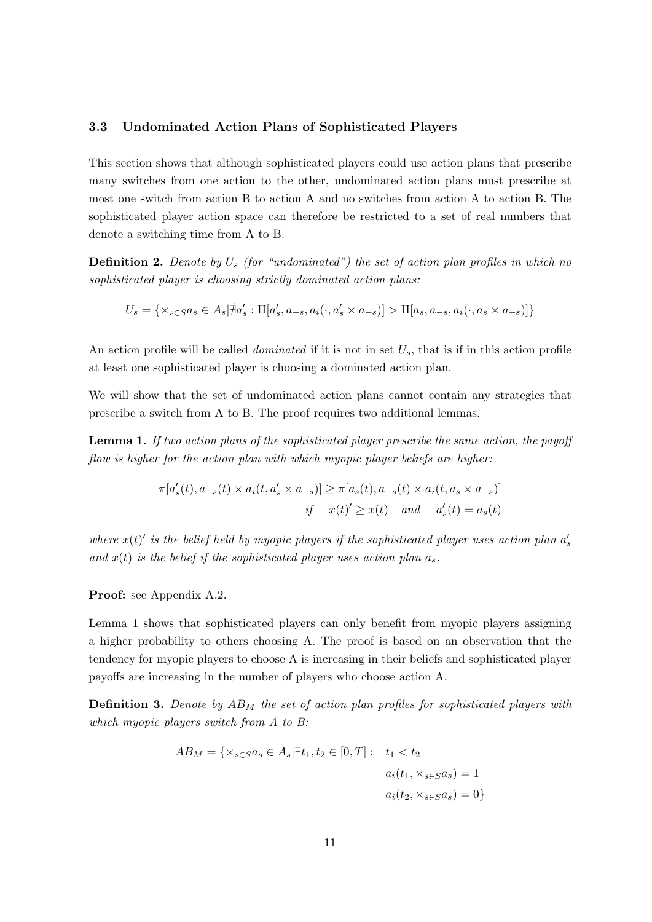## 3.3 Undominated Action Plans of Sophisticated Players

This section shows that although sophisticated players could use action plans that prescribe many switches from one action to the other, undominated action plans must prescribe at most one switch from action B to action A and no switches from action A to action B. The sophisticated player action space can therefore be restricted to a set of real numbers that denote a switching time from A to B.

**Definition 2.** Denote by  $U_s$  (for "undominated") the set of action plan profiles in which no sophisticated player is choosing strictly dominated action plans:

$$
U_s=\{\times_{s\in S}a_s\in A_s\vert\nexists a'_s:\Pi[a'_s,a_{-s},a_i(\cdot,a'_s\times a_{-s})]>\Pi[a_s,a_{-s},a_i(\cdot,a_s\times a_{-s})]\}
$$

An action profile will be called *dominated* if it is not in set  $U_s$ , that is if in this action profile at least one sophisticated player is choosing a dominated action plan.

We will show that the set of undominated action plans cannot contain any strategies that prescribe a switch from A to B. The proof requires two additional lemmas.

<span id="page-11-0"></span>**Lemma 1.** If two action plans of the sophisticated player prescribe the same action, the payoff flow is higher for the action plan with which myopic player beliefs are higher:

$$
\pi[a'_s(t), a_{-s}(t) \times a_i(t, a'_s \times a_{-s})] \ge \pi[a_s(t), a_{-s}(t) \times a_i(t, a_s \times a_{-s})]
$$
  
if  $x(t)' \ge x(t)$  and  $a'_s(t) = a_s(t)$ 

where  $x(t)'$  is the belief held by myopic players if the sophisticated player uses action plan  $a'_s$ and  $x(t)$  is the belief if the sophisticated player uses action plan  $a_s$ .

Proof: see Appendix [A.2.](#page-36-0)

Lemma [1](#page-11-0) shows that sophisticated players can only benefit from myopic players assigning a higher probability to others choosing A. The proof is based on an observation that the tendency for myopic players to choose A is increasing in their beliefs and sophisticated player payoffs are increasing in the number of players who choose action A.

**Definition 3.** Denote by  $AB_M$  the set of action plan profiles for sophisticated players with which myopic players switch from A to B:

$$
AB_M = \{ \times_{s \in S} a_s \in A_s | \exists t_1, t_2 \in [0, T] : \t_1 < t_2
$$
\n
$$
a_i(t_1, \times_{s \in S} a_s) = 1
$$
\n
$$
a_i(t_2, \times_{s \in S} a_s) = 0 \}
$$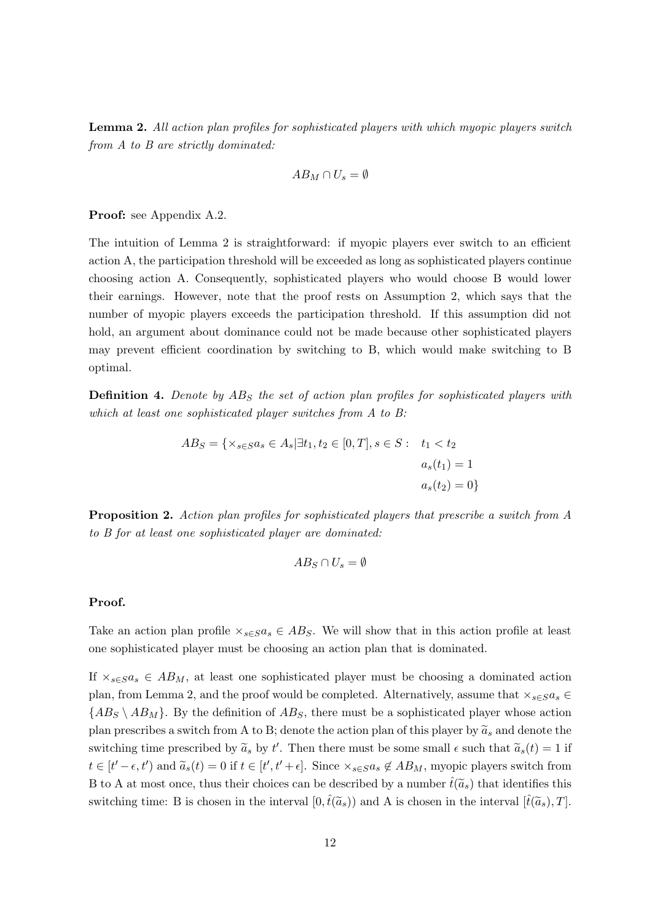<span id="page-12-0"></span>Lemma 2. All action plan profiles for sophisticated players with which myopic players switch from A to B are strictly dominated:

$$
AB_M \cap U_s = \emptyset
$$

Proof: see Appendix [A.2.](#page-36-0)

The intuition of Lemma [2](#page-12-0) is straightforward: if myopic players ever switch to an efficient action A, the participation threshold will be exceeded as long as sophisticated players continue choosing action A. Consequently, sophisticated players who would choose B would lower their earnings. However, note that the proof rests on Assumption 2, which says that the number of myopic players exceeds the participation threshold. If this assumption did not hold, an argument about dominance could not be made because other sophisticated players may prevent efficient coordination by switching to B, which would make switching to B optimal.

**Definition 4.** Denote by  $AB_S$  the set of action plan profiles for sophisticated players with which at least one sophisticated player switches from A to B:

$$
AB_S = \{ \times_{s \in S} a_s \in A_s | \exists t_1, t_2 \in [0, T], s \in S : t_1 < t_2 \}
$$
\n
$$
a_s(t_1) = 1
$$
\n
$$
a_s(t_2) = 0 \}
$$

<span id="page-12-1"></span>Proposition 2. Action plan profiles for sophisticated players that prescribe a switch from A to B for at least one sophisticated player are dominated:

$$
AB_S \cap U_s = \emptyset
$$

#### Proof.

Take an action plan profile  $\times_{s\in S}a_s \in AB_S$ . We will show that in this action profile at least one sophisticated player must be choosing an action plan that is dominated.

If  $\times_{s\in S}a_s \in AB_M$ , at least one sophisticated player must be choosing a dominated action plan, from Lemma [2,](#page-12-0) and the proof would be completed. Alternatively, assume that  $\times_{s\in S}a_s \in$  ${AB_S \setminus AB_M}$ . By the definition of  $AB_S$ , there must be a sophisticated player whose action plan prescribes a switch from A to B; denote the action plan of this player by  $\tilde{a}_s$  and denote the switching time prescribed by  $\tilde{a}_s$  by t'. Then there must be some small  $\epsilon$  such that  $\tilde{a}_s(t) = 1$  if  $t \in [t'-\epsilon, t')$  and  $\widetilde{a}_s(t) = 0$  if  $t \in [t', t'+\epsilon]$ . Since  $\times_{s \in S} a_s \notin AB_M$ , myopic players switch from B to A at most once, thus their choices can be described by a number  $\hat{t}(\tilde{a}_s)$  that identifies this switching time: B is chosen in the interval  $[0,\hat{t}(\tilde{a}_s))$  and A is chosen in the interval  $[\hat{t}(\tilde{a}_s),T]$ .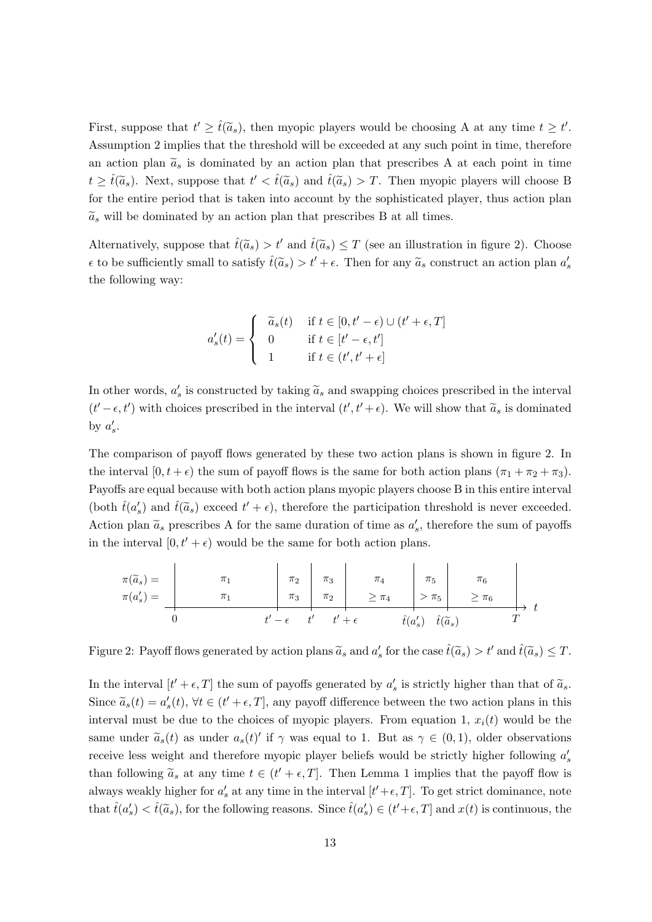First, suppose that  $t' \geq \hat{t}(\tilde{a}_s)$ , then myopic players would be choosing A at any time  $t \geq t'$ . Assumption 2 implies that the threshold will be exceeded at any such point in time, therefore an action plan  $\tilde{a}_s$  is dominated by an action plan that prescribes A at each point in time  $t \geq \hat{t}(\tilde{a}_s)$ . Next, suppose that  $t' < \hat{t}(\tilde{a}_s)$  and  $\hat{t}(\tilde{a}_s) > T$ . Then myopic players will choose B for the entire period that is taken into account by the sophisticated player, thus action plan  $\tilde{a}_s$  will be dominated by an action plan that prescribes B at all times.

Alternatively, suppose that  $\hat{t}(\tilde{a}_s) > t'$  and  $\hat{t}(\tilde{a}_s) \leq T$  (see an illustration in figure [2\)](#page-13-0). Choose  $\epsilon$  to be sufficiently small to satisfy  $\hat{t}(\tilde{a}_s) > t' + \epsilon$ . Then for any  $\tilde{a}_s$  construct an action plan  $a'_s$ the following way:

$$
a'_{s}(t) = \begin{cases} \tilde{a}_{s}(t) & \text{if } t \in [0, t' - \epsilon) \cup (t' + \epsilon, T] \\ 0 & \text{if } t \in [t' - \epsilon, t'] \\ 1 & \text{if } t \in (t', t' + \epsilon] \end{cases}
$$

In other words,  $a'_s$  is constructed by taking  $\tilde{a}_s$  and swapping choices prescribed in the interval  $(t' - \epsilon, t')$  with choices prescribed in the interval  $(t', t' + \epsilon)$ . We will show that  $\tilde{a}_s$  is dominated by  $a'_s$ .

The comparison of payoff flows generated by these two action plans is shown in figure [2.](#page-13-0) In the interval  $[0, t + \epsilon)$  the sum of payoff flows is the same for both action plans  $(\pi_1 + \pi_2 + \pi_3)$ . Payoffs are equal because with both action plans myopic players choose B in this entire interval (both  $\hat{t}(a'_s)$  and  $\hat{t}(\tilde{a}_s)$  exceed  $t' + \epsilon$ ), therefore the participation threshold is never exceeded. Action plan  $\tilde{a}_s$  prescribes A for the same duration of time as  $a'_s$ , therefore the sum of payoffs in the interval  $[0, t' + \epsilon)$  would be the same for both action plans.

<span id="page-13-0"></span>
$$
\pi(\widetilde{a}_s) = \begin{array}{c|ccccc}\n\pi_1 & & \pi_2 & \pi_3 & \pi_4 & \pi_5 & \pi_6 \\
\pi(a'_s) = & & \pi_1 & & \pi_3 & \pi_2 & \pi_4 & & \pi_5 & \pi_6 \\
\hline\n0 & & & t' - \epsilon & t' & t' + \epsilon & & \hat{t}(a'_s) & \hat{t}(\widetilde{a}_s) & & T\n\end{array}
$$

Figure 2: Payoff flows generated by action plans  $\tilde{a}_s$  and  $a'_s$  for the case  $\hat{t}(\tilde{a}_s) > t'$  and  $\hat{t}(\tilde{a}_s) \leq T$ .

In the interval  $[t' + \epsilon, T]$  the sum of payoffs generated by  $a'_s$  is strictly higher than that of  $\tilde{a}_s$ . Since  $\tilde{a}_s(t) = a'_s(t), \forall t \in (t' + \epsilon, T]$ , any payoff difference between the two action plans in this interval must be due to the choices of myopic players. From equation [1,](#page-6-3)  $x_i(t)$  would be the same under  $\tilde{a}_s(t)$  as under  $a_s(t)'$  if  $\gamma$  was equal to 1. But as  $\gamma \in (0,1)$ , older observations receive less weight and therefore myopic player beliefs would be strictly higher following  $a'_{s}$ than following  $\tilde{a}_s$  at any time  $t \in (t' + \epsilon, T]$ . Then Lemma [1](#page-11-0) implies that the payoff flow is always weakly higher for  $a'_s$  at any time in the interval  $[t'+\epsilon,T]$ . To get strict dominance, note that  $\hat{t}(a'_s) < \hat{t}(\tilde{a}_s)$ , for the following reasons. Since  $\hat{t}(a'_s) \in (t' + \epsilon, T]$  and  $x(t)$  is continuous, the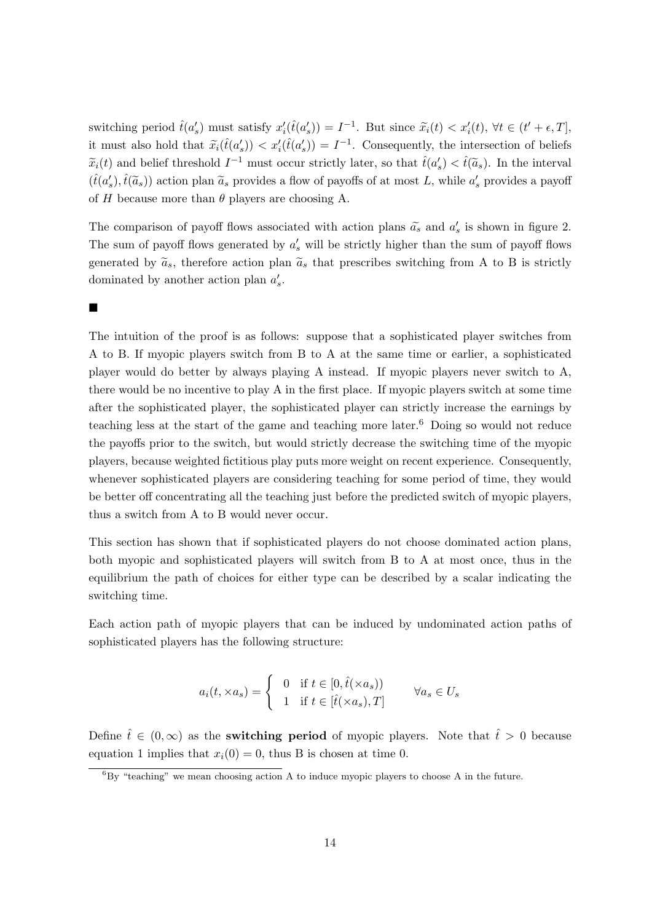switching period  $\hat{t}(a'_s)$  must satisfy  $x'_i(\hat{t}(a'_s)) = I^{-1}$ . But since  $\tilde{x}_i(t) < x'_i(t)$ ,  $\forall t \in (t' + \epsilon, T]$ , it must also hold that  $\tilde{x}_i(\hat{t}(a'_s)) < x'_i(\hat{t}(a'_s)) = I^{-1}$ . Consequently, the intersection of beliefs  $\widetilde{x}_i(t)$  and belief threshold  $I^{-1}$  must occur strictly later, so that  $\widehat{t}(a'_s) < \widehat{t}(a_s)$ . In the interval  $(\hat{t}(a'_s), \hat{t}(\tilde{a}_s))$  action plan  $\tilde{a}_s$  provides a flow of payoffs of at most L, while  $a'_s$  provides a payoff of H because more than  $\theta$  players are choosing A.

The comparison of payoff flows associated with action plans  $\tilde{a}_s$  and  $a'_s$  is shown in figure [2.](#page-13-0) The sum of payoff flows generated by  $a'_{s}$  will be strictly higher than the sum of payoff flows generated by  $\tilde{a}_s$ , therefore action plan  $\tilde{a}_s$  that prescribes switching from A to B is strictly dominated by another action plan  $a'_s$ .

 $\blacksquare$ 

The intuition of the proof is as follows: suppose that a sophisticated player switches from A to B. If myopic players switch from B to A at the same time or earlier, a sophisticated player would do better by always playing A instead. If myopic players never switch to A, there would be no incentive to play A in the first place. If myopic players switch at some time after the sophisticated player, the sophisticated player can strictly increase the earnings by teaching less at the start of the game and teaching more later.<sup>[6](#page-14-0)</sup> Doing so would not reduce the payoffs prior to the switch, but would strictly decrease the switching time of the myopic players, because weighted fictitious play puts more weight on recent experience. Consequently, whenever sophisticated players are considering teaching for some period of time, they would be better off concentrating all the teaching just before the predicted switch of myopic players, thus a switch from A to B would never occur.

This section has shown that if sophisticated players do not choose dominated action plans, both myopic and sophisticated players will switch from B to A at most once, thus in the equilibrium the path of choices for either type can be described by a scalar indicating the switching time.

Each action path of myopic players that can be induced by undominated action paths of sophisticated players has the following structure:

$$
a_i(t, \times a_s) = \begin{cases} 0 & \text{if } t \in [0, \hat{t}(\times a_s)) \\ 1 & \text{if } t \in [\hat{t}(\times a_s), T] \end{cases} \forall a_s \in U_s
$$

Define  $\hat{t} \in (0,\infty)$  as the **switching period** of myopic players. Note that  $\hat{t} > 0$  because equation [1](#page-6-3) implies that  $x_i(0) = 0$ , thus B is chosen at time 0.

<span id="page-14-0"></span> ${}^{6}$ By "teaching" we mean choosing action A to induce myopic players to choose A in the future.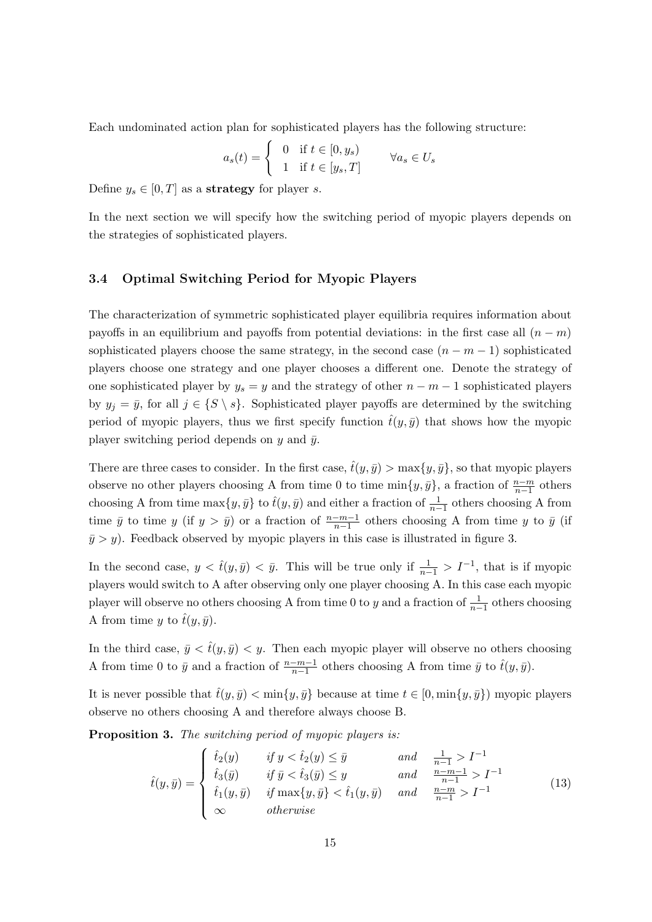Each undominated action plan for sophisticated players has the following structure:

$$
a_s(t) = \begin{cases} 0 & \text{if } t \in [0, y_s) \\ 1 & \text{if } t \in [y_s, T] \end{cases} \forall a_s \in U_s
$$

Define  $y_s \in [0, T]$  as a **strategy** for player *s*.

In the next section we will specify how the switching period of myopic players depends on the strategies of sophisticated players.

#### 3.4 Optimal Switching Period for Myopic Players

The characterization of symmetric sophisticated player equilibria requires information about payoffs in an equilibrium and payoffs from potential deviations: in the first case all  $(n - m)$ sophisticated players choose the same strategy, in the second case  $(n - m - 1)$  sophisticated players choose one strategy and one player chooses a different one. Denote the strategy of one sophisticated player by  $y_s = y$  and the strategy of other  $n - m - 1$  sophisticated players by  $y_j = \bar{y}$ , for all  $j \in \{S \setminus s\}$ . Sophisticated player payoffs are determined by the switching period of myopic players, thus we first specify function  $\hat{t}(y, \bar{y})$  that shows how the myopic player switching period depends on  $y$  and  $\bar{y}$ .

There are three cases to consider. In the first case,  $\hat{t}(y, \bar{y}) > \max\{y, \bar{y}\}\,$ , so that myopic players observe no other players choosing A from time 0 to time  $\min\{y,\bar{y}\}\text{, a fraction of } \frac{n-m}{n-1}$  others choosing A from time  $\max\{y, \bar{y}\}\)$  to  $\hat{t}(y, \bar{y})$  and either a fraction of  $\frac{1}{n-1}$  others choosing A from time  $\bar{y}$  to time y (if  $y > \bar{y}$ ) or a fraction of  $\frac{n-m-1}{n-1}$  others choosing A from time y to  $\bar{y}$  (if  $\bar{y} > y$ . Feedback observed by myopic players in this case is illustrated in figure [3.](#page-16-0)

In the second case,  $y < \hat{t}(y, \bar{y}) < \bar{y}$ . This will be true only if  $\frac{1}{n-1} > I^{-1}$ , that is if myopic players would switch to A after observing only one player choosing A. In this case each myopic player will observe no others choosing A from time 0 to y and a fraction of  $\frac{1}{n-1}$  others choosing A from time y to  $\hat{t}(y, \bar{y})$ .

In the third case,  $\bar{y} < \hat{t}(y, \bar{y}) < y$ . Then each myopic player will observe no others choosing A from time 0 to  $\bar{y}$  and a fraction of  $\frac{n-m-1}{n-1}$  others choosing A from time  $\bar{y}$  to  $\hat{t}(y, \bar{y})$ .

It is never possible that  $\hat{t}(y, \bar{y}) < \min\{y, \bar{y}\}\)$  because at time  $t \in [0, \min\{y, \bar{y}\}\)$  myopic players observe no others choosing A and therefore always choose B.

<span id="page-15-1"></span>Proposition 3. The switching period of myopic players is:

<span id="page-15-0"></span>
$$
\hat{t}(y,\bar{y}) = \begin{cases}\n\hat{t}_2(y) & \text{if } y < \hat{t}_2(y) \le \bar{y} & \text{and} & \frac{1}{n-1} > I^{-1} \\
\hat{t}_3(\bar{y}) & \text{if } \bar{y} < \hat{t}_3(\bar{y}) \le y & \text{and} & \frac{n-m-1}{n-1} > I^{-1} \\
\hat{t}_1(y,\bar{y}) & \text{if } \max\{y,\bar{y}\} < \hat{t}_1(y,\bar{y}) & \text{and} & \frac{n-m}{n-1} > I^{-1} \\
\infty & \text{otherwise}\n\end{cases}
$$
\n(13)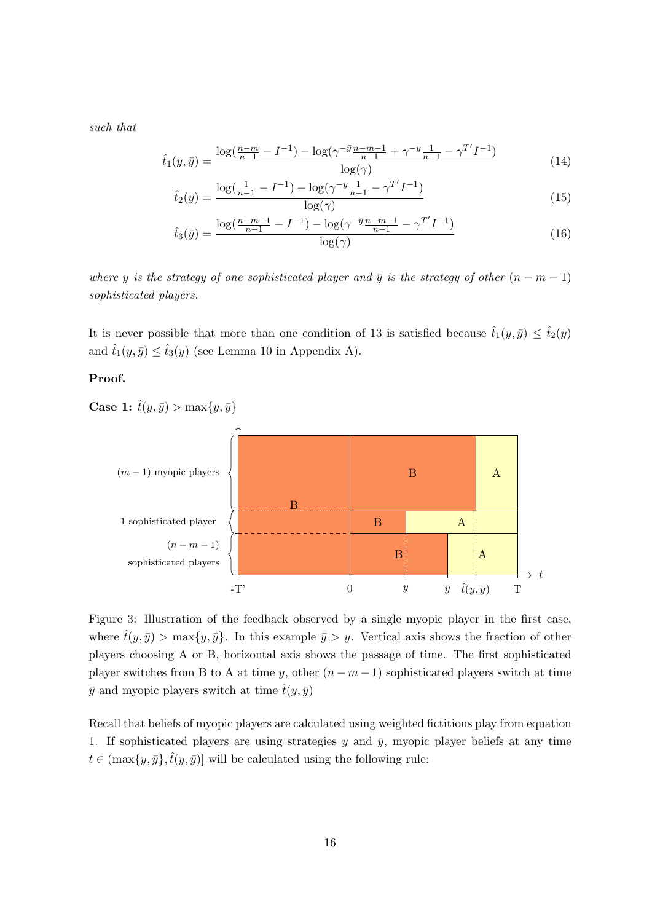such that

$$
\hat{t}_1(y,\bar{y}) = \frac{\log(\frac{n-m}{n-1} - I^{-1}) - \log(\gamma^{-\bar{y}}\frac{n-m-1}{n-1} + \gamma^{-y}\frac{1}{n-1} - \gamma^{T'}I^{-1})}{\log(\gamma)}
$$
(14)

$$
\hat{t}_2(y) = \frac{\log(\frac{1}{n-1} - I^{-1}) - \log(\gamma^{-y} \frac{1}{n-1} - \gamma^{T'} I^{-1})}{\log(\gamma)}
$$
\n(15)

$$
\hat{t}_3(\bar{y}) = \frac{\log(\frac{n-m-1}{n-1} - I^{-1}) - \log(\gamma^{-\bar{y}} \frac{n-m-1}{n-1} - \gamma^{T'} I^{-1})}{\log(\gamma)}\tag{16}
$$

where y is the strategy of one sophisticated player and  $\bar{y}$  is the strategy of other  $(n - m - 1)$ sophisticated players.

It is never possible that more than one condition of [13](#page-15-0) is satisfied because  $\hat{t}_1(y, \bar{y}) \leq \hat{t}_2(y)$ and  $\hat{t}_1(y, \bar{y}) \leq \hat{t}_3(y)$  (see Lemma [10](#page-44-0) in Appendix [A\)](#page-34-0).

# Proof.

Case 1:  $\hat{t}(y, \bar{y}) > \max\{y, \bar{y}\}\$ 

<span id="page-16-0"></span>

Figure 3: Illustration of the feedback observed by a single myopic player in the first case, where  $\hat{t}(y, \bar{y}) > \max\{y, \bar{y}\}\.$  In this example  $\bar{y} > y$ . Vertical axis shows the fraction of other players choosing A or B, horizontal axis shows the passage of time. The first sophisticated player switches from B to A at time y, other  $(n - m - 1)$  sophisticated players switch at time  $\bar{y}$  and myopic players switch at time  $\hat{t}(y, \bar{y})$ 

Recall that beliefs of myopic players are calculated using weighted fictitious play from equation [1.](#page-6-3) If sophisticated players are using strategies  $y$  and  $\bar{y}$ , myopic player beliefs at any time  $t \in (\max\{y, \bar{y}\}, \hat{t}(y, \bar{y})]$  will be calculated using the following rule: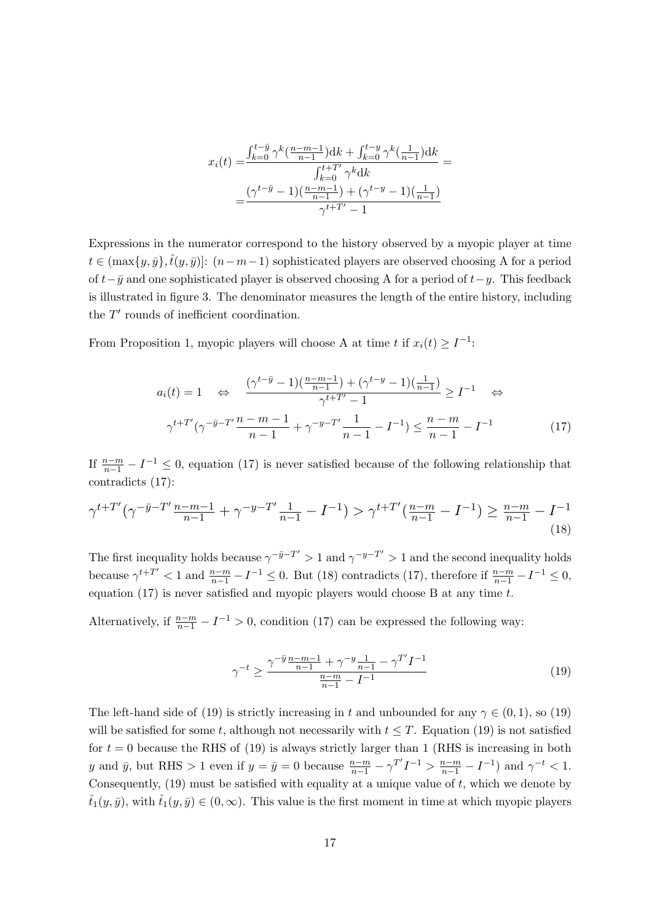$$
x_i(t) = \frac{\int_{k=0}^{t-\bar{y}} \gamma^k(\frac{n-m-1}{n-1})dk + \int_{k=0}^{t-y} \gamma^k(\frac{1}{n-1})dk}{\int_{k=0}^{t+\bar{T}'} \gamma^k dk} = \frac{(\gamma^{t-\bar{y}} - 1)(\frac{n-m-1}{n-1}) + (\gamma^{t-y} - 1)(\frac{1}{n-1})}{\gamma^{t+\bar{T}'} - 1}
$$

Expressions in the numerator correspond to the history observed by a myopic player at time  $t \in (\max\{y, \bar{y}\}, \hat{t}(y, \bar{y})]$ :  $(n-m-1)$  sophisticated players are observed choosing A for a period of  $t-\bar{y}$  and one sophisticated player is observed choosing A for a period of  $t-y$ . This feedback is illustrated in figure [3.](#page-16-0) The denominator measures the length of the entire history, including the  $T'$  rounds of inefficient coordination.

From Proposition [1,](#page-9-2) myopic players will choose A at time t if  $x_i(t) \geq I^{-1}$ :

<span id="page-17-0"></span>
$$
a_i(t) = 1 \quad \Leftrightarrow \quad \frac{(\gamma^{t-\bar{y}} - 1)(\frac{n-m-1}{n-1}) + (\gamma^{t-y} - 1)(\frac{1}{n-1})}{\gamma^{t+T'} - 1} \ge I^{-1} \quad \Leftrightarrow
$$

$$
\gamma^{t+T'}(\gamma^{-\bar{y}-T'}\frac{n-m-1}{n-1} + \gamma^{-y-T'}\frac{1}{n-1} - I^{-1}) \le \frac{n-m}{n-1} - I^{-1} \tag{17}
$$

If  $\frac{n-m}{n-1} - I^{-1} \leq 0$ , equation [\(17\)](#page-17-0) is never satisfied because of the following relationship that contradicts [\(17\)](#page-17-0):

<span id="page-17-1"></span>
$$
\gamma^{t+T'}(\gamma^{-\bar{y}-T'}\tfrac{n-m-1}{n-1} + \gamma^{-y-T'}\tfrac{1}{n-1} - I^{-1}) > \gamma^{t+T'}(\tfrac{n-m}{n-1} - I^{-1}) \ge \tfrac{n-m}{n-1} - I^{-1}
$$
\n(18)

The first inequality holds because  $\gamma^{-\bar{y}-T'} > 1$  and  $\gamma^{-y-T'} > 1$  and the second inequality holds because  $\gamma^{t+T'}$  < 1 and  $\frac{n-m}{n-1} - I^{-1} \leq 0$ . But [\(18\)](#page-17-1) contradicts [\(17\)](#page-17-0), therefore if  $\frac{n-m}{n-1} - I^{-1} \leq 0$ , equation [\(17\)](#page-17-0) is never satisfied and myopic players would choose B at any time  $t$ .

Alternatively, if  $\frac{n-m}{n-1} - I^{-1} > 0$ , condition [\(17\)](#page-17-0) can be expressed the following way:

<span id="page-17-2"></span>
$$
\gamma^{-t} \ge \frac{\gamma^{-\bar{y}} \frac{n-m-1}{n-1} + \gamma^{-y} \frac{1}{n-1} - \gamma^{T'} I^{-1}}{\frac{n-m}{n-1} - I^{-1}} \tag{19}
$$

The left-hand side of [\(19\)](#page-17-2) is strictly increasing in t and unbounded for any  $\gamma \in (0,1)$ , so (19) will be satisfied for some t, although not necessarily with  $t \leq T$ . Equation [\(19\)](#page-17-2) is not satisfied for  $t = 0$  because the RHS of [\(19\)](#page-17-2) is always strictly larger than 1 (RHS is increasing in both y and  $\bar{y}$ , but RHS > 1 even if  $y = \bar{y} = 0$  because  $\frac{n-m}{n-1} - \gamma^{T'} I^{-1} > \frac{n-m}{n-1} - I^{-1}$  and  $\gamma^{-t} < 1$ . Consequently,  $(19)$  must be satisfied with equality at a unique value of t, which we denote by  $\hat{t}_1(y,\bar{y})$ , with  $\hat{t}_1(y,\bar{y}) \in (0,\infty)$ . This value is the first moment in time at which myopic players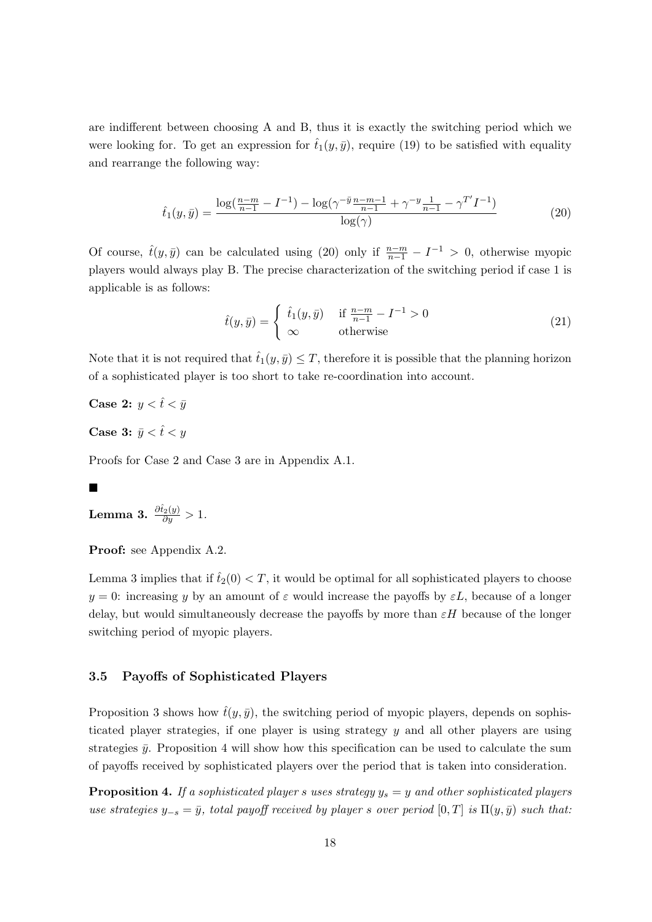are indifferent between choosing A and B, thus it is exactly the switching period which we were looking for. To get an expression for  $\hat{t}_1(y,\bar{y})$ , require [\(19\)](#page-17-2) to be satisfied with equality and rearrange the following way:

<span id="page-18-0"></span>
$$
\hat{t}_1(y,\bar{y}) = \frac{\log(\frac{n-m}{n-1} - I^{-1}) - \log(\gamma^{-\bar{y}}\frac{n-m-1}{n-1} + \gamma^{-y}\frac{1}{n-1} - \gamma^{T'}I^{-1})}{\log(\gamma)}
$$
(20)

Of course,  $\hat{t}(y, \bar{y})$  can be calculated using [\(20\)](#page-18-0) only if  $\frac{n-m}{n-1} - I^{-1} > 0$ , otherwise myopic players would always play B. The precise characterization of the switching period if case 1 is applicable is as follows:

$$
\hat{t}(y,\bar{y}) = \begin{cases} \hat{t}_1(y,\bar{y}) & \text{if } \frac{n-m}{n-1} - I^{-1} > 0 \\ \infty & \text{otherwise} \end{cases}
$$
\n(21)

Note that it is not required that  $\hat{t}_1(y, \bar{y}) \leq T$ , therefore it is possible that the planning horizon of a sophisticated player is too short to take re-coordination into account.

Case 2:  $y < \hat{t} < \bar{y}$ 

Case 3:  $\bar{y} < \hat{t} < y$ 

Proofs for Case 2 and Case 3 are in Appendix [A.1.](#page-34-1)

# Ē

<span id="page-18-1"></span>Lemma 3.  $\frac{\partial \hat{t}_2(y)}{\partial y} > 1$ .

Proof: see Appendix [A.2.](#page-36-0)

Lemma [3](#page-18-1) implies that if  $\hat{t}_2(0) < T$ , it would be optimal for all sophisticated players to choose  $y = 0$ : increasing y by an amount of  $\varepsilon$  would increase the payoffs by  $\varepsilon L$ , because of a longer delay, but would simultaneously decrease the payoffs by more than  $\varepsilon H$  because of the longer switching period of myopic players.

# 3.5 Payoffs of Sophisticated Players

Proposition [3](#page-15-1) shows how  $\hat{t}(y, \bar{y})$ , the switching period of myopic players, depends on sophisticated player strategies, if one player is using strategy y and all other players are using strategies  $\bar{y}$ . Proposition [4](#page-18-2) will show how this specification can be used to calculate the sum of payoffs received by sophisticated players over the period that is taken into consideration.

<span id="page-18-2"></span>**Proposition 4.** If a sophisticated player s uses strategy  $y_s = y$  and other sophisticated players use strategies  $y_{-s} = \bar{y}$ , total payoff received by player s over period  $[0, T]$  is  $\Pi(y, \bar{y})$  such that: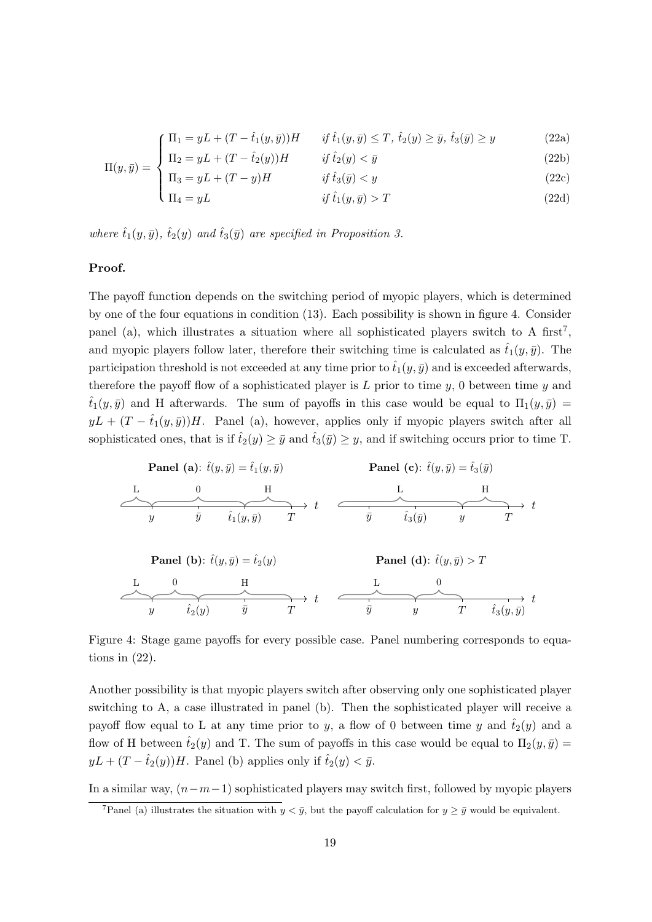<span id="page-19-2"></span>
$$
\int \Pi_1 = yL + (T - \hat{t}_1(y, \bar{y}))H \qquad \text{if } \hat{t}_1(y, \bar{y}) \le T, \ \hat{t}_2(y) \ge \bar{y}, \ \hat{t}_3(\bar{y}) \ge y \tag{22a}
$$

$$
\Pi(y,\bar{y}) = \begin{cases}\n\Pi_2 = yL + (T - \hat{t}_2(y))H & \text{if } \hat{t}_2(y) < \bar{y} \\
\Pi_1 = yL + (T - y)H & \text{if } \hat{t}_1(\bar{y}) < y\n\end{cases}
$$
\n(22b)

$$
\begin{cases}\n\Pi_3 = yL + (T - y)H & \text{if } \hat{t}_3(\bar{y}) < y \\
\Pi_4 = yL & \text{if } \hat{t}_1(y, \bar{y}) > T\n\end{cases}
$$
\n(22c)

where  $\hat{t}_1(y,\bar{y}), \hat{t}_2(y)$  and  $\hat{t}_3(\bar{y})$  are specified in Proposition [3.](#page-15-1)

#### Proof.

The payoff function depends on the switching period of myopic players, which is determined by one of the four equations in condition [\(13\)](#page-15-0). Each possibility is shown in figure [4.](#page-19-0) Consider panel (a), which illustrates a situation where all sophisticated players switch to A first<sup>[7](#page-19-1)</sup>, and myopic players follow later, therefore their switching time is calculated as  $\hat{t}_1(y,\bar{y})$ . The participation threshold is not exceeded at any time prior to  $\hat{t}_1(y, \bar{y})$  and is exceeded afterwards, therefore the payoff flow of a sophisticated player is  $L$  prior to time  $y$ , 0 between time  $y$  and  $\hat{t}_1(y,\bar{y})$  and H afterwards. The sum of payoffs in this case would be equal to  $\Pi_1(y,\bar{y}) =$  $yL + (T - \hat{t}_1(y, \bar{y}))H$ . Panel (a), however, applies only if myopic players switch after all sophisticated ones, that is if  $\hat{t}_2(y) \geq \bar{y}$  and  $\hat{t}_3(\bar{y}) \geq y$ , and if switching occurs prior to time T.

<span id="page-19-0"></span>

| Panel (a): $\hat{t}(y, \bar{y}) = \hat{t}_1(y, \bar{y})$ | Panel (c): $\hat{t}(y, \bar{y}) = \hat{t}_3(\bar{y})$ |                         |   |           |                      |   |   |
|----------------------------------------------------------|-------------------------------------------------------|-------------------------|---|-----------|----------------------|---|---|
| L                                                        | 0                                                     | H                       | L | H         |                      |   |   |
| y                                                        | $\bar{y}$                                             | $\hat{t}_1(y, \bar{y})$ | T | $\bar{y}$ | $\hat{t}_3(\bar{y})$ | y | T |

\n**Panel (b):**  $\hat{t}(y, \bar{y}) = \hat{t}_2(y)$ 

\n**Panel (d):**  $\hat{t}(y, \bar{y}) > T$ 

\n $\frac{L}{y}$ 

\n $\frac{0}{\hat{t}_2(y)}$ 

\n $\frac{H}{\bar{y}}$ 

\n $\frac{L}{\bar{y}}$ 

\n $\frac{0}{\bar{y}}$ 

\n $\frac{L}{\bar{y}}$ 

\n $\frac{0}{\bar{y}}$ 

\n $\frac{L}{\bar{t}_3(y, \bar{y})}$ 

\n $\frac{L}{\bar{t}_3(y, \bar{y})}$ 

Figure 4: Stage game payoffs for every possible case. Panel numbering corresponds to equations in  $(22)$ .

Another possibility is that myopic players switch after observing only one sophisticated player switching to A, a case illustrated in panel (b). Then the sophisticated player will receive a payoff flow equal to L at any time prior to y, a flow of 0 between time y and  $\hat{t}_2(y)$  and a flow of H between  $\hat{t}_2(y)$  and T. The sum of payoffs in this case would be equal to  $\Pi_2(y, \bar{y}) =$  $yL + (T - \hat{t}_2(y))H$ . Panel (b) applies only if  $\hat{t}_2(y) < \bar{y}$ .

In a similar way,  $(n-m-1)$  sophisticated players may switch first, followed by myopic players

<span id="page-19-1"></span><sup>&</sup>lt;sup>7</sup>Panel (a) illustrates the situation with  $y < \bar{y}$ , but the payoff calculation for  $y \geq \bar{y}$  would be equivalent.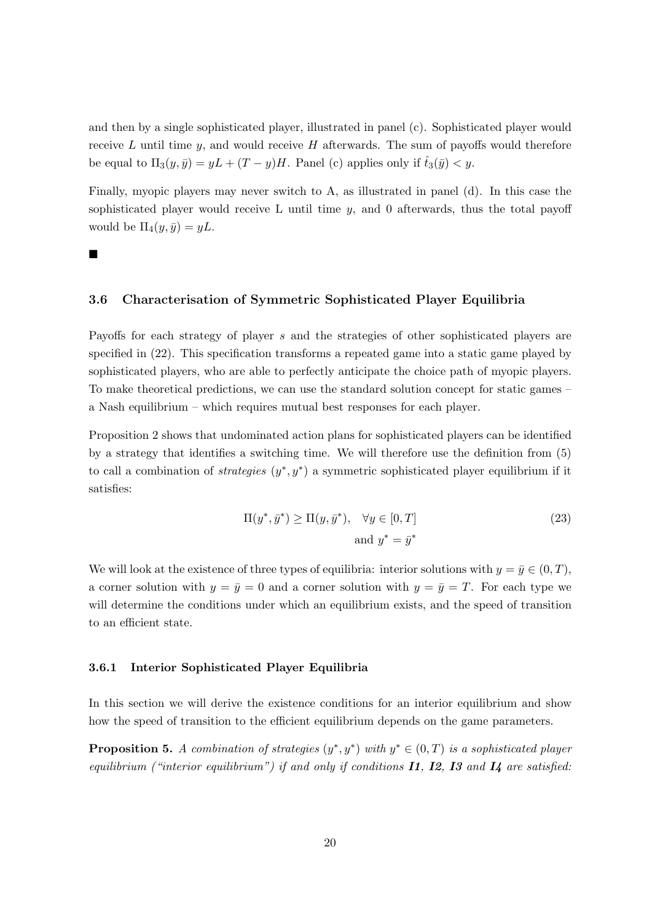and then by a single sophisticated player, illustrated in panel (c). Sophisticated player would receive  $L$  until time  $y$ , and would receive  $H$  afterwards. The sum of payoffs would therefore be equal to  $\Pi_3(y, \bar{y}) = yL + (T - y)H$ . Panel (c) applies only if  $\hat{t}_3(\bar{y}) < y$ .

Finally, myopic players may never switch to A, as illustrated in panel (d). In this case the sophisticated player would receive  $L$  until time  $y$ , and 0 afterwards, thus the total payoff would be  $\Pi_4(y, \bar{y}) = yL$ .

п

#### 3.6 Characterisation of Symmetric Sophisticated Player Equilibria

Payoffs for each strategy of player s and the strategies of other sophisticated players are specified in [\(22\)](#page-19-2). This specification transforms a repeated game into a static game played by sophisticated players, who are able to perfectly anticipate the choice path of myopic players. To make theoretical predictions, we can use the standard solution concept for static games – a Nash equilibrium – which requires mutual best responses for each player.

Proposition [2](#page-12-1) shows that undominated action plans for sophisticated players can be identified by a strategy that identifies a switching time. We will therefore use the definition from [\(5\)](#page-7-0) to call a combination of *strategies*  $(y^*, y^*)$  a symmetric sophisticated player equilibrium if it satisfies:

<span id="page-20-1"></span>
$$
\Pi(y^*, \bar{y}^*) \ge \Pi(y, \bar{y}^*), \quad \forall y \in [0, T]
$$
\n
$$
\text{and } y^* = \bar{y}^*
$$
\n
$$
(23)
$$

We will look at the existence of three types of equilibria: interior solutions with  $y = \bar{y} \in (0, T)$ , a corner solution with  $y = \bar{y} = 0$  and a corner solution with  $y = \bar{y} = T$ . For each type we will determine the conditions under which an equilibrium exists, and the speed of transition to an efficient state.

#### 3.6.1 Interior Sophisticated Player Equilibria

In this section we will derive the existence conditions for an interior equilibrium and show how the speed of transition to the efficient equilibrium depends on the game parameters.

<span id="page-20-0"></span>**Proposition 5.** A combination of strategies  $(y^*, y^*)$  with  $y^* \in (0,T)$  is a sophisticated player equilibrium ("interior equilibrium") if and only if conditions  $\mathbf{I1}, \mathbf{I2}, \mathbf{I3}$  and  $\mathbf{I4}$  are satisfied: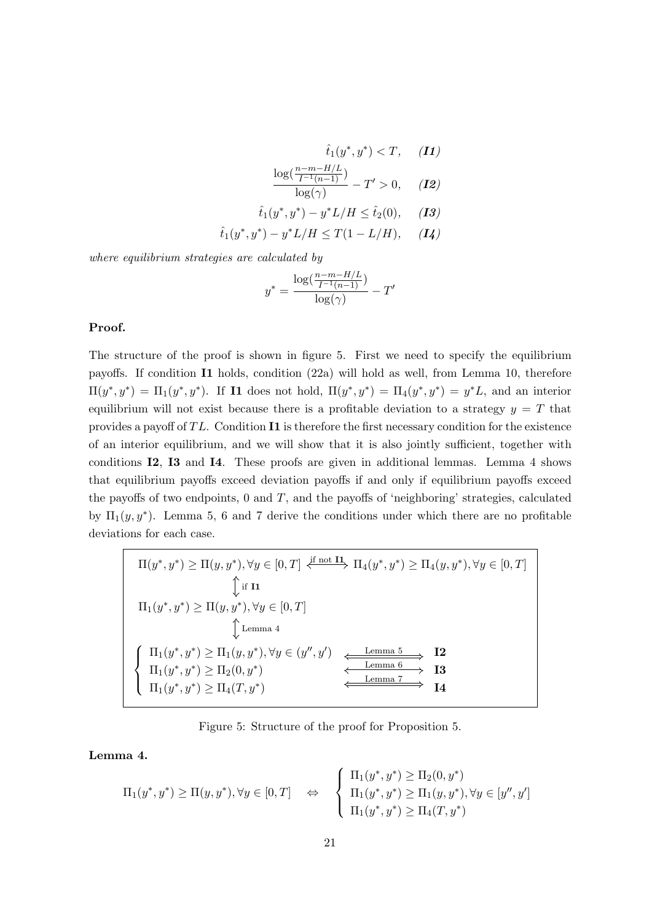$$
\hat{t}_1(y^*, y^*) < T, \quad \textbf{(I1)}
$$

$$
\frac{\log(\frac{n-m-H/L}{I^{-1}(n-1)})}{\log(\gamma)} - T' > 0, \quad (12)
$$

$$
\hat{t}_1(y^*, y^*) - y^* L/H \leq \hat{t}_2(0), \quad (13)
$$

$$
\hat{t}_1(y^*, y^*) - y^* L/H \leq T(1 - L/H), \quad (I4)
$$

where equilibrium strategies are calculated by

$$
y^* = \frac{\log(\frac{n-m-H/L}{I^{-1}(n-1)})}{\log(\gamma)} - T'
$$

#### Proof.

The structure of the proof is shown in figure [5.](#page-21-0) First we need to specify the equilibrium payoffs. If condition I1 holds, condition [\(22a\)](#page-19-2) will hold as well, from Lemma [10,](#page-44-0) therefore  $\Pi(y^*, y^*) = \Pi_1(y^*, y^*)$ . If **I1** does not hold,  $\Pi(y^*, y^*) = \Pi_4(y^*, y^*) = y^*L$ , and an interior equilibrium will not exist because there is a profitable deviation to a strategy  $y = T$  that provides a payoff of  $TL$ . Condition I1 is therefore the first necessary condition for the existence of an interior equilibrium, and we will show that it is also jointly sufficient, together with conditions I2, I3 and I4. These proofs are given in additional lemmas. Lemma [4](#page-21-1) shows that equilibrium payoffs exceed deviation payoffs if and only if equilibrium payoffs exceed the payoffs of two endpoints,  $0$  and  $T$ , and the payoffs of 'neighboring' strategies, calculated by  $\Pi_1(y, y^*)$ . Lemma [5,](#page-22-0) [6](#page-22-1) and [7](#page-22-2) derive the conditions under which there are no profitable deviations for each case.

<span id="page-21-0"></span>
$$
\Pi(y^*, y^*) \ge \Pi(y, y^*), \forall y \in [0, T] \xleftrightarrow{\text{if not } \Pi_1}(y^*, y^*) \ge \Pi_4(y, y^*), \forall y \in [0, T]
$$
\n
$$
\Downarrow \text{if } \Pi_1(y^*, y^*) \ge \Pi(y, y^*), \forall y \in [0, T]
$$
\n
$$
\Downarrow \text{Lemma 4}
$$
\n
$$
\left\{\n\begin{array}{l}\n\Pi_1(y^*, y^*) \ge \Pi_1(y, y^*), \forall y \in (y'', y') \\
\Pi_1(y^*, y^*) \ge \Pi_2(0, y^*)\n\end{array}\n\right\}\n\xrightarrow{\text{Lemma 5}}\n\begin{array}{l}\n\Pi_2 \\
\downarrow \text{Lemma 6} \\
\Pi_3 \\
\hline\n\end{array}
$$
\n
$$
\Pi_1(y^*, y^*) \ge \Pi_2(0, y^*)\n\end{array}\n\xrightarrow{\text{Lemma 6}}\n\begin{array}{l}\n\Pi_2 \\
\downarrow \text{Lemma 7} \\
\Pi_4\n\end{array}
$$

Figure 5: Structure of the proof for Proposition [5.](#page-20-0)

## <span id="page-21-1"></span>Lemma 4.

$$
\Pi_1(y^*, y^*) \geq \Pi(y, y^*), \forall y \in [0, T] \quad \Leftrightarrow \quad \begin{cases} \Pi_1(y^*, y^*) \geq \Pi_2(0, y^*) \\ \Pi_1(y^*, y^*) \geq \Pi_1(y, y^*), \forall y \in [y'', y'] \\ \Pi_1(y^*, y^*) \geq \Pi_4(T, y^*) \end{cases}
$$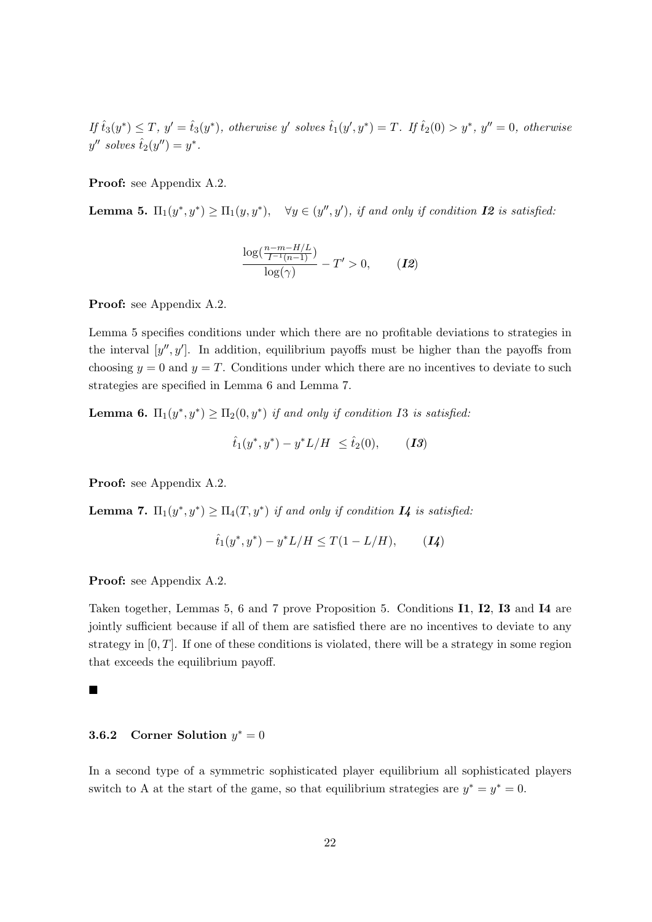If  $\hat{t}_3(y^*) \leq T$ ,  $y' = \hat{t}_3(y^*)$ , otherwise y' solves  $\hat{t}_1(y', y^*) = T$ . If  $\hat{t}_2(0) > y^*$ ,  $y'' = 0$ , otherwise  $y''$  solves  $\hat{t}_2(y'') = y^*$ .

Proof: see Appendix [A.2.](#page-36-0)

<span id="page-22-0"></span>**Lemma 5.**  $\Pi_1(y^*, y^*) \ge \Pi_1(y, y^*)$ ,  $\forall y \in (y'', y')$ , if and only if condition **I2** is satisfied.

$$
\frac{\log(\frac{n-m-H/L}{I^{-1}(n-1)})}{\log(\gamma)} - T' > 0, \qquad (12)
$$

Proof: see Appendix [A.2.](#page-36-0)

Lemma [5](#page-22-0) specifies conditions under which there are no profitable deviations to strategies in the interval  $[y'', y']$ . In addition, equilibrium payoffs must be higher than the payoffs from choosing  $y = 0$  and  $y = T$ . Conditions under which there are no incentives to deviate to such strategies are specified in Lemma [6](#page-22-1) and Lemma [7.](#page-22-2)

<span id="page-22-1"></span>**Lemma 6.**  $\Pi_1(y^*, y^*) \ge \Pi_2(0, y^*)$  if and only if condition I3 is satisfied:

$$
\hat{t}_1(y^*, y^*) - y^* L/H \leq \hat{t}_2(0),
$$
 (13)

Proof: see Appendix [A.2.](#page-36-0)

<span id="page-22-2"></span>**Lemma 7.**  $\Pi_1(y^*, y^*) \ge \Pi_4(T, y^*)$  if and only if condition  $I$ 4 is satisfied:

$$
\hat{t}_1(y^*, y^*) - y^* L/H \le T(1 - L/H), \qquad (I4)
$$

Proof: see Appendix [A.2.](#page-36-0)

Taken together, Lemmas [5,](#page-22-0) [6](#page-22-1) and [7](#page-22-2) prove Proposition [5.](#page-20-0) Conditions **I1, I2, I3** and **I4** are jointly sufficient because if all of them are satisfied there are no incentives to deviate to any strategy in  $[0, T]$ . If one of these conditions is violated, there will be a strategy in some region that exceeds the equilibrium payoff.

#### ■

# **3.6.2** Corner Solution  $y^* = 0$

In a second type of a symmetric sophisticated player equilibrium all sophisticated players switch to A at the start of the game, so that equilibrium strategies are  $y^* = y^* = 0$ .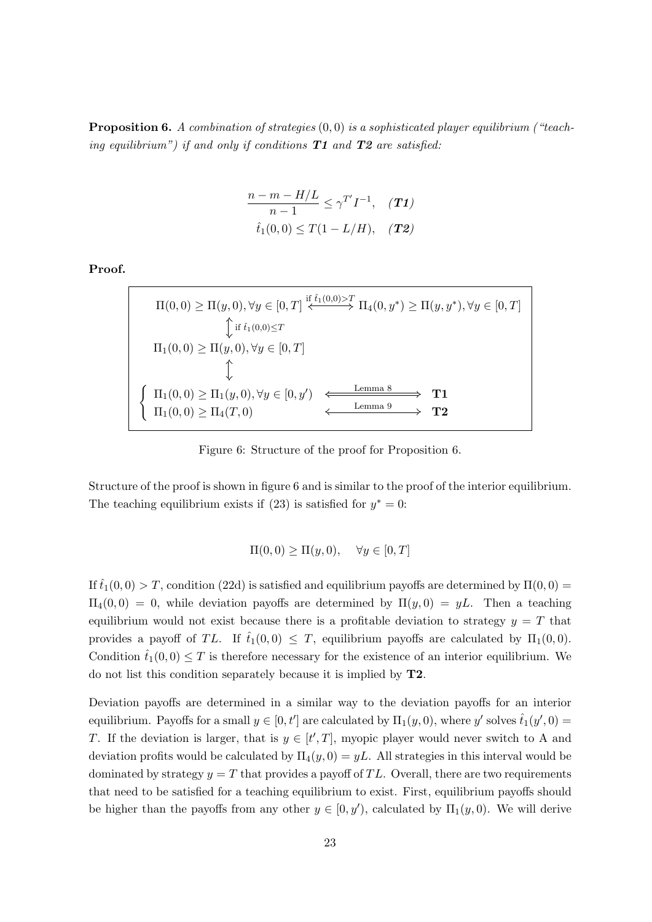<span id="page-23-0"></span>**Proposition 6.** A combination of strategies  $(0,0)$  is a sophisticated player equilibrium ("teaching equilibrium") if and only if conditions  $T1$  and  $T2$  are satisfied:

$$
\frac{n-m-H/L}{n-1} \le \gamma^{T'} I^{-1}, \quad (T1)
$$
  
 $\hat{t}_1(0,0) \le T(1-L/H), \quad (T2)$ 

<span id="page-23-1"></span>Proof.

$$
\Pi(0,0) \geq \Pi(y,0), \forall y \in [0,T] \stackrel{\text{if } \hat{t}_1(0,0) > T}{\iff} \Pi_4(0,y^*) \geq \Pi(y,y^*), \forall y \in [0,T]
$$
\n
$$
\begin{aligned}\n\varphi &\text{if } \hat{t}_1(0,0) \leq T \\
\text{if } \hat{t}_1(0,0) \leq T\n\end{aligned}
$$
\n
$$
\begin{aligned}\n\Pi_1(0,0) &\geq \Pi(y,0), \forall y \in [0,T] \\
\varphi &\text{Lemma 8}\n\end{aligned}
$$
\n
$$
\begin{aligned}\n\Pi_1(0,0) &\geq \Pi_1(y,0), \forall y \in [0,y') \xrightarrow{\text{Lemma 8}} \text{Lemma 9} \\
\text{Lemma 9}\n\end{aligned}
$$

Figure 6: Structure of the proof for Proposition [6.](#page-23-0)

Structure of the proof is shown in figure [6](#page-23-1) and is similar to the proof of the interior equilibrium. The teaching equilibrium exists if [\(23\)](#page-20-1) is satisfied for  $y^* = 0$ :

$$
\Pi(0,0) \ge \Pi(y,0), \quad \forall y \in [0,T]
$$

If  $\hat{t}_1(0,0) > T$ , condition [\(22d\)](#page-19-2) is satisfied and equilibrium payoffs are determined by  $\Pi(0,0) =$  $\Pi_4(0,0) = 0$ , while deviation payoffs are determined by  $\Pi(y,0) = yL$ . Then a teaching equilibrium would not exist because there is a profitable deviation to strategy  $y = T$  that provides a payoff of TL. If  $\hat{t}_1(0,0) \leq T$ , equilibrium payoffs are calculated by  $\Pi_1(0,0)$ . Condition  $\hat{t}_1(0,0) \leq T$  is therefore necessary for the existence of an interior equilibrium. We do not list this condition separately because it is implied by T2.

Deviation payoffs are determined in a similar way to the deviation payoffs for an interior equilibrium. Payoffs for a small  $y \in [0, t']$  are calculated by  $\Pi_1(y, 0)$ , where y' solves  $\hat{t}_1(y', 0)$  = T. If the deviation is larger, that is  $y \in [t',T]$ , myopic player would never switch to A and deviation profits would be calculated by  $\Pi_4(y,0) = yL$ . All strategies in this interval would be dominated by strategy  $y = T$  that provides a payoff of TL. Overall, there are two requirements that need to be satisfied for a teaching equilibrium to exist. First, equilibrium payoffs should be higher than the payoffs from any other  $y \in [0, y')$ , calculated by  $\Pi_1(y, 0)$ . We will derive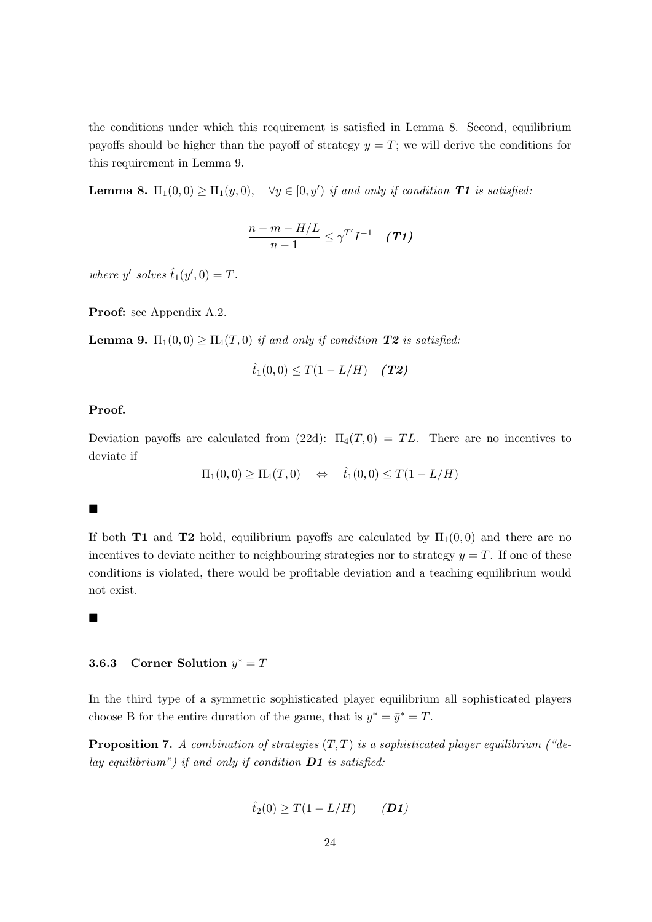the conditions under which this requirement is satisfied in Lemma [8.](#page-24-0) Second, equilibrium payoffs should be higher than the payoff of strategy  $y = T$ ; we will derive the conditions for this requirement in Lemma [9.](#page-24-1)

<span id="page-24-0"></span>**Lemma 8.**  $\Pi_1(0,0) \ge \Pi_1(y,0)$ ,  $\forall y \in [0, y')$  if and only if condition **T1** is satisfied.

$$
\frac{n-m-H/L}{n-1}\leq \gamma^{T'}I^{-1} \quad (T1)
$$

where y' solves  $\hat{t}_1(y',0) = T$ .

Proof: see Appendix [A.2.](#page-36-0)

<span id="page-24-1"></span>**Lemma 9.**  $\Pi_1(0,0) \geq \Pi_4(T,0)$  if and only if condition **T2** is satisfied:

$$
\hat{t}_1(0,0) \leq T(1 - L/H)
$$
 (T2)

#### Proof.

Deviation payoffs are calculated from [\(22d\)](#page-19-2):  $\Pi_4(T,0) = TL$ . There are no incentives to deviate if

$$
\Pi_1(0,0) \ge \Pi_4(T,0) \quad \Leftrightarrow \quad \hat{t}_1(0,0) \le T(1-L/H)
$$

#### $\blacksquare$

If both T1 and T2 hold, equilibrium payoffs are calculated by  $\Pi_1(0,0)$  and there are no incentives to deviate neither to neighbouring strategies nor to strategy  $y = T$ . If one of these conditions is violated, there would be profitable deviation and a teaching equilibrium would not exist.

#### $\blacksquare$

# **3.6.3** Corner Solution  $y^* = T$

In the third type of a symmetric sophisticated player equilibrium all sophisticated players choose B for the entire duration of the game, that is  $y^* = \bar{y}^* = T$ .

<span id="page-24-2"></span>**Proposition 7.** A combination of strategies  $(T, T)$  is a sophisticated player equilibrium ("delay equilibrium") if and only if condition  $\mathbf{D1}$  is satisfied:

$$
\hat{t}_2(0) \ge T(1 - L/H) \qquad (D1)
$$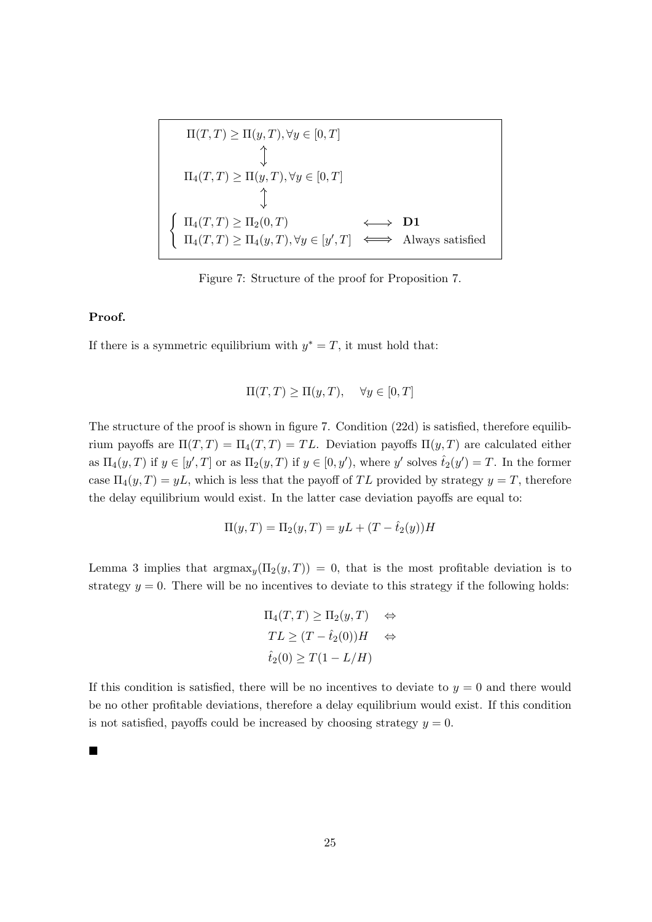<span id="page-25-0"></span>
$$
\Pi(T,T) \geq \Pi(y,T), \forall y \in [0,T]
$$
\n
$$
\uparrow
$$
\n
$$
\Pi_4(T,T) \geq \Pi(y,T), \forall y \in [0,T]
$$
\n
$$
\uparrow
$$
\n
$$
\Pi_4(T,T) \geq \Pi_2(0,T)
$$
\n
$$
\Leftrightarrow \textbf{D1}
$$
\n
$$
\Pi_4(T,T) \geq \Pi_4(y,T), \forall y \in [y',T] \iff \text{Always satisfied}
$$

Figure 7: Structure of the proof for Proposition [7.](#page-24-2)

## Proof.

If there is a symmetric equilibrium with  $y^* = T$ , it must hold that:

$$
\Pi(T, T) \ge \Pi(y, T), \quad \forall y \in [0, T]
$$

The structure of the proof is shown in figure [7.](#page-25-0) Condition [\(22d\)](#page-19-2) is satisfied, therefore equilibrium payoffs are  $\Pi(T,T) = \Pi_4(T,T) = TL$ . Deviation payoffs  $\Pi(y,T)$  are calculated either as  $\Pi_4(y,T)$  if  $y \in [y',T]$  or as  $\Pi_2(y,T)$  if  $y \in [0,y')$ , where y' solves  $\hat{t}_2(y') = T$ . In the former case  $\Pi_4(y,T) = yL$ , which is less that the payoff of TL provided by strategy  $y = T$ , therefore the delay equilibrium would exist. In the latter case deviation payoffs are equal to:

$$
\Pi(y,T) = \Pi_2(y,T) = yL + (T - \hat{t}_2(y))H
$$

Lemma [3](#page-18-1) implies that  $argmax_y(\Pi_2(y,T)) = 0$ , that is the most profitable deviation is to strategy  $y = 0$ . There will be no incentives to deviate to this strategy if the following holds:

$$
\Pi_4(T,T) \ge \Pi_2(y,T) \quad \Leftrightarrow
$$
  
\n
$$
TL \ge (T - \hat{t}_2(0))H \quad \Leftrightarrow
$$
  
\n
$$
\hat{t}_2(0) \ge T(1 - L/H)
$$

If this condition is satisfied, there will be no incentives to deviate to  $y = 0$  and there would be no other profitable deviations, therefore a delay equilibrium would exist. If this condition is not satisfied, payoffs could be increased by choosing strategy  $y = 0$ .

■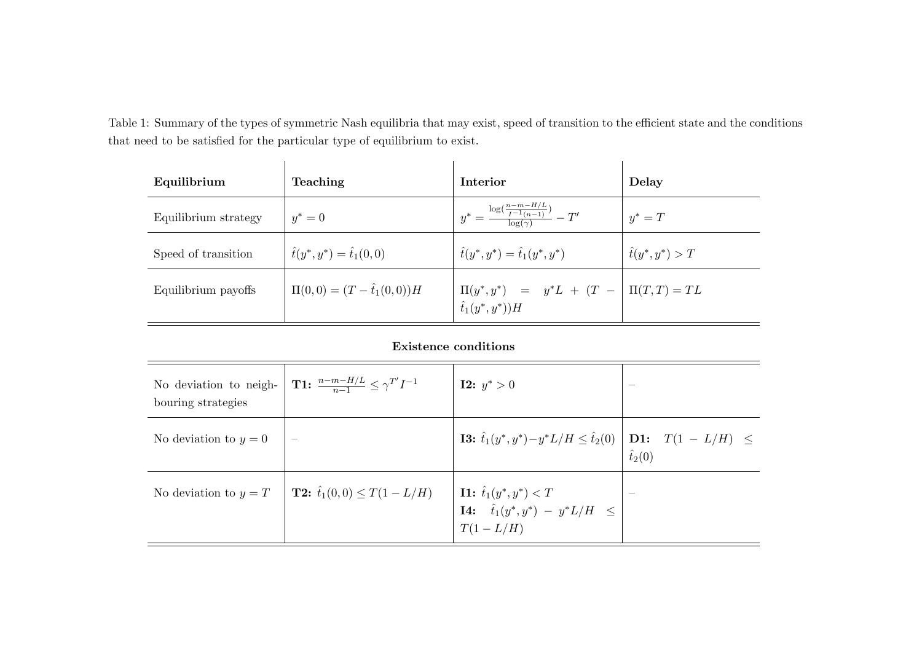Table 1: Summary of the types of symmetric Nash equilibria that may exist, speed of transition to the efficient state and the conditionsthat need to be satisfied for the particular type of equilibrium to exist.

| Equilibrium          | Teaching                              | Interior                                                                                                                      | Delay                   |
|----------------------|---------------------------------------|-------------------------------------------------------------------------------------------------------------------------------|-------------------------|
| Equilibrium strategy | $y^* = 0$                             | $y^* = \frac{\log(\frac{n-m-H/L}{I^{-1}(n-1)})}{\log(n)} - T'$                                                                | $y^* = T$               |
| Speed of transition  | $\hat{t}(y^*, y^*) = \hat{t}_1(0, 0)$ | $\hat{t}(y^*, y^*) = \hat{t}_1(y^*, y^*)$                                                                                     | $\hat{t}(y^*, y^*) > T$ |
| Equilibrium payoffs  | $\Pi(0,0)=(T-\hat{t}_1(0,0))H$        | $\left  \begin{array}{lll} \Pi(y^*,y^*) & = & y^*L \ + \ (T \ - \ \end{array} \right  \ \Pi(T,T) = TL \ \hat{t}_1(y^*,y^*))H$ |                         |

# Existence conditions

<span id="page-26-0"></span>

| No deviation to neigh-<br>bouring strategies | <b>T1:</b> $\frac{n-m-H/L}{n-1} \leq \gamma^{T'} I^{-1}$ | <b>I2:</b> $y^* > 0$                                                                                       |                |
|----------------------------------------------|----------------------------------------------------------|------------------------------------------------------------------------------------------------------------|----------------|
| No deviation to $y=0$                        |                                                          | <b>I3:</b> $\hat{t}_1(y^*, y^*) - y^* L/H \leq \hat{t}_2(0) \Big  \lim_{\hat{t} \to 0^+} T(1 - L/H) \Big $ | $\hat{t}_2(0)$ |
| No deviation to $y = T$                      | <b>T2:</b> $\hat{t}_1(0,0) \leq T(1-L/H)$                | <b>I1:</b> $\hat{t}_1(y^*, y^*) < T$<br><b>I4:</b> $\hat{t}_1(y^*, y^*) - y^*L/H \le$<br>$T(1-L/H)$        |                |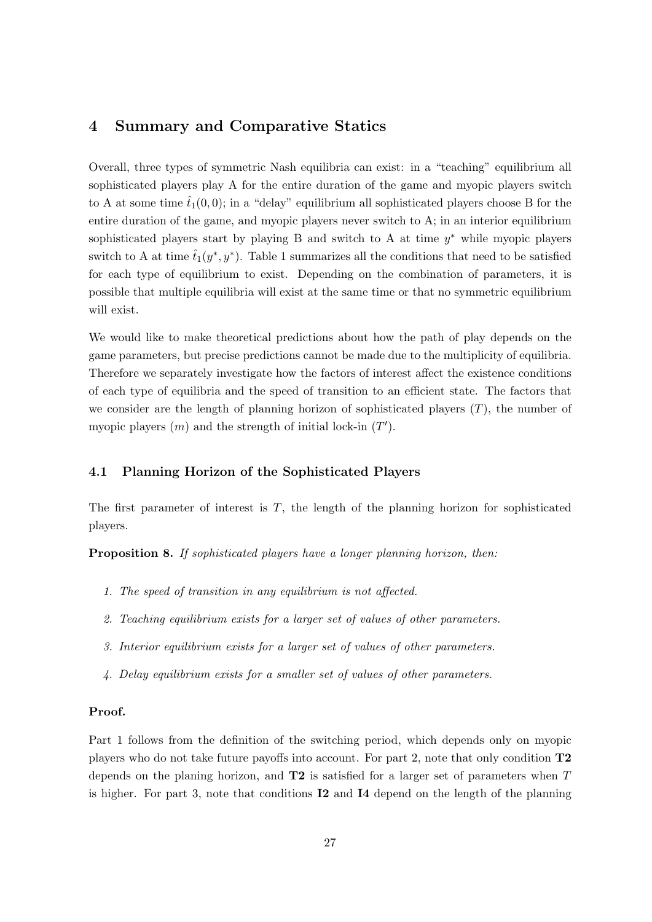# 4 Summary and Comparative Statics

Overall, three types of symmetric Nash equilibria can exist: in a "teaching" equilibrium all sophisticated players play A for the entire duration of the game and myopic players switch to A at some time  $\hat{t}_1(0,0)$ ; in a "delay" equilibrium all sophisticated players choose B for the entire duration of the game, and myopic players never switch to A; in an interior equilibrium sophisticated players start by playing B and switch to A at time  $y^*$  while myopic players switch to A at time  $\hat{t}_1(y^*, y^*)$ . Table [1](#page-26-0) summarizes all the conditions that need to be satisfied for each type of equilibrium to exist. Depending on the combination of parameters, it is possible that multiple equilibria will exist at the same time or that no symmetric equilibrium will exist.

We would like to make theoretical predictions about how the path of play depends on the game parameters, but precise predictions cannot be made due to the multiplicity of equilibria. Therefore we separately investigate how the factors of interest affect the existence conditions of each type of equilibria and the speed of transition to an efficient state. The factors that we consider are the length of planning horizon of sophisticated players  $(T)$ , the number of myopic players  $(m)$  and the strength of initial lock-in  $(T')$ .

# 4.1 Planning Horizon of the Sophisticated Players

The first parameter of interest is  $T$ , the length of the planning horizon for sophisticated players.

<span id="page-27-0"></span>Proposition 8. If sophisticated players have a longer planning horizon, then:

- 1. The speed of transition in any equilibrium is not affected.
- 2. Teaching equilibrium exists for a larger set of values of other parameters.
- 3. Interior equilibrium exists for a larger set of values of other parameters.
- 4. Delay equilibrium exists for a smaller set of values of other parameters.

#### Proof.

Part 1 follows from the definition of the switching period, which depends only on myopic players who do not take future payoffs into account. For part 2, note that only condition T2 depends on the planing horizon, and  $T2$  is satisfied for a larger set of parameters when  $T$ is higher. For part 3, note that conditions I2 and I4 depend on the length of the planning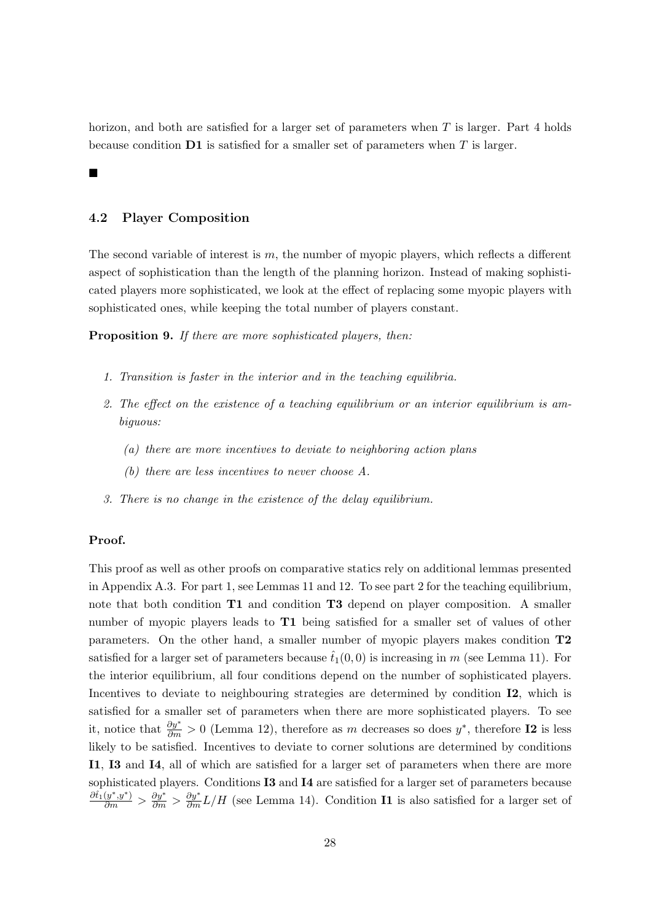horizon, and both are satisfied for a larger set of parameters when T is larger. Part 4 holds because condition  $\mathbf{D1}$  is satisfied for a smaller set of parameters when T is larger.

#### 4.2 Player Composition

П

The second variable of interest is  $m$ , the number of myopic players, which reflects a different aspect of sophistication than the length of the planning horizon. Instead of making sophisticated players more sophisticated, we look at the effect of replacing some myopic players with sophisticated ones, while keeping the total number of players constant.

<span id="page-28-0"></span>Proposition 9. If there are more sophisticated players, then:

- 1. Transition is faster in the interior and in the teaching equilibria.
- 2. The effect on the existence of a teaching equilibrium or an interior equilibrium is ambiguous:
	- (a) there are more incentives to deviate to neighboring action plans
	- (b) there are less incentives to never choose A.
- 3. There is no change in the existence of the delay equilibrium.

#### Proof.

This proof as well as other proofs on comparative statics rely on additional lemmas presented in Appendix [A.3.](#page-44-1) For part 1, see Lemmas [11](#page-45-0) and [12.](#page-46-0) To see part 2 for the teaching equilibrium, note that both condition **T1** and condition **T3** depend on player composition. A smaller number of myopic players leads to **T1** being satisfied for a smaller set of values of other parameters. On the other hand, a smaller number of myopic players makes condition T2 satisfied for a larger set of parameters because  $\hat{t}_1(0,0)$  is increasing in m (see Lemma [11\)](#page-45-0). For the interior equilibrium, all four conditions depend on the number of sophisticated players. Incentives to deviate to neighbouring strategies are determined by condition **I2**, which is satisfied for a smaller set of parameters when there are more sophisticated players. To see it, notice that  $\frac{\partial y^*}{\partial m} > 0$  (Lemma [12\)](#page-46-0), therefore as m decreases so does  $y^*$ , therefore **I2** is less likely to be satisfied. Incentives to deviate to corner solutions are determined by conditions I1, I3 and I4, all of which are satisfied for a larger set of parameters when there are more sophisticated players. Conditions I3 and I4 are satisfied for a larger set of parameters because  $\frac{\partial f_1(y^*,y^*)}{\partial m} > \frac{\partial y^*}{\partial m} > \frac{\partial y^*}{\partial m} L/H$  (see Lemma [14\)](#page-47-0). Condition **I1** is also satisfied for a larger set of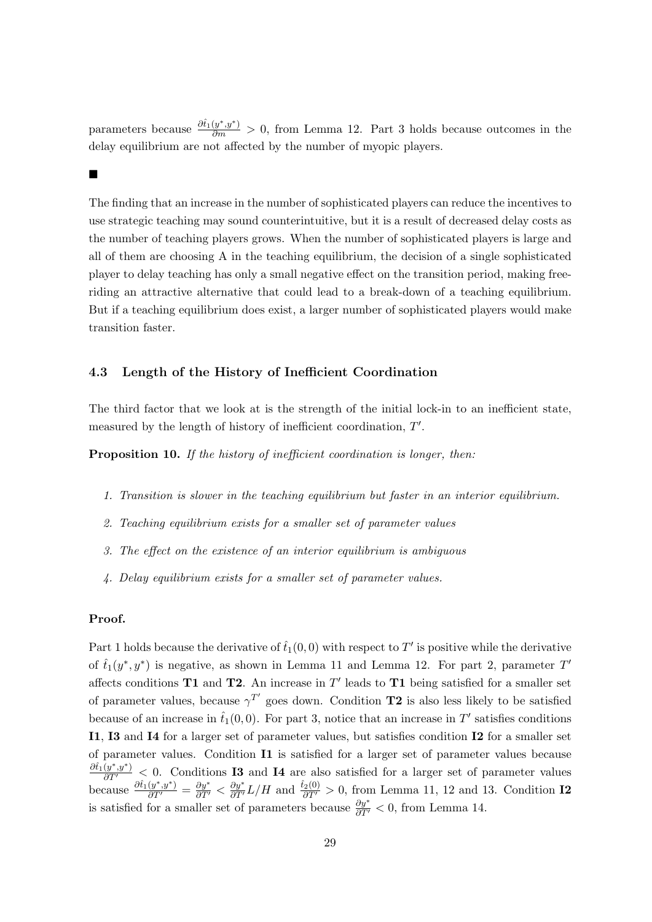parameters because  $\frac{\partial \hat{t}_1(y^*,y^*)}{\partial m} > 0$ , from Lemma [12.](#page-46-0) Part 3 holds because outcomes in the delay equilibrium are not affected by the number of myopic players.

#### $\blacksquare$

The finding that an increase in the number of sophisticated players can reduce the incentives to use strategic teaching may sound counterintuitive, but it is a result of decreased delay costs as the number of teaching players grows. When the number of sophisticated players is large and all of them are choosing A in the teaching equilibrium, the decision of a single sophisticated player to delay teaching has only a small negative effect on the transition period, making freeriding an attractive alternative that could lead to a break-down of a teaching equilibrium. But if a teaching equilibrium does exist, a larger number of sophisticated players would make transition faster.

#### 4.3 Length of the History of Inefficient Coordination

The third factor that we look at is the strength of the initial lock-in to an inefficient state, measured by the length of history of inefficient coordination,  $T'$ .

<span id="page-29-0"></span>**Proposition 10.** If the history of inefficient coordination is longer, then:

- 1. Transition is slower in the teaching equilibrium but faster in an interior equilibrium.
- 2. Teaching equilibrium exists for a smaller set of parameter values
- 3. The effect on the existence of an interior equilibrium is ambiguous
- 4. Delay equilibrium exists for a smaller set of parameter values.

## Proof.

Part 1 holds because the derivative of  $\hat{t}_1(0,0)$  with respect to T' is positive while the derivative of  $\hat{t}_1(y^*, y^*)$  is negative, as shown in Lemma [11](#page-45-0) and Lemma [12.](#page-46-0) For part 2, parameter  $T'$ affects conditions **T1** and **T2**. An increase in  $T'$  leads to **T1** being satisfied for a smaller set of parameter values, because  $\gamma^{T'}$  goes down. Condition T2 is also less likely to be satisfied because of an increase in  $\hat{t}_1(0,0)$ . For part 3, notice that an increase in T' satisfies conditions I1, I3 and I4 for a larger set of parameter values, but satisfies condition I2 for a smaller set of parameter values. Condition I1 is satisfied for a larger set of parameter values because  $\frac{\partial \hat{t}_1(y^*,y^*)}{\partial T'} \leq 0$ . Conditions **I3** and **I4** are also satisfied for a larger set of parameter values because  $\frac{\partial \hat{t}_1(y^*,y^*)}{\partial T'} = \frac{\partial y^*}{\partial T'} < \frac{\partial y^*}{\partial T'}L/H$  and  $\frac{\hat{t}_2(0)}{\partial T'} > 0$ , from Lemma [11,](#page-45-0) [12](#page-46-0) and [13.](#page-47-1) Condition **I2** is satisfied for a smaller set of parameters because  $\frac{\partial y^*}{\partial T'} < 0$ , from Lemma [14.](#page-47-0)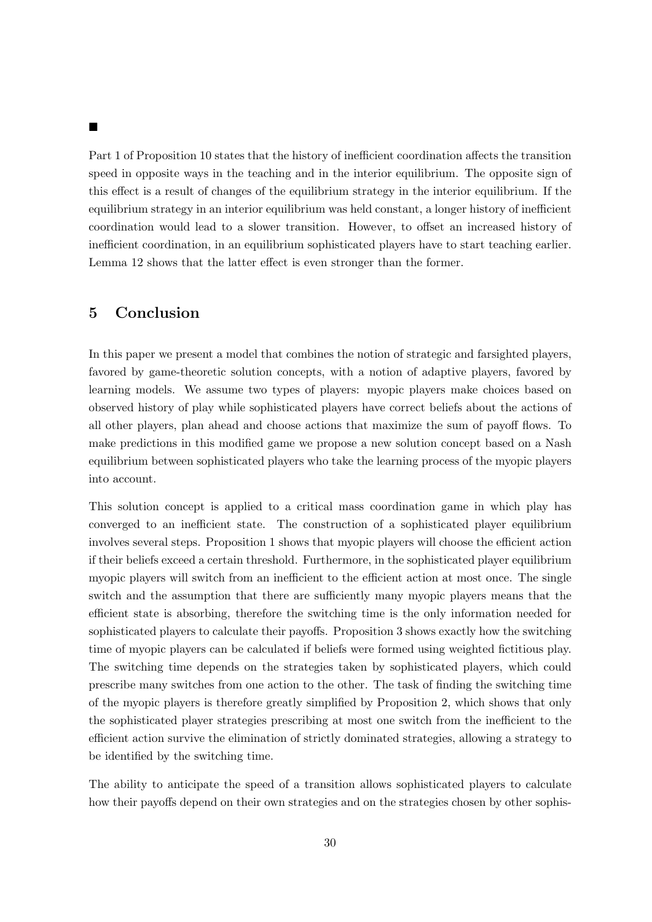$\blacksquare$ 

Part 1 of Proposition [10](#page-29-0) states that the history of inefficient coordination affects the transition speed in opposite ways in the teaching and in the interior equilibrium. The opposite sign of this effect is a result of changes of the equilibrium strategy in the interior equilibrium. If the equilibrium strategy in an interior equilibrium was held constant, a longer history of inefficient coordination would lead to a slower transition. However, to offset an increased history of inefficient coordination, in an equilibrium sophisticated players have to start teaching earlier. Lemma [12](#page-46-0) shows that the latter effect is even stronger than the former.

# 5 Conclusion

In this paper we present a model that combines the notion of strategic and farsighted players, favored by game-theoretic solution concepts, with a notion of adaptive players, favored by learning models. We assume two types of players: myopic players make choices based on observed history of play while sophisticated players have correct beliefs about the actions of all other players, plan ahead and choose actions that maximize the sum of payoff flows. To make predictions in this modified game we propose a new solution concept based on a Nash equilibrium between sophisticated players who take the learning process of the myopic players into account.

This solution concept is applied to a critical mass coordination game in which play has converged to an inefficient state. The construction of a sophisticated player equilibrium involves several steps. Proposition [1](#page-9-2) shows that myopic players will choose the efficient action if their beliefs exceed a certain threshold. Furthermore, in the sophisticated player equilibrium myopic players will switch from an inefficient to the efficient action at most once. The single switch and the assumption that there are sufficiently many myopic players means that the efficient state is absorbing, therefore the switching time is the only information needed for sophisticated players to calculate their payoffs. Proposition [3](#page-15-1) shows exactly how the switching time of myopic players can be calculated if beliefs were formed using weighted fictitious play. The switching time depends on the strategies taken by sophisticated players, which could prescribe many switches from one action to the other. The task of finding the switching time of the myopic players is therefore greatly simplified by Proposition [2,](#page-12-1) which shows that only the sophisticated player strategies prescribing at most one switch from the inefficient to the efficient action survive the elimination of strictly dominated strategies, allowing a strategy to be identified by the switching time.

The ability to anticipate the speed of a transition allows sophisticated players to calculate how their payoffs depend on their own strategies and on the strategies chosen by other sophis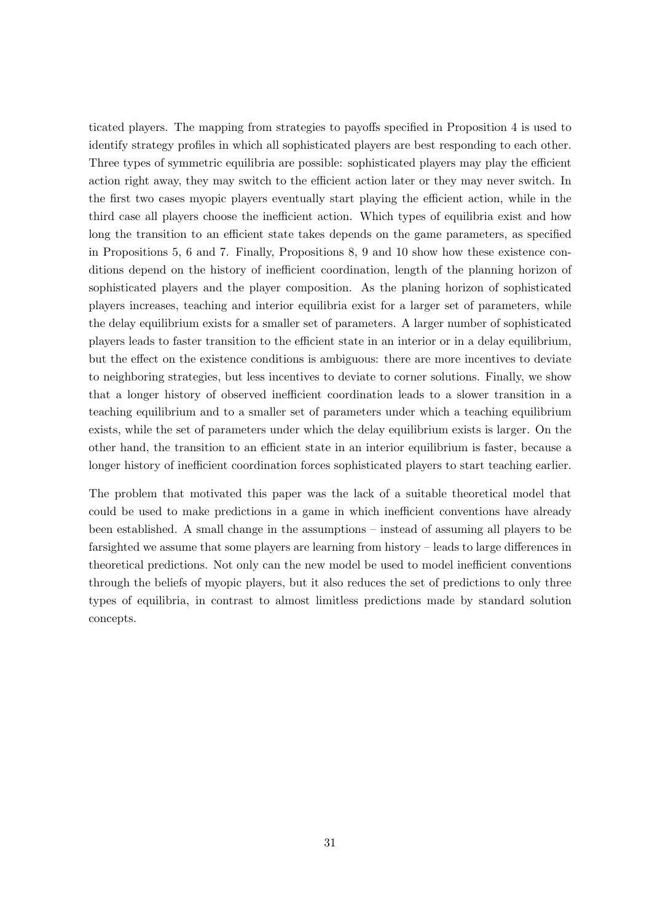ticated players. The mapping from strategies to payoffs specified in Proposition [4](#page-18-2) is used to identify strategy profiles in which all sophisticated players are best responding to each other. Three types of symmetric equilibria are possible: sophisticated players may play the efficient action right away, they may switch to the efficient action later or they may never switch. In the first two cases myopic players eventually start playing the efficient action, while in the third case all players choose the inefficient action. Which types of equilibria exist and how long the transition to an efficient state takes depends on the game parameters, as specified in Propositions [5,](#page-20-0) [6](#page-23-0) and [7.](#page-24-2) Finally, Propositions [8,](#page-27-0) [9](#page-28-0) and [10](#page-29-0) show how these existence conditions depend on the history of inefficient coordination, length of the planning horizon of sophisticated players and the player composition. As the planing horizon of sophisticated players increases, teaching and interior equilibria exist for a larger set of parameters, while the delay equilibrium exists for a smaller set of parameters. A larger number of sophisticated players leads to faster transition to the efficient state in an interior or in a delay equilibrium, but the effect on the existence conditions is ambiguous: there are more incentives to deviate to neighboring strategies, but less incentives to deviate to corner solutions. Finally, we show that a longer history of observed inefficient coordination leads to a slower transition in a teaching equilibrium and to a smaller set of parameters under which a teaching equilibrium exists, while the set of parameters under which the delay equilibrium exists is larger. On the other hand, the transition to an efficient state in an interior equilibrium is faster, because a longer history of inefficient coordination forces sophisticated players to start teaching earlier.

The problem that motivated this paper was the lack of a suitable theoretical model that could be used to make predictions in a game in which inefficient conventions have already been established. A small change in the assumptions – instead of assuming all players to be farsighted we assume that some players are learning from history – leads to large differences in theoretical predictions. Not only can the new model be used to model inefficient conventions through the beliefs of myopic players, but it also reduces the set of predictions to only three types of equilibria, in contrast to almost limitless predictions made by standard solution concepts.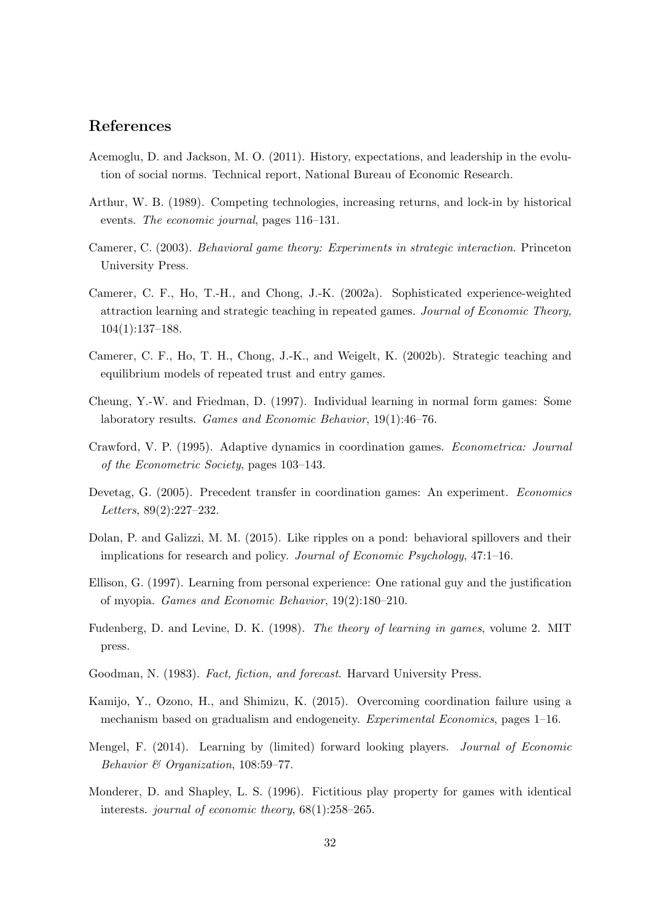# References

- <span id="page-32-10"></span>Acemoglu, D. and Jackson, M. O. (2011). History, expectations, and leadership in the evolution of social norms. Technical report, National Bureau of Economic Research.
- <span id="page-32-0"></span>Arthur, W. B. (1989). Competing technologies, increasing returns, and lock-in by historical events. The economic journal, pages 116–131.
- <span id="page-32-3"></span>Camerer, C. (2003). Behavioral game theory: Experiments in strategic interaction. Princeton University Press.
- <span id="page-32-7"></span>Camerer, C. F., Ho, T.-H., and Chong, J.-K. (2002a). Sophisticated experience-weighted attraction learning and strategic teaching in repeated games. Journal of Economic Theory, 104(1):137–188.
- <span id="page-32-8"></span>Camerer, C. F., Ho, T. H., Chong, J.-K., and Weigelt, K. (2002b). Strategic teaching and equilibrium models of repeated trust and entry games.
- <span id="page-32-12"></span>Cheung, Y.-W. and Friedman, D. (1997). Individual learning in normal form games: Some laboratory results. Games and Economic Behavior, 19(1):46–76.
- <span id="page-32-13"></span>Crawford, V. P. (1995). Adaptive dynamics in coordination games. Econometrica: Journal of the Econometric Society, pages 103–143.
- <span id="page-32-5"></span>Devetag, G. (2005). Precedent transfer in coordination games: An experiment. Economics Letters, 89(2):227–232.
- <span id="page-32-6"></span>Dolan, P. and Galizzi, M. M. (2015). Like ripples on a pond: behavioral spillovers and their implications for research and policy. Journal of Economic Psychology, 47:1–16.
- <span id="page-32-9"></span>Ellison, G. (1997). Learning from personal experience: One rational guy and the justification of myopia. Games and Economic Behavior, 19(2):180–210.
- <span id="page-32-2"></span>Fudenberg, D. and Levine, D. K. (1998). The theory of learning in games, volume 2. MIT press.
- <span id="page-32-1"></span>Goodman, N. (1983). Fact, fiction, and forecast. Harvard University Press.
- <span id="page-32-4"></span>Kamijo, Y., Ozono, H., and Shimizu, K. (2015). Overcoming coordination failure using a mechanism based on gradualism and endogeneity. Experimental Economics, pages 1–16.
- <span id="page-32-11"></span>Mengel, F. (2014). Learning by (limited) forward looking players. Journal of Economic Behavior & Organization, 108:59–77.
- <span id="page-32-14"></span>Monderer, D. and Shapley, L. S. (1996). Fictitious play property for games with identical interests. journal of economic theory, 68(1):258–265.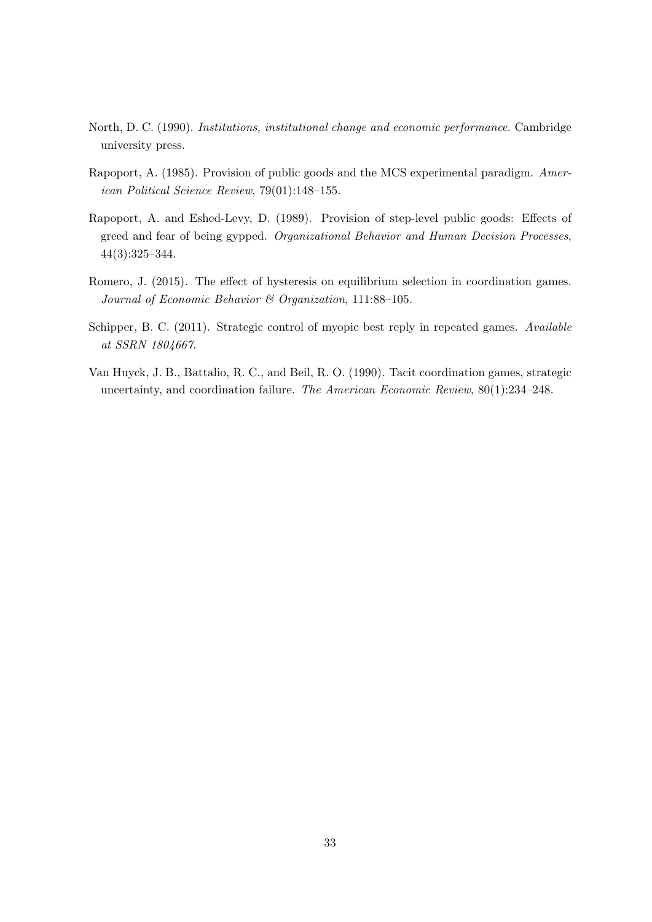- <span id="page-33-0"></span>North, D. C. (1990). Institutions, institutional change and economic performance. Cambridge university press.
- <span id="page-33-4"></span>Rapoport, A. (1985). Provision of public goods and the MCS experimental paradigm. American Political Science Review, 79(01):148–155.
- <span id="page-33-5"></span>Rapoport, A. and Eshed-Levy, D. (1989). Provision of step-level public goods: Effects of greed and fear of being gypped. Organizational Behavior and Human Decision Processes, 44(3):325–344.
- <span id="page-33-2"></span>Romero, J. (2015). The effect of hysteresis on equilibrium selection in coordination games. Journal of Economic Behavior & Organization, 111:88–105.
- <span id="page-33-3"></span>Schipper, B. C. (2011). Strategic control of myopic best reply in repeated games. Available at SSRN 1804667.
- <span id="page-33-1"></span>Van Huyck, J. B., Battalio, R. C., and Beil, R. O. (1990). Tacit coordination games, strategic uncertainty, and coordination failure. The American Economic Review, 80(1):234–248.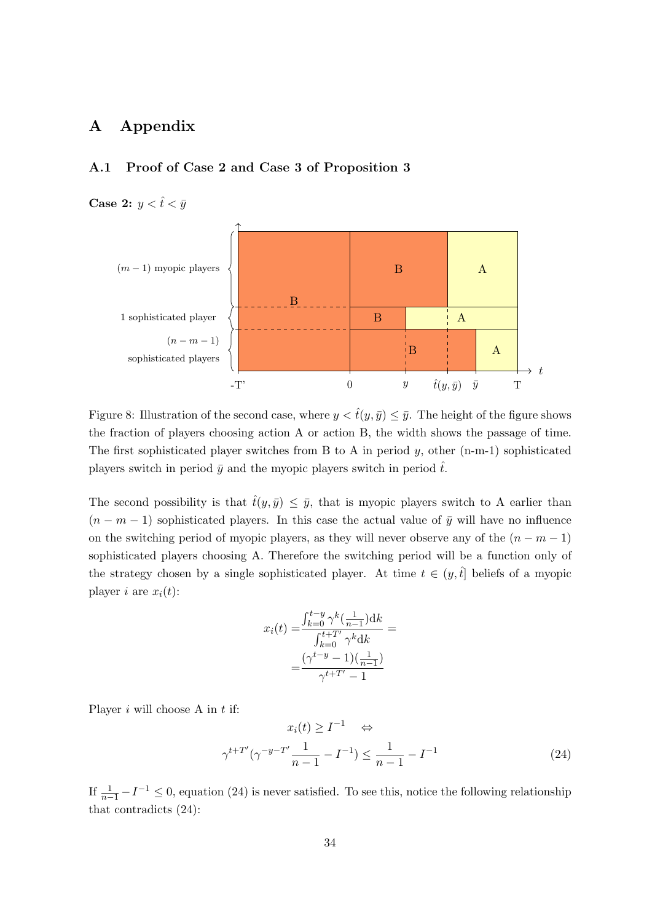# <span id="page-34-0"></span>A Appendix

# <span id="page-34-1"></span>A.1 Proof of Case 2 and Case 3 of Proposition [3](#page-15-1)

Case 2:  $y < \hat{t} < \bar{y}$ 



Figure 8: Illustration of the second case, where  $y < \hat{t}(y, \bar{y}) \leq \bar{y}$ . The height of the figure shows the fraction of players choosing action A or action B, the width shows the passage of time. The first sophisticated player switches from B to A in period  $y$ , other (n-m-1) sophisticated players switch in period  $\bar{y}$  and the myopic players switch in period  $\hat{t}$ .

The second possibility is that  $\hat{t}(y, \bar{y}) \leq \bar{y}$ , that is myopic players switch to A earlier than  $(n - m - 1)$  sophisticated players. In this case the actual value of  $\bar{y}$  will have no influence on the switching period of myopic players, as they will never observe any of the  $(n - m - 1)$ sophisticated players choosing A. Therefore the switching period will be a function only of the strategy chosen by a single sophisticated player. At time  $t \in (y, \hat{t})$  beliefs of a myopic player *i* are  $x_i(t)$ :

$$
x_i(t) = \frac{\int_{k=0}^{t-y} \gamma^k \left(\frac{1}{n-1}\right) dk}{\int_{k=0}^{t+T'} \gamma^k dk} = \frac{\left(\gamma^{t-y} - 1\right)\left(\frac{1}{n-1}\right)}{\gamma^{t+T'} - 1}
$$

Player  $i$  will choose A in  $t$  if:

<span id="page-34-2"></span>
$$
x_i(t) \ge I^{-1} \Leftrightarrow
$$
  

$$
\gamma^{t+T'}(\gamma^{-y-T'}\frac{1}{n-1} - I^{-1}) \le \frac{1}{n-1} - I^{-1}
$$
 (24)

If  $\frac{1}{n-1} - I^{-1} \leq 0$ , equation [\(24\)](#page-34-2) is never satisfied. To see this, notice the following relationship that contradicts [\(24\)](#page-34-2):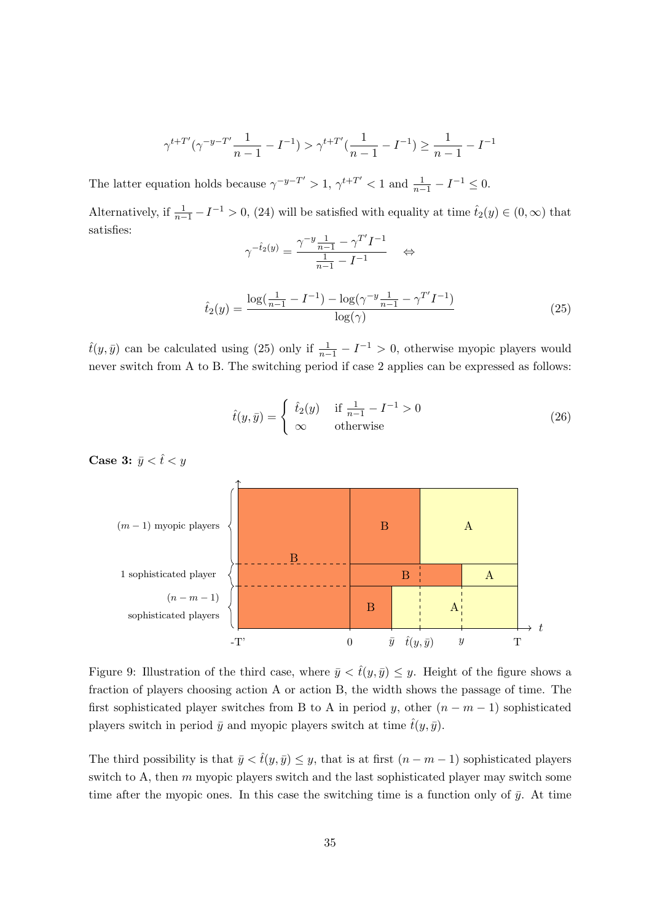$$
\gamma^{t+T'}(\gamma^{-y-T'}\frac{1}{n-1} - I^{-1}) > \gamma^{t+T'}(\frac{1}{n-1} - I^{-1}) \ge \frac{1}{n-1} - I^{-1}
$$

The latter equation holds because  $\gamma^{-y-T'} > 1$ ,  $\gamma^{t+T'} < 1$  and  $\frac{1}{n-1} - I^{-1} \leq 0$ .

Alternatively, if  $\frac{1}{n-1} - I^{-1} > 0$ , [\(24\)](#page-34-2) will be satisfied with equality at time  $\hat{t}_2(y) \in (0, \infty)$  that satisfies:  $\overline{\prime}$ 

$$
\gamma^{-\hat{t}_2(y)} = \frac{\gamma^{-y} \frac{1}{n-1} - \gamma^{T'} I^{-1}}{\frac{1}{n-1} - I^{-1}} \quad \Leftrightarrow
$$

<span id="page-35-0"></span>
$$
\hat{t}_2(y) = \frac{\log(\frac{1}{n-1} - I^{-1}) - \log(\gamma^{-y}\frac{1}{n-1} - \gamma^{T'}I^{-1})}{\log(\gamma)}
$$
\n(25)

 $\hat{t}(y,\bar{y})$  can be calculated using [\(25\)](#page-35-0) only if  $\frac{1}{n-1} - I^{-1} > 0$ , otherwise myopic players would never switch from A to B. The switching period if case 2 applies can be expressed as follows:

$$
\hat{t}(y,\bar{y}) = \begin{cases} \hat{t}_2(y) & \text{if } \frac{1}{n-1} - I^{-1} > 0 \\ \infty & \text{otherwise} \end{cases}
$$
\n(26)

Case 3:  $\bar{y} < \hat{t} < y$ 



Figure 9: Illustration of the third case, where  $\bar{y} < \hat{t}(y, \bar{y}) \leq y$ . Height of the figure shows a fraction of players choosing action A or action B, the width shows the passage of time. The first sophisticated player switches from B to A in period y, other  $(n - m - 1)$  sophisticated players switch in period  $\bar{y}$  and myopic players switch at time  $\hat{t}(y, \bar{y})$ .

The third possibility is that  $\bar{y} < \hat{t}(y, \bar{y}) \leq y$ , that is at first  $(n - m - 1)$  sophisticated players switch to A, then  $m$  myopic players switch and the last sophisticated player may switch some time after the myopic ones. In this case the switching time is a function only of  $\bar{y}$ . At time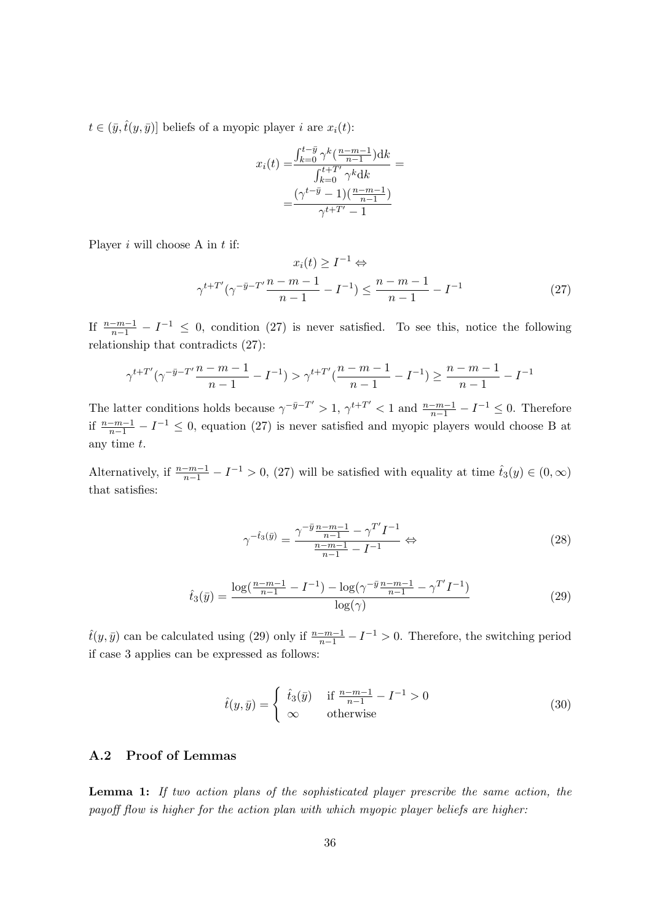$t \in (\bar{y}, \hat{t}(y, \bar{y}))$  beliefs of a myopic player i are  $x_i(t)$ :

$$
x_i(t) = \frac{\int_{k=0}^{t-\bar{y}} \gamma^k(\frac{n-m-1}{n-1}) dk}{\int_{k=0}^{t+T'} \gamma^k dk} = \frac{(\gamma^{t-\bar{y}} - 1)(\frac{n-m-1}{n-1})}{\gamma^{t+T'} - 1}
$$

Player  $i$  will choose A in  $t$  if:

<span id="page-36-1"></span>
$$
x_i(t) \ge I^{-1} \Leftrightarrow
$$
  

$$
\gamma^{t+T'}(\gamma^{-\bar{y}-T'}\frac{n-m-1}{n-1} - I^{-1}) \le \frac{n-m-1}{n-1} - I^{-1}
$$
 (27)

If  $\frac{n-m-1}{n-1} - I^{-1} \leq 0$ , condition [\(27\)](#page-36-1) is never satisfied. To see this, notice the following relationship that contradicts [\(27\)](#page-36-1):

$$
\gamma^{t+T'}(\gamma^{-\bar{y}-T'}\frac{n-m-1}{n-1}-I^{-1}) > \gamma^{t+T'}(\frac{n-m-1}{n-1}-I^{-1}) \ge \frac{n-m-1}{n-1}-I^{-1}
$$

The latter conditions holds because  $\gamma^{-\bar{y}-T'} > 1$ ,  $\gamma^{t+T'} < 1$  and  $\frac{n-m-1}{n-1} - I^{-1} \leq 0$ . Therefore if  $\frac{n-m-1}{n-1} - I^{-1}$  ≤ 0, equation [\(27\)](#page-36-1) is never satisfied and myopic players would choose B at any time t.

Alternatively, if  $\frac{n-m-1}{n-1} - I^{-1} > 0$ , [\(27\)](#page-36-1) will be satisfied with equality at time  $\hat{t}_3(y) \in (0, \infty)$ that satisfies:

$$
\gamma^{-\hat{t}_3(\bar{y})} = \frac{\gamma^{-\bar{y}} \frac{n-m-1}{n-1} - \gamma^{T'} I^{-1}}{\frac{n-m-1}{n-1} - I^{-1}} \Leftrightarrow \tag{28}
$$

<span id="page-36-2"></span>
$$
\hat{t}_3(\bar{y}) = \frac{\log(\frac{n-m-1}{n-1} - I^{-1}) - \log(\gamma^{-\bar{y}}\frac{n-m-1}{n-1} - \gamma^{T'}I^{-1})}{\log(\gamma)}
$$
(29)

 $\hat{t}(y,\bar{y})$  can be calculated using [\(29\)](#page-36-2) only if  $\frac{n-m-1}{n-1} - I^{-1} > 0$ . Therefore, the switching period if case 3 applies can be expressed as follows:

$$
\hat{t}(y,\bar{y}) = \begin{cases} \hat{t}_3(\bar{y}) & \text{if } \frac{n-m-1}{n-1} - I^{-1} > 0 \\ \infty & \text{otherwise} \end{cases}
$$
\n(30)

#### <span id="page-36-0"></span>A.2 Proof of Lemmas

Lemma [1:](#page-11-0) If two action plans of the sophisticated player prescribe the same action, the payoff flow is higher for the action plan with which myopic player beliefs are higher: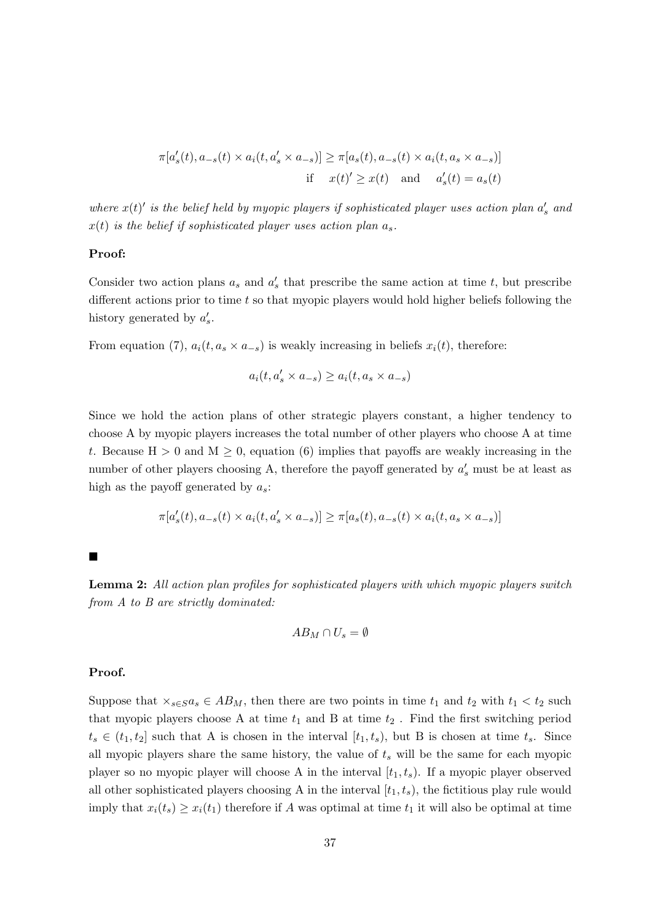$$
\pi[a'_s(t), a_{-s}(t) \times a_i(t, a'_s \times a_{-s})] \ge \pi[a_s(t), a_{-s}(t) \times a_i(t, a_s \times a_{-s})]
$$
  
if  $x(t)' \ge x(t)$  and  $a'_s(t) = a_s(t)$ 

where  $x(t)'$  is the belief held by myopic players if sophisticated player uses action plan  $a'_s$  and  $x(t)$  is the belief if sophisticated player uses action plan  $a_s$ .

#### Proof:

Consider two action plans  $a_s$  and  $a'_s$  that prescribe the same action at time t, but prescribe different actions prior to time  $t$  so that myopic players would hold higher beliefs following the history generated by  $a'_s$ .

From equation [\(7\)](#page-9-3),  $a_i(t, a_s \times a_{-s})$  is weakly increasing in beliefs  $x_i(t)$ , therefore:

$$
a_i(t,a'_s\times a_{-s})\geq a_i(t,a_s\times a_{-s})
$$

Since we hold the action plans of other strategic players constant, a higher tendency to choose A by myopic players increases the total number of other players who choose A at time t. Because  $H > 0$  and  $M \geq 0$ , equation [\(6\)](#page-8-1) implies that payoffs are weakly increasing in the number of other players choosing A, therefore the payoff generated by  $a'_{s}$  must be at least as high as the payoff generated by  $a_s$ :

$$
\pi[a_s'(t),a_{-s}(t)\times a_i(t,a_s'\times a_{-s})]\geq \pi[a_s(t),a_{-s}(t)\times a_i(t,a_s\times a_{-s})]
$$

 $\blacksquare$ 

Lemma [2:](#page-12-0) All action plan profiles for sophisticated players with which myopic players switch from A to B are strictly dominated:

$$
AB_M\cap U_s=\emptyset
$$

#### Proof.

Suppose that  $\times_{s\in S}a_s \in AB_M$ , then there are two points in time  $t_1$  and  $t_2$  with  $t_1 < t_2$  such that myopic players choose A at time  $t_1$  and B at time  $t_2$ . Find the first switching period  $t_s \in (t_1, t_2]$  such that A is chosen in the interval  $[t_1, t_s)$ , but B is chosen at time  $t_s$ . Since all myopic players share the same history, the value of  $t_s$  will be the same for each myopic player so no myopic player will choose A in the interval  $[t_1, t_s)$ . If a myopic player observed all other sophisticated players choosing A in the interval  $[t_1, t_s)$ , the fictitious play rule would imply that  $x_i(t_s) \geq x_i(t_1)$  therefore if A was optimal at time  $t_1$  it will also be optimal at time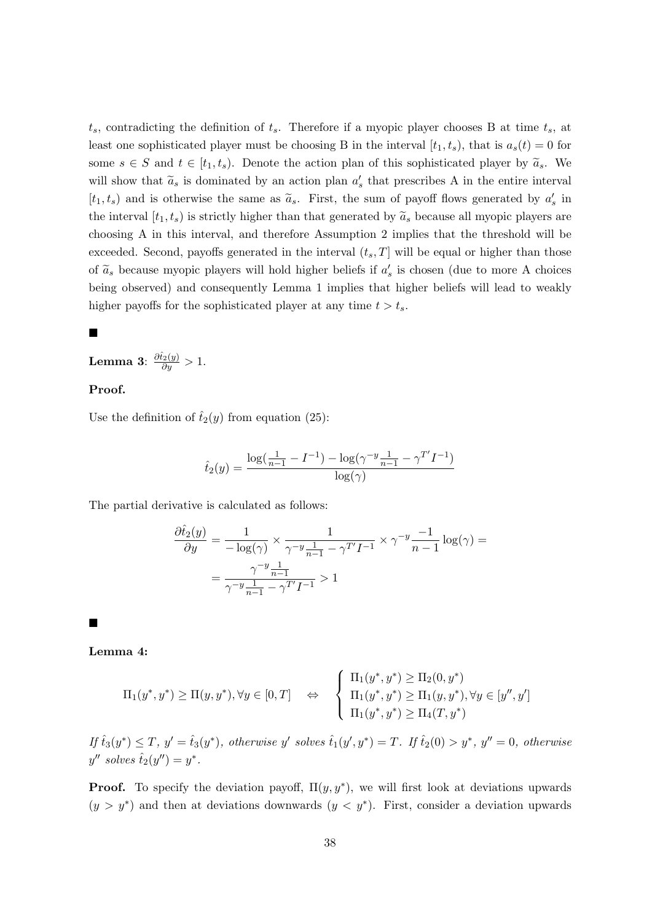$t_s$ , contradicting the definition of  $t_s$ . Therefore if a myopic player chooses B at time  $t_s$ , at least one sophisticated player must be choosing B in the interval  $[t_1, t_s)$ , that is  $a_s(t) = 0$  for some  $s \in S$  and  $t \in [t_1, t_s)$ . Denote the action plan of this sophisticated player by  $\tilde{a}_s$ . We will show that  $\tilde{a}_s$  is dominated by an action plan  $a'_s$  that prescribes A in the entire interval  $[t_1, t_s]$  and is otherwise the same as  $\tilde{a}_s$ . First, the sum of payoff flows generated by  $a'_s$  in the interval  $[t_1, t_s]$  is strictly higher than that generated by  $\tilde{a}_s$  because all myopic players are choosing A in this interval, and therefore Assumption 2 implies that the threshold will be exceeded. Second, payoffs generated in the interval  $(t_s, T]$  will be equal or higher than those of  $\tilde{a}_s$  because myopic players will hold higher beliefs if  $a'_s$  is chosen (due to more A choices being observed) and consequently Lemma [1](#page-11-0) implies that higher beliefs will lead to weakly higher payoffs for the sophisticated player at any time  $t > t_s$ .

#### П

Lemma [3](#page-18-1):  $\frac{\partial \hat{t}_2(y)}{\partial y} > 1$ .

### Proof.

Use the definition of  $\hat{t}_2(y)$  from equation [\(25\)](#page-35-0):

$$
\hat{t}_2(y) = \frac{\log(\frac{1}{n-1} - I^{-1}) - \log(\gamma^{-y}\frac{1}{n-1} - \gamma^{T'}I^{-1})}{\log(\gamma)}
$$

The partial derivative is calculated as follows:

$$
\frac{\partial \hat{t}_2(y)}{\partial y} = \frac{1}{-\log(\gamma)} \times \frac{1}{\gamma^{-y} \frac{1}{n-1} - \gamma^{T'} I^{-1}} \times \gamma^{-y} \frac{-1}{n-1} \log(\gamma) =
$$

$$
= \frac{\gamma^{-y} \frac{1}{n-1}}{\gamma^{-y} \frac{1}{n-1} - \gamma^{T'} I^{-1}} > 1
$$

Ē

Lemma [4:](#page-21-1)

$$
\Pi_1(y^*, y^*) \geq \Pi(y, y^*), \forall y \in [0, T] \quad \Leftrightarrow \quad \begin{cases} \Pi_1(y^*, y^*) \geq \Pi_2(0, y^*) \\ \Pi_1(y^*, y^*) \geq \Pi_1(y, y^*), \forall y \in [y'', y'] \\ \Pi_1(y^*, y^*) \geq \Pi_4(T, y^*) \end{cases}
$$

 $If \hat{t}_3(y^*) \leq T, y' = \hat{t}_3(y^*)$ , otherwise y' solves  $\hat{t}_1(y', y^*) = T$ . If  $\hat{t}_2(0) > y^*$ ,  $y'' = 0$ , otherwise  $y''$  solves  $\hat{t}_2(y'') = y^*$ .

**Proof.** To specify the deviation payoff,  $\Pi(y, y^*)$ , we will first look at deviations upwards  $(y > y^*)$  and then at deviations downwards  $(y < y^*)$ . First, consider a deviation upwards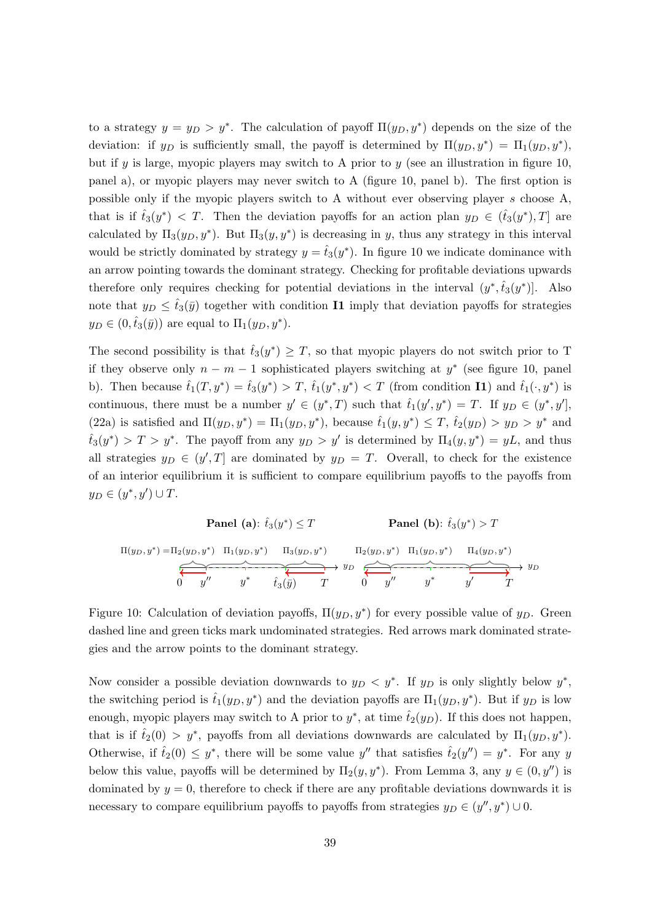to a strategy  $y = y_D > y^*$ . The calculation of payoff  $\Pi(y_D, y^*)$  depends on the size of the deviation: if  $y_D$  is sufficiently small, the payoff is determined by  $\Pi(y_D, y^*) = \Pi_1(y_D, y^*)$ , but if y is large, myopic players may switch to A prior to y (see an illustration in figure [10,](#page-39-0) panel a), or myopic players may never switch to A (figure [10,](#page-39-0) panel b). The first option is possible only if the myopic players switch to A without ever observing player s choose A, that is if  $\hat{t}_3(y^*)$  < T. Then the deviation payoffs for an action plan  $y_D \in (\hat{t}_3(y^*), T]$  are calculated by  $\Pi_3(y_D, y^*)$ . But  $\Pi_3(y, y^*)$  is decreasing in y, thus any strategy in this interval would be strictly dominated by strategy  $y = \hat{t}_3(y^*)$ . In figure [10](#page-39-0) we indicate dominance with an arrow pointing towards the dominant strategy. Checking for profitable deviations upwards therefore only requires checking for potential deviations in the interval  $(y^*, \hat{t}_3(y^*)$ . Also note that  $y_D \leq \hat{t}_3(\bar{y})$  together with condition I1 imply that deviation payoffs for strategies  $y_D \in (0, \hat{t}_3(\bar{y}))$  are equal to  $\Pi_1(y_D, y^*)$ .

The second possibility is that  $\hat{t}_3(y^*) \geq T$ , so that myopic players do not switch prior to T if they observe only  $n - m - 1$  sophisticated players switching at  $y^*$  (see figure [10,](#page-39-0) panel b). Then because  $\hat{t}_1(T, y^*) = \hat{t}_3(y^*) > T$ ,  $\hat{t}_1(y^*, y^*) < T$  (from condition **I1**) and  $\hat{t}_1(\cdot, y^*)$  is continuous, there must be a number  $y' \in (y^*, T)$  such that  $\hat{t}_1(y', y^*) = T$ . If  $y_D \in (y^*, y']$ , [\(22a\)](#page-19-2) is satisfied and  $\Pi(y_D, y^*) = \Pi_1(y_D, y^*)$ , because  $\hat{t}_1(y, y^*) \leq T$ ,  $\hat{t}_2(y_D) > y_D > y^*$  and  $\hat{t}_3(y^*) > T > y^*$ . The payoff from any  $y_D > y'$  is determined by  $\Pi_4(y, y^*) = yL$ , and thus all strategies  $y_D \in (y', T]$  are dominated by  $y_D = T$ . Overall, to check for the existence of an interior equilibrium it is sufficient to compare equilibrium payoffs to the payoffs from  $y_D \in (y^*, y') \cup T$ .

<span id="page-39-0"></span>

| Panel (a): $\hat{t}_3(y^*) \leq T$ |                   | Panel (b): $\hat{t}_3(y^*) > T$ |                      |                   |   |       |       |      |     |
|------------------------------------|-------------------|---------------------------------|----------------------|-------------------|---|-------|-------|------|-----|
| $\Pi(y_D, y^*) = \Pi_2(y_D, y^*)$  | $\Pi_3(y_D, y^*)$ | $\Pi_2(y_D, y^*)$               | $\Pi_1(y_D, y^*)$    | $\Pi_4(y_D, y^*)$ |   |       |       |      |     |
| 0                                  | $y''$             | $y^*$                           | $\hat{t}_3(\bar{y})$ | $T$               | 0 | $y''$ | $y^*$ | $y'$ | $T$ |

Figure 10: Calculation of deviation payoffs,  $\Pi(y_D, y^*)$  for every possible value of  $y_D$ . Green dashed line and green ticks mark undominated strategies. Red arrows mark dominated strategies and the arrow points to the dominant strategy.

Now consider a possible deviation downwards to  $y_D < y^*$ . If  $y_D$  is only slightly below  $y^*$ , the switching period is  $\hat{t}_1(y_D, y^*)$  and the deviation payoffs are  $\Pi_1(y_D, y^*)$ . But if  $y_D$  is low enough, myopic players may switch to A prior to  $y^*$ , at time  $\hat{t}_2(y_D)$ . If this does not happen, that is if  $\hat{t}_2(0) > y^*$ , payoffs from all deviations downwards are calculated by  $\Pi_1(y_D, y^*)$ . Otherwise, if  $\hat{t}_2(0) \leq y^*$ , there will be some value y'' that satisfies  $\hat{t}_2(y'') = y^*$ . For any y below this value, payoffs will be determined by  $\Pi_2(y, y^*)$ . From Lemma [3,](#page-18-1) any  $y \in (0, y'')$  is dominated by  $y = 0$ , therefore to check if there are any profitable deviations downwards it is necessary to compare equilibrium payoffs to payoffs from strategies  $y_D \in (y'', y^*) \cup 0$ .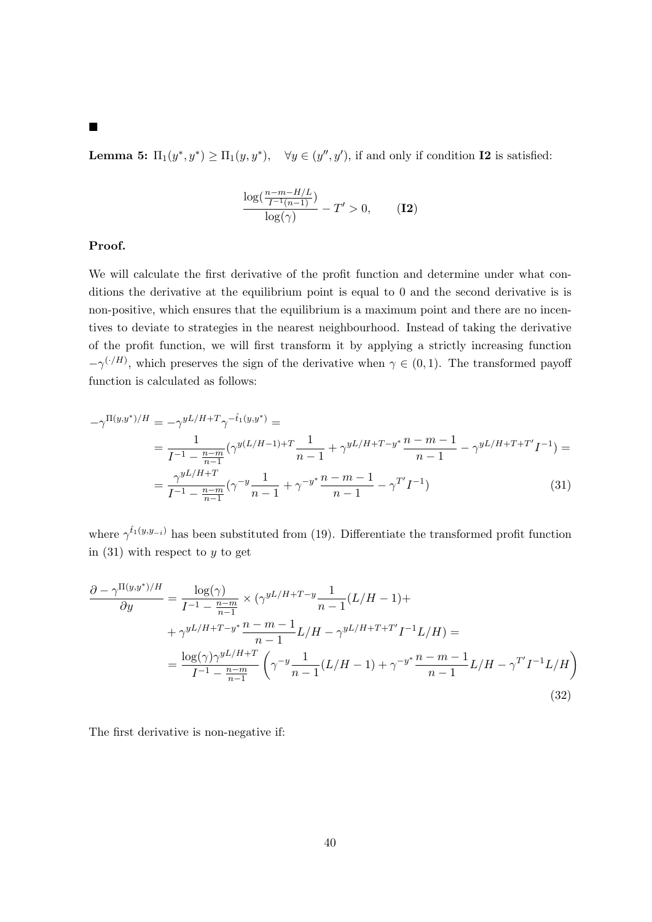**Lemma [5:](#page-22-0)**  $\Pi_1(y^*, y^*) \ge \Pi_1(y, y^*)$ ,  $\forall y \in (y'', y')$ , if and only if condition **I2** is satisfied:

<span id="page-40-0"></span>
$$
\frac{\log(\frac{n-m-H/L}{I^{-1}(n-1)})}{\log(\gamma)} - T' > 0,
$$
 (I2)

## Proof.

We will calculate the first derivative of the profit function and determine under what conditions the derivative at the equilibrium point is equal to 0 and the second derivative is is non-positive, which ensures that the equilibrium is a maximum point and there are no incentives to deviate to strategies in the nearest neighbourhood. Instead of taking the derivative of the profit function, we will first transform it by applying a strictly increasing function  $-\gamma^{(\cdot/H)}$ , which preserves the sign of the derivative when  $\gamma \in (0,1)$ . The transformed payoff function is calculated as follows:

$$
-\gamma^{\Pi(y,y^*)/H} = -\gamma^{yL/H + T}\gamma^{-\hat{t}_1(y,y^*)} =
$$
  
= 
$$
\frac{1}{I^{-1} - \frac{n-m}{n-1}} (\gamma^{y(L/H - 1) + T} \frac{1}{n-1} + \gamma^{yL/H + T - y^*} \frac{n-m-1}{n-1} - \gamma^{yL/H + T + T'} I^{-1}) =
$$
  
= 
$$
\frac{\gamma^{yL/H + T}}{I^{-1} - \frac{n-m}{n-1}} (\gamma^{-y} \frac{1}{n-1} + \gamma^{-y^*} \frac{n-m-1}{n-1} - \gamma^{T'} I^{-1})
$$
(31)

where  $\gamma^{\hat{t}_1(y,y_{-i})}$  has been substituted from [\(19\)](#page-17-2). Differentiate the transformed profit function in  $(31)$  with respect to y to get

$$
\frac{\partial - \gamma^{\Pi(y,y^*)/H}}{\partial y} = \frac{\log(\gamma)}{I^{-1} - \frac{n-m}{n-1}} \times (\gamma^{yL/H + T - y} \frac{1}{n-1} (L/H - 1) +
$$
  
+  $\gamma^{yL/H + T - y^*} \frac{n-m-1}{n-1} L/H - \gamma^{yL/H + T + T'} I^{-1} L/H) =$   
=  $\frac{\log(\gamma) \gamma^{yL/H + T}}{I^{-1} - \frac{n-m}{n-1}} \left( \gamma^{-y} \frac{1}{n-1} (L/H - 1) + \gamma^{-y^*} \frac{n-m-1}{n-1} L/H - \gamma^{T'} I^{-1} L/H \right)$   
(32)

<span id="page-40-1"></span>The first derivative is non-negative if:

## $\blacksquare$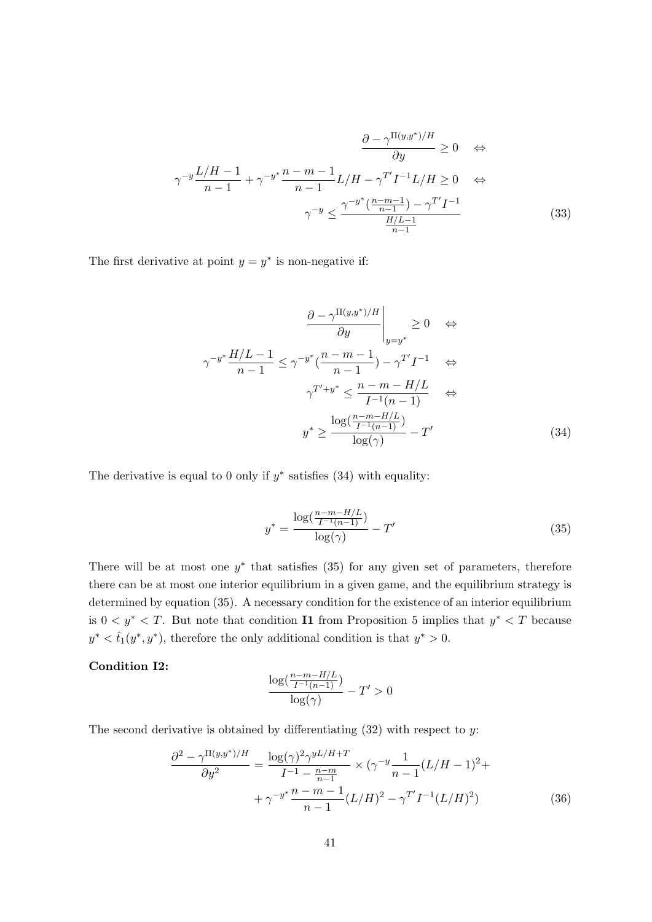$$
\frac{\partial - \gamma^{\Pi(y,y^*)/H}}{\partial y} \ge 0 \quad \Leftrightarrow
$$

$$
\gamma^{-y} \frac{L/H - 1}{n - 1} + \gamma^{-y^*} \frac{n - m - 1}{n - 1} L/H - \gamma^{T'} I^{-1} L/H \ge 0 \quad \Leftrightarrow
$$

$$
\gamma^{-y} \le \frac{\gamma^{-y^*} (\frac{n - m - 1}{n - 1}) - \gamma^{T'} I^{-1}}{\frac{H/L - 1}{n - 1}}
$$
(33)

The first derivative at point  $y = y^*$  is non-negative if:

$$
\frac{\partial - \gamma^{\Pi(y,y^*)/H}}{\partial y}\Big|_{y=y^*} \ge 0 \quad \Leftrightarrow
$$

$$
\gamma^{-y^*} \frac{H/L - 1}{n - 1} \le \gamma^{-y^*} \left(\frac{n - m - 1}{n - 1}\right) - \gamma^{T'} I^{-1} \quad \Leftrightarrow
$$

$$
\gamma^{T'+y^*} \le \frac{n - m - H/L}{I^{-1}(n - 1)} \quad \Leftrightarrow
$$

$$
y^* \ge \frac{\log\left(\frac{n - m - H/L}{I^{-1}(n - 1)}\right)}{\log(\gamma)} - T' \tag{34}
$$

The derivative is equal to 0 only if  $y^*$  satisfies [\(34\)](#page-41-0) with equality:

<span id="page-41-1"></span><span id="page-41-0"></span>
$$
y^* = \frac{\log(\frac{n-m-H/L}{I^{-1}(n-1)})}{\log(\gamma)} - T'
$$
\n(35)

There will be at most one  $y^*$  that satisfies [\(35\)](#page-41-1) for any given set of parameters, therefore there can be at most one interior equilibrium in a given game, and the equilibrium strategy is determined by equation [\(35\)](#page-41-1). A necessary condition for the existence of an interior equilibrium is  $0 < y^* < T$ . But note that condition **I1** from Proposition [5](#page-20-0) implies that  $y^* < T$  because  $y^* < \hat{t}_1(y^*, y^*)$ , therefore the only additional condition is that  $y^* > 0$ .

## Condition I2:

$$
\frac{\log(\frac{n-m-H/L}{I^{-1}(n-1)})}{\log(\gamma)}-T'>0
$$

The second derivative is obtained by differentiating  $(32)$  with respect to y:

$$
\frac{\partial^2 - \gamma^{\Pi(y,y^*)/H}}{\partial y^2} = \frac{\log(\gamma)^2 \gamma^{yL/H+T}}{I^{-1} - \frac{n-m}{n-1}} \times (\gamma^{-y} \frac{1}{n-1} (L/H - 1)^2 +
$$

$$
+ \gamma^{-y^*} \frac{n-m-1}{n-1} (L/H)^2 - \gamma^{T'} I^{-1} (L/H)^2)
$$
(36)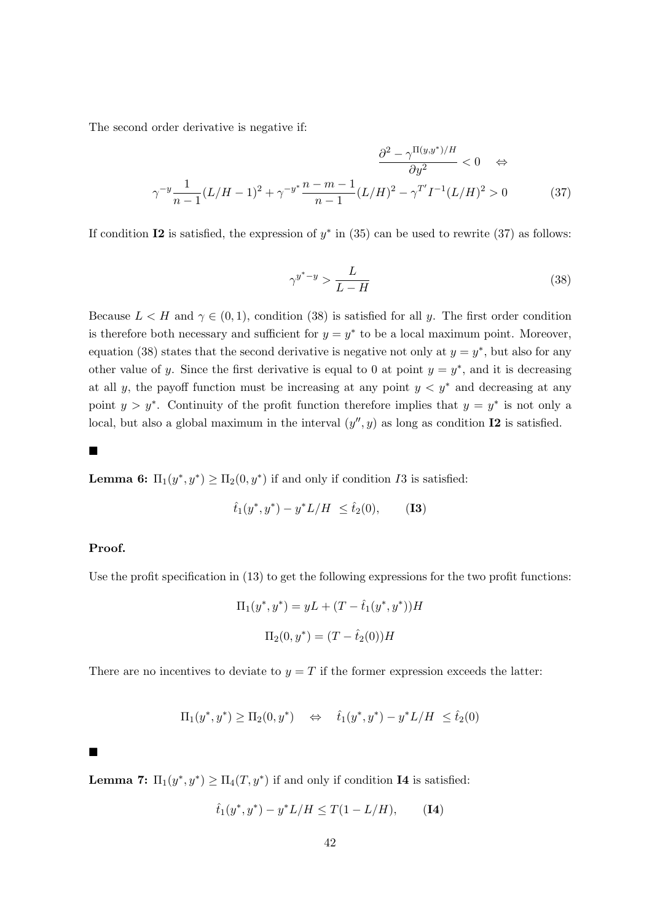The second order derivative is negative if:

$$
\frac{\partial^2 - \gamma^{\Pi(y,y^*)/H}}{\partial y^2} < 0 \quad \Leftrightarrow
$$

$$
\gamma^{-y} \frac{1}{n-1} (L/H - 1)^2 + \gamma^{-y^*} \frac{n-m-1}{n-1} (L/H)^2 - \gamma^{T'} I^{-1} (L/H)^2 > 0 \tag{37}
$$

If condition I2 is satisfied, the expression of  $y^*$  in [\(35\)](#page-41-1) can be used to rewrite [\(37\)](#page-42-0) as follows:

<span id="page-42-1"></span><span id="page-42-0"></span>
$$
\gamma^{y^*-y} > \frac{L}{L-H} \tag{38}
$$

Because  $L < H$  and  $\gamma \in (0, 1)$ , condition [\(38\)](#page-42-1) is satisfied for all y. The first order condition is therefore both necessary and sufficient for  $y = y^*$  to be a local maximum point. Moreover, equation [\(38\)](#page-42-1) states that the second derivative is negative not only at  $y = y^*$ , but also for any other value of y. Since the first derivative is equal to 0 at point  $y = y^*$ , and it is decreasing at all y, the payoff function must be increasing at any point  $y < y^*$  and decreasing at any point  $y > y^*$ . Continuity of the profit function therefore implies that  $y = y^*$  is not only a local, but also a global maximum in the interval  $(y'', y)$  as long as condition **I2** is satisfied.

 $\blacksquare$ 

**Lemma [6:](#page-22-1)**  $\Pi_1(y^*, y^*) \geq \Pi_2(0, y^*)$  if and only if condition *I*3 is satisfied:

$$
\hat{t}_1(y^*, y^*) - y^* L/H \le \hat{t}_2(0), \quad (13)
$$

## Proof.

Use the profit specification in [\(13\)](#page-15-0) to get the following expressions for the two profit functions:

$$
\Pi_1(y^*, y^*) = yL + (T - \hat{t}_1(y^*, y^*))H
$$

$$
\Pi_2(0, y^*) = (T - \hat{t}_2(0))H
$$

There are no incentives to deviate to  $y = T$  if the former expression exceeds the latter:

$$
\Pi_1(y^*, y^*) \ge \Pi_2(0, y^*) \quad \Leftrightarrow \quad \hat{t}_1(y^*, y^*) - y^* L / H \le \hat{t}_2(0)
$$

 $\blacksquare$ 

**Lemma [7:](#page-22-2)**  $\Pi_1(y^*, y^*) \ge \Pi_4(T, y^*)$  if and only if condition **I4** is satisfied:

$$
\hat{t}_1(y^*, y^*) - y^* L/H \le T(1 - L/H), \qquad (14)
$$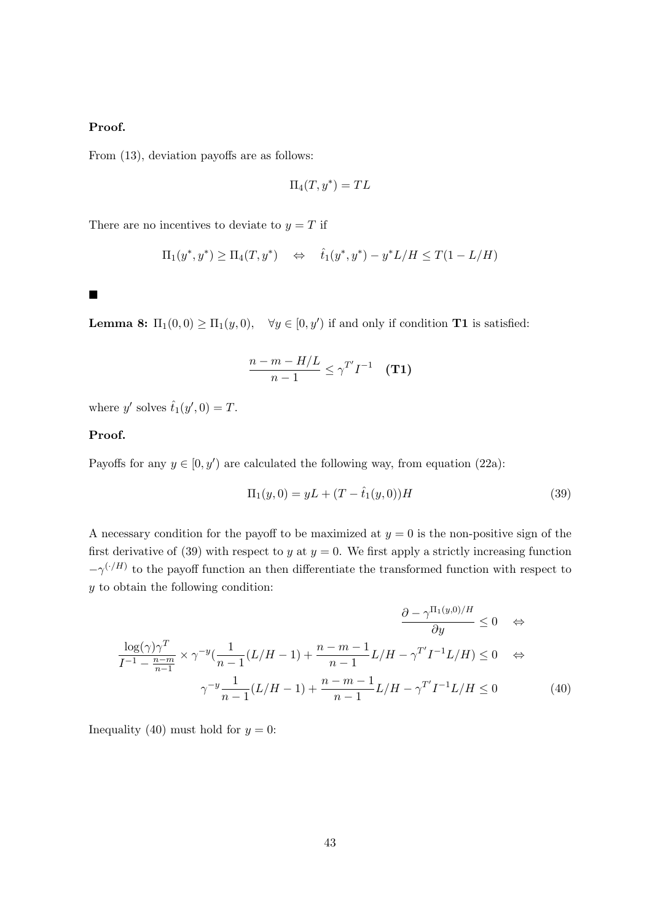# Proof.

From [\(13\)](#page-15-0), deviation payoffs are as follows:

$$
\Pi_4(T, y^*) = TL
$$

There are no incentives to deviate to  $y = T$  if

$$
\Pi_1(y^*, y^*) \ge \Pi_4(T, y^*) \quad \Leftrightarrow \quad \hat{t}_1(y^*, y^*) - y^*L/H \le T(1 - L/H)
$$

 $\blacksquare$ 

**Lemma [8:](#page-24-0)**  $\Pi_1(0,0) \ge \Pi_1(y,0)$ ,  $\forall y \in [0, y')$  if and only if condition **T1** is satisfied:

$$
\frac{n-m-H/L}{n-1} \leq \gamma^{T'} I^{-1} \quad (T1)
$$

where y' solves  $\hat{t}_1(y', 0) = T$ .

#### Proof.

Payoffs for any  $y \in [0, y')$  are calculated the following way, from equation [\(22a\)](#page-19-2):

<span id="page-43-1"></span><span id="page-43-0"></span>
$$
\Pi_1(y,0) = yL + (T - \hat{t}_1(y,0))H
$$
\n(39)

A necessary condition for the payoff to be maximized at  $y = 0$  is the non-positive sign of the first derivative of [\(39\)](#page-43-0) with respect to y at  $y = 0$ . We first apply a strictly increasing function  $-\gamma^{(·/H)}$  to the payoff function an then differentiate the transformed function with respect to y to obtain the following condition:

$$
\frac{\partial -\gamma^{\Pi_{1}(y,0)/H}}{\partial y} \le 0 \quad \Leftrightarrow
$$

$$
\frac{\log(\gamma)\gamma^{T}}{I^{-1} - \frac{n-m}{n-1}} \times \gamma^{-y} \left(\frac{1}{n-1}(L/H - 1) + \frac{n-m-1}{n-1}L/H - \gamma^{T'}I^{-1}L/H\right) \le 0 \quad \Leftrightarrow
$$

$$
\gamma^{-y} \frac{1}{n-1}(L/H - 1) + \frac{n-m-1}{n-1}L/H - \gamma^{T'}I^{-1}L/H \le 0 \tag{40}
$$

Inequality [\(40\)](#page-43-1) must hold for  $y = 0$ :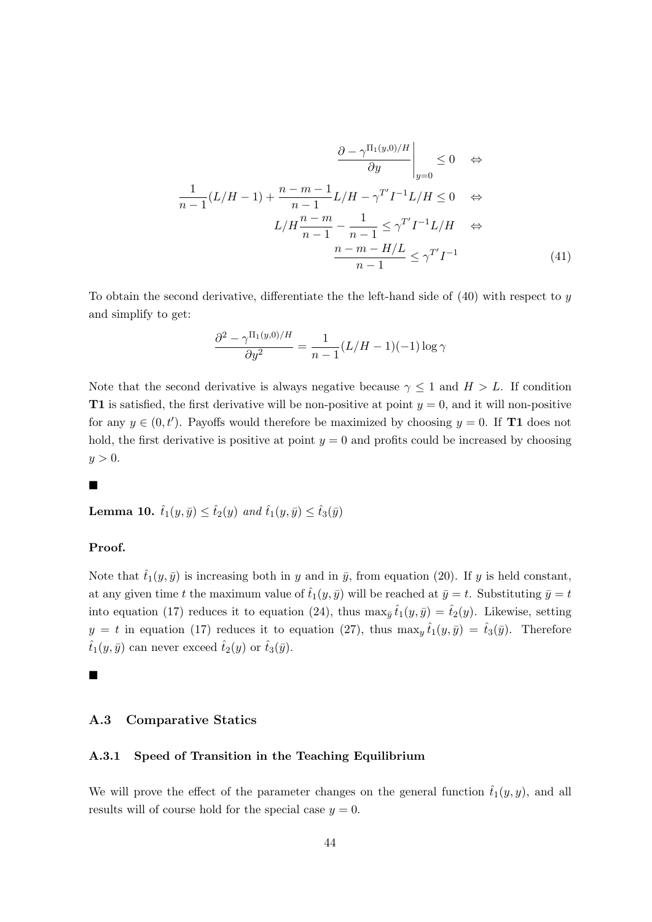$$
\frac{\partial - \gamma^{\Pi_1(y,0)/H}}{\partial y}\Big|_{y=0} \le 0 \quad \Leftrightarrow
$$

$$
\frac{1}{n-1}(L/H - 1) + \frac{n-m-1}{n-1}L/H - \gamma^{T'}I^{-1}L/H \le 0 \quad \Leftrightarrow
$$

$$
L/H\frac{n-m}{n-1} - \frac{1}{n-1} \le \gamma^{T'}I^{-1}L/H \quad \Leftrightarrow
$$

$$
\frac{n-m-H/L}{n-1} \le \gamma^{T'}I^{-1} \tag{41}
$$

To obtain the second derivative, differentiate the the left-hand side of  $(40)$  with respect to y and simplify to get:

$$
\frac{\partial^2 - \gamma^{\Pi_1(y,0)/H}}{\partial y^2} = \frac{1}{n-1} (L/H - 1)(-1) \log \gamma
$$

Note that the second derivative is always negative because  $\gamma \leq 1$  and  $H > L$ . If condition **T1** is satisfied, the first derivative will be non-positive at point  $y = 0$ , and it will non-positive for any  $y \in (0, t')$ . Payoffs would therefore be maximized by choosing  $y = 0$ . If **T1** does not hold, the first derivative is positive at point  $y = 0$  and profits could be increased by choosing  $y > 0$ .

#### $\blacksquare$

<span id="page-44-0"></span>Lemma 10.  $\hat{t}_1(y, \bar{y}) \leq \hat{t}_2(y)$  and  $\hat{t}_1(y, \bar{y}) \leq \hat{t}_3(\bar{y})$ 

## Proof.

Note that  $\hat{t}_1(y, \bar{y})$  is increasing both in y and in  $\bar{y}$ , from equation [\(20\)](#page-18-0). If y is held constant, at any given time t the maximum value of  $\hat{t}_1(y, \bar{y})$  will be reached at  $\bar{y} = t$ . Substituting  $\bar{y} = t$ into equation [\(17\)](#page-17-0) reduces it to equation [\(24\)](#page-34-2), thus  $\max_{\bar{y}} \hat{t}_1(y, \bar{y}) = \hat{t}_2(y)$ . Likewise, setting  $y = t$  in equation [\(17\)](#page-17-0) reduces it to equation [\(27\)](#page-36-1), thus  $\max_y \hat{t}_1(y, \bar{y}) = \hat{t}_3(\bar{y})$ . Therefore  $\hat{t}_1(y,\bar{y})$  can never exceed  $\hat{t}_2(y)$  or  $\hat{t}_3(\bar{y})$ .

#### $\blacksquare$

## <span id="page-44-1"></span>A.3 Comparative Statics

#### A.3.1 Speed of Transition in the Teaching Equilibrium

We will prove the effect of the parameter changes on the general function  $\hat{t}_1(y, y)$ , and all results will of course hold for the special case  $y = 0$ .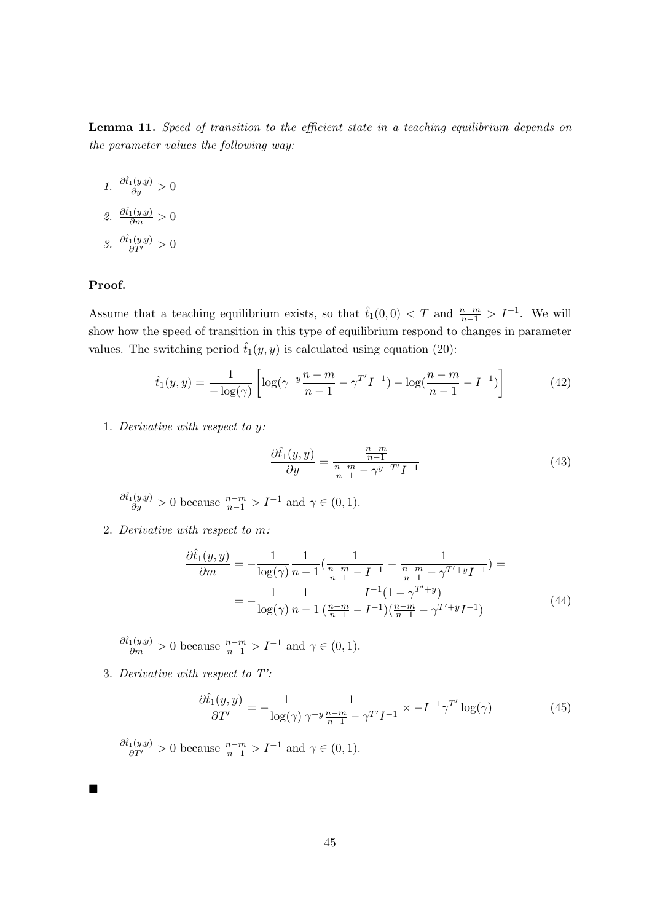<span id="page-45-0"></span>Lemma 11. Speed of transition to the efficient state in a teaching equilibrium depends on the parameter values the following way:

1.  $\frac{\partial \hat{t}_1(y,y)}{\partial y} > 0$ 2.  $\frac{\partial \hat{t}_1(y,y)}{\partial m} > 0$ 3.  $\frac{\partial \hat{t}_1(y,y)}{\partial T'} > 0$ 

# Proof.

Ē

Assume that a teaching equilibrium exists, so that  $\hat{t}_1(0,0) < T$  and  $\frac{n-m}{n-1} > I^{-1}$ . We will show how the speed of transition in this type of equilibrium respond to changes in parameter values. The switching period  $\hat{t}_1(y, y)$  is calculated using equation [\(20\)](#page-18-0):

<span id="page-45-1"></span>
$$
\hat{t}_1(y,y) = \frac{1}{-\log(\gamma)} \left[ \log(\gamma^{-y}\frac{n-m}{n-1} - \gamma^{T'}I^{-1}) - \log(\frac{n-m}{n-1} - I^{-1}) \right]
$$
(42)

1. Derivative with respect to y:

$$
\frac{\partial \hat{t}_1(y, y)}{\partial y} = \frac{\frac{n-m}{n-1}}{\frac{n-m}{n-1} - \gamma^{y+T'} I^{-1}}\tag{43}
$$

 $\frac{\partial \hat{t}_1(y,y)}{\partial y} > 0$  because  $\frac{n-m}{n-1} > I^{-1}$  and  $\gamma \in (0,1)$ .

2. Derivative with respect to m:

$$
\frac{\partial \hat{t}_1(y,y)}{\partial m} = -\frac{1}{\log(\gamma)} \frac{1}{n-1} \left( \frac{1}{\frac{n-m}{n-1} - I^{-1}} - \frac{1}{\frac{n-m}{n-1} - \gamma^{T'+y} I^{-1}} \right) =
$$

$$
= -\frac{1}{\log(\gamma)} \frac{1}{n-1} \frac{I^{-1} (1 - \gamma^{T'+y})}{\left( \frac{n-m}{n-1} - I^{-1} \right) \left( \frac{n-m}{n-1} - \gamma^{T'+y} I^{-1} \right)} \tag{44}
$$

 $\frac{\partial \hat{t}_1(y,y)}{\partial m} > 0$  because  $\frac{n-m}{n-1} > I^{-1}$  and  $\gamma \in (0,1)$ .

3. Derivative with respect to T':

$$
\frac{\partial \hat{t}_1(y,y)}{\partial T'} = -\frac{1}{\log(\gamma)} \frac{1}{\gamma^{-y} \frac{n-m}{n-1} - \gamma^{T'} I^{-1}} \times -I^{-1} \gamma^{T'} \log(\gamma) \tag{45}
$$

 $\frac{\partial \hat{t}_1(y,y)}{\partial T'} > 0$  because  $\frac{n-m}{n-1} > I^{-1}$  and  $\gamma \in (0,1)$ .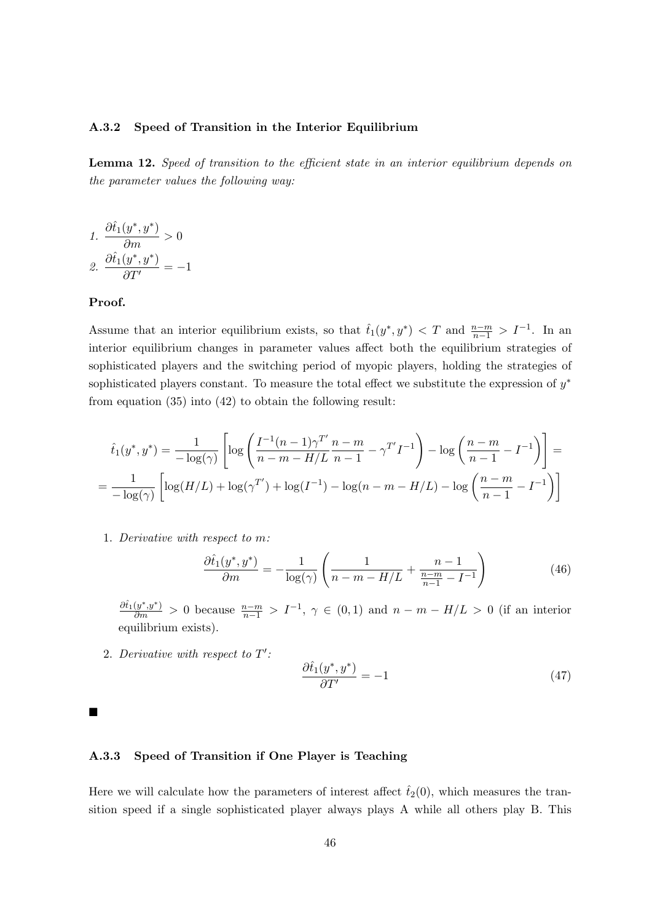#### A.3.2 Speed of Transition in the Interior Equilibrium

<span id="page-46-0"></span>Lemma 12. Speed of transition to the efficient state in an interior equilibrium depends on the parameter values the following way:

1. 
$$
\frac{\partial \hat{t}_1(y^*, y^*)}{\partial m} > 0
$$
  
2. 
$$
\frac{\partial \hat{t}_1(y^*, y^*)}{\partial T'} = -1
$$

#### Proof.

Assume that an interior equilibrium exists, so that  $\hat{t}_1(y^*, y^*) < T$  and  $\frac{n-m}{n-1} > I^{-1}$ . In an interior equilibrium changes in parameter values affect both the equilibrium strategies of sophisticated players and the switching period of myopic players, holding the strategies of sophisticated players constant. To measure the total effect we substitute the expression of  $y^*$ from equation [\(35\)](#page-41-1) into [\(42\)](#page-45-1) to obtain the following result:

$$
\hat{t}_1(y^*, y^*) = \frac{1}{-\log(\gamma)} \left[ \log \left( \frac{I^{-1}(n-1)\gamma^{T'}}{n-m - H/L} \frac{n-m}{n-1} - \gamma^{T'} I^{-1} \right) - \log \left( \frac{n-m}{n-1} - I^{-1} \right) \right] =
$$
\n
$$
= \frac{1}{-\log(\gamma)} \left[ \log(H/L) + \log(\gamma^{T'}) + \log(I^{-1}) - \log(n-m - H/L) - \log \left( \frac{n-m}{n-1} - I^{-1} \right) \right]
$$

1. Derivative with respect to m:

<span id="page-46-1"></span>
$$
\frac{\partial \hat{t}_1(y^*, y^*)}{\partial m} = -\frac{1}{\log(\gamma)} \left( \frac{1}{n - m - H/L} + \frac{n - 1}{\frac{n - m}{n - 1} - I^{-1}} \right) \tag{46}
$$

 $\frac{\partial f_1(y^*,y^*)}{\partial m} > 0$  because  $\frac{n-m}{n-1} > I^{-1}$ ,  $\gamma \in (0,1)$  and  $n-m-H/L > 0$  (if an interior equilibrium exists).

2. Derivative with respect to  $T'$ :

$$
\frac{\partial \hat{t}_1(y^*, y^*)}{\partial T'} = -1 \tag{47}
$$

 $\blacksquare$ 

#### A.3.3 Speed of Transition if One Player is Teaching

Here we will calculate how the parameters of interest affect  $\hat{t}_2(0)$ , which measures the transition speed if a single sophisticated player always plays A while all others play B. This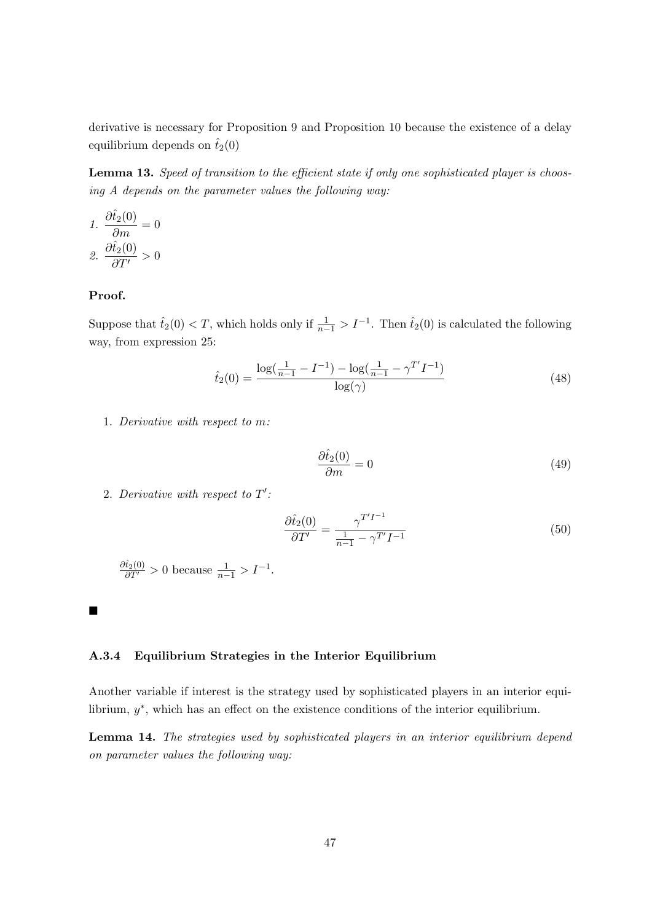derivative is necessary for Proposition [9](#page-28-0) and Proposition [10](#page-29-0) because the existence of a delay equilibrium depends on  $\hat{t}_2(0)$ 

<span id="page-47-1"></span>Lemma 13. Speed of transition to the efficient state if only one sophisticated player is choosing A depends on the parameter values the following way:

1. 
$$
\frac{\partial \hat{t}_2(0)}{\partial m} = 0
$$
  
2. 
$$
\frac{\partial \hat{t}_2(0)}{\partial T'} > 0
$$

# Proof.

Suppose that  $\hat{t}_2(0) < T$ , which holds only if  $\frac{1}{n-1} > I^{-1}$ . Then  $\hat{t}_2(0)$  is calculated the following way, from expression [25:](#page-35-0)

$$
\hat{t}_2(0) = \frac{\log(\frac{1}{n-1} - I^{-1}) - \log(\frac{1}{n-1} - \gamma^{T'} I^{-1})}{\log(\gamma)}
$$
(48)

1. Derivative with respect to m:

$$
\frac{\partial \hat{t}_2(0)}{\partial m} = 0\tag{49}
$$

2. Derivative with respect to  $T'$ :

$$
\frac{\partial \hat{t}_2(0)}{\partial T'} = \frac{\gamma^{T'I^{-1}}}{\frac{1}{n-1} - \gamma^{T'} I^{-1}}\tag{50}
$$

 $\frac{\partial \hat{t}_2(0)}{\partial T'} > 0$  because  $\frac{1}{n-1} > I^{-1}$ .

П

## A.3.4 Equilibrium Strategies in the Interior Equilibrium

Another variable if interest is the strategy used by sophisticated players in an interior equilibrium,  $y^*$ , which has an effect on the existence conditions of the interior equilibrium.

<span id="page-47-0"></span>Lemma 14. The strategies used by sophisticated players in an interior equilibrium depend on parameter values the following way: